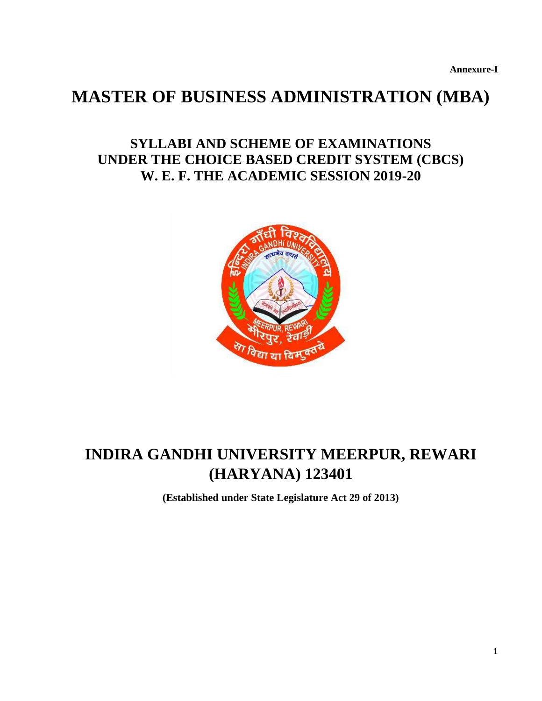**Annexure-I**

# **MASTER OF BUSINESS ADMINISTRATION (MBA)**

# **SYLLABI AND SCHEME OF EXAMINATIONS UNDER THE CHOICE BASED CREDIT SYSTEM (CBCS) W. E. F. THE ACADEMIC SESSION 2019-20**



# **INDIRA GANDHI UNIVERSITY MEERPUR, REWARI (HARYANA) 123401**

**(Established under State Legislature Act 29 of 2013)**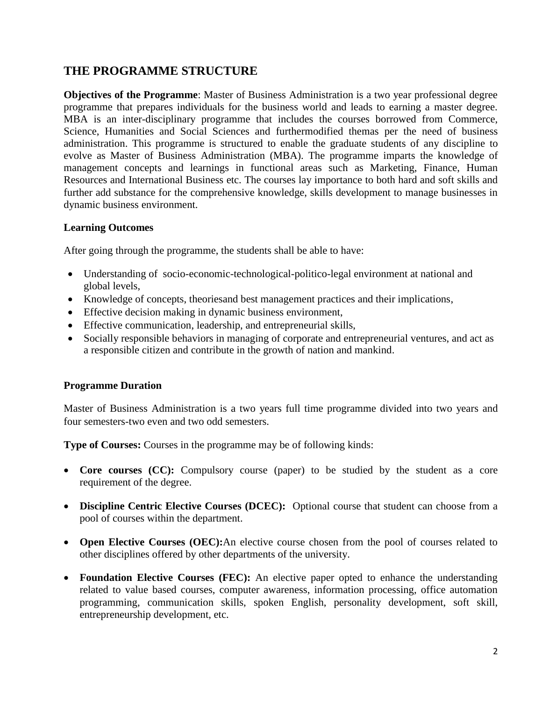# **THE PROGRAMME STRUCTURE**

**Objectives of the Programme**: Master of Business Administration is a two year professional degree programme that prepares individuals for the business world and leads to earning a master degree. MBA is an inter-disciplinary programme that includes the courses borrowed from Commerce, Science, Humanities and Social Sciences and furthermodified themas per the need of business administration. This programme is structured to enable the graduate students of any discipline to evolve as Master of Business Administration (MBA). The programme imparts the knowledge of management concepts and learnings in functional areas such as Marketing, Finance, Human Resources and International Business etc. The courses lay importance to both hard and soft skills and further add substance for the comprehensive knowledge, skills development to manage businesses in dynamic business environment.

# **Learning Outcomes**

After going through the programme, the students shall be able to have:

- Understanding of socio-economic-technological-politico-legal environment at national and global levels,
- Knowledge of concepts, theoriesand best management practices and their implications,
- Effective decision making in dynamic business environment,
- Effective communication, leadership, and entrepreneurial skills,
- Socially responsible behaviors in managing of corporate and entrepreneurial ventures, and act as a responsible citizen and contribute in the growth of nation and mankind.

# **Programme Duration**

Master of Business Administration is a two years full time programme divided into two years and four semesters-two even and two odd semesters.

**Type of Courses:** Courses in the programme may be of following kinds:

- Core courses (CC): Compulsory course (paper) to be studied by the student as a core requirement of the degree.
- **Discipline Centric Elective Courses (DCEC):** Optional course that student can choose from a pool of courses within the department.
- **Open Elective Courses (OEC):**An elective course chosen from the pool of courses related to other disciplines offered by other departments of the university.
- Foundation Elective Courses (FEC): An elective paper opted to enhance the understanding related to value based courses, computer awareness, information processing, office automation programming, communication skills, spoken English, personality development, soft skill, entrepreneurship development, etc.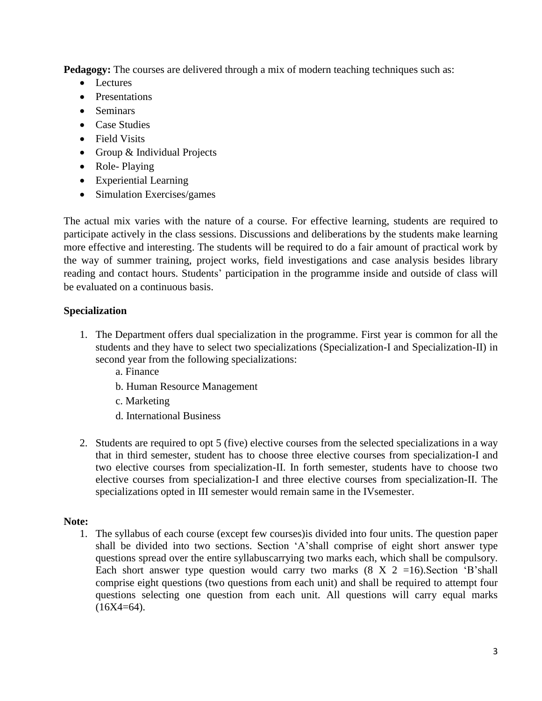**Pedagogy:** The courses are delivered through a mix of modern teaching techniques such as:

- Lectures
- Presentations
- Seminars
- Case Studies
- Field Visits
- Group & Individual Projects
- Role-Playing
- Experiential Learning
- Simulation Exercises/games

The actual mix varies with the nature of a course. For effective learning, students are required to participate actively in the class sessions. Discussions and deliberations by the students make learning more effective and interesting. The students will be required to do a fair amount of practical work by the way of summer training, project works, field investigations and case analysis besides library reading and contact hours. Students' participation in the programme inside and outside of class will be evaluated on a continuous basis.

# **Specialization**

- 1. The Department offers dual specialization in the programme. First year is common for all the students and they have to select two specializations (Specialization-I and Specialization-II) in second year from the following specializations:
	- a. Finance
	- b. Human Resource Management
	- c. Marketing
	- d. International Business
- 2. Students are required to opt 5 (five) elective courses from the selected specializations in a way that in third semester, student has to choose three elective courses from specialization-I and two elective courses from specialization-II. In forth semester, students have to choose two elective courses from specialization-I and three elective courses from specialization-II. The specializations opted in III semester would remain same in the IVsemester.

# **Note:**

1. The syllabus of each course (except few courses)is divided into four units. The question paper shall be divided into two sections. Section 'A'shall comprise of eight short answer type questions spread over the entire syllabuscarrying two marks each, which shall be compulsory. Each short answer type question would carry two marks  $(8 \text{ X } 2 =16)$ . Section 'B'shall comprise eight questions (two questions from each unit) and shall be required to attempt four questions selecting one question from each unit. All questions will carry equal marks  $(16X4=64)$ .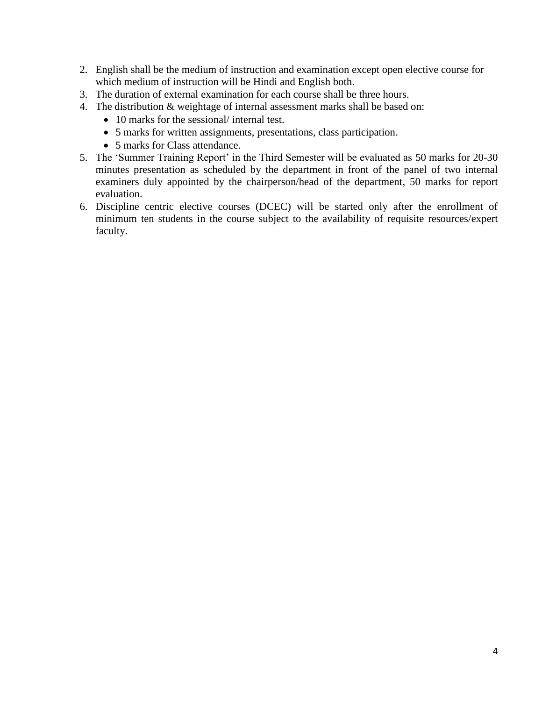- 2. English shall be the medium of instruction and examination except open elective course for which medium of instruction will be Hindi and English both.
- 3. The duration of external examination for each course shall be three hours.
- 4. The distribution & weightage of internal assessment marks shall be based on:
	- 10 marks for the sessional/ internal test.
	- 5 marks for written assignments, presentations, class participation.
	- 5 marks for Class attendance.
- 5. The 'Summer Training Report' in the Third Semester will be evaluated as 50 marks for 20-30 minutes presentation as scheduled by the department in front of the panel of two internal examiners duly appointed by the chairperson/head of the department, 50 marks for report evaluation.
- 6. Discipline centric elective courses (DCEC) will be started only after the enrollment of minimum ten students in the course subject to the availability of requisite resources/expert faculty.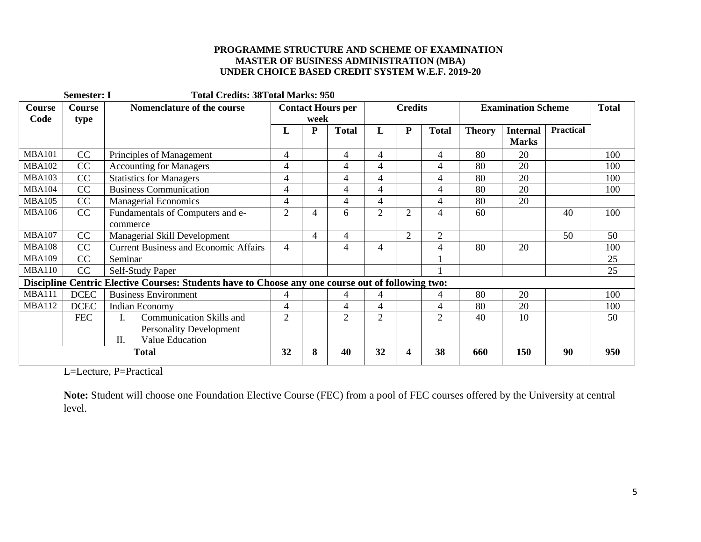#### **PROGRAMME STRUCTURE AND SCHEME OF EXAMINATION MASTER OF BUSINESS ADMINISTRATION (MBA) UNDER CHOICE BASED CREDIT SYSTEM W.E.F. 2019-20**

|               | <b>Semester: I</b> | <b>Total Credits: 38Total Marks: 950</b>                                                          |                          |                |                |                                |                |                |                           |                 |                  |     |
|---------------|--------------------|---------------------------------------------------------------------------------------------------|--------------------------|----------------|----------------|--------------------------------|----------------|----------------|---------------------------|-----------------|------------------|-----|
| Course        | Course             | Nomenclature of the course                                                                        | <b>Contact Hours per</b> |                |                | <b>Credits</b>                 |                |                | <b>Examination Scheme</b> | <b>Total</b>    |                  |     |
| Code          | type               |                                                                                                   |                          | week           |                |                                |                |                |                           |                 |                  |     |
|               |                    |                                                                                                   | L                        | $\mathbf{P}$   | <b>Total</b>   | ${\bf P}$<br><b>Total</b><br>L |                |                | <b>Theory</b>             | <b>Internal</b> | <b>Practical</b> |     |
|               |                    |                                                                                                   |                          |                |                |                                |                |                |                           | <b>Marks</b>    |                  |     |
| <b>MBA101</b> | CC                 | Principles of Management                                                                          | 4                        |                | 4              | 4                              |                | $\overline{4}$ | 80                        | 20              |                  | 100 |
| <b>MBA102</b> | CC                 | <b>Accounting for Managers</b>                                                                    | 4                        |                | 4              | 4                              |                | 4              | 80                        | 20              |                  | 100 |
| <b>MBA103</b> | CC                 | Statistics for Managers                                                                           | 4                        |                | 4              | 4                              |                | 4              | 80                        | 20              |                  | 100 |
| <b>MBA104</b> | CC                 | <b>Business Communication</b>                                                                     | 4                        |                | 4              | 4                              |                | 4              | 80                        | 20              |                  | 100 |
| <b>MBA105</b> | CC                 | <b>Managerial Economics</b>                                                                       | 4                        |                | 4              | 4                              |                | $\overline{4}$ | 80                        | 20              |                  |     |
| <b>MBA106</b> | CC                 | Fundamentals of Computers and e-                                                                  | $\overline{2}$           | 4              | 6              | $\overline{2}$                 | $\overline{2}$ | 4              | 60                        |                 | 40               | 100 |
|               |                    | commerce                                                                                          |                          |                |                |                                |                |                |                           |                 |                  |     |
| <b>MBA107</b> | CC                 | Managerial Skill Development                                                                      |                          | $\overline{4}$ | 4              |                                | $\overline{2}$ | $\overline{2}$ |                           |                 | 50               | 50  |
| <b>MBA108</b> | CC                 | <b>Current Business and Economic Affairs</b>                                                      | 4                        |                | 4              | 4                              |                | 4              | 80                        | 20              |                  | 100 |
| <b>MBA109</b> | CC                 | Seminar                                                                                           |                          |                |                |                                |                |                |                           |                 |                  | 25  |
| <b>MBA110</b> | CC                 | Self-Study Paper                                                                                  |                          |                |                |                                |                |                |                           |                 |                  | 25  |
|               |                    | Discipline Centric Elective Courses: Students have to Choose any one course out of following two: |                          |                |                |                                |                |                |                           |                 |                  |     |
| <b>MBA111</b> | <b>DCEC</b>        | <b>Business Environment</b>                                                                       | 4                        |                | 4              | 4                              |                | $\overline{4}$ | 80                        | 20              |                  | 100 |
| <b>MBA112</b> | <b>DCEC</b>        | <b>Indian Economy</b>                                                                             | 4                        |                | $\overline{4}$ | 4                              |                | 4              | 80                        | 20              |                  | 100 |
|               | <b>FEC</b>         | Communication Skills and<br>L.                                                                    | $\overline{2}$           |                | 2              | $\overline{2}$                 |                | $\overline{2}$ | 40                        | 10              |                  | 50  |
|               |                    | <b>Personality Development</b>                                                                    |                          |                |                |                                |                |                |                           |                 |                  |     |
|               |                    | Π.<br>Value Education                                                                             |                          |                |                |                                |                |                |                           |                 |                  |     |
| <b>Total</b>  |                    |                                                                                                   | 32                       | 8              | 40             | 32                             | 4              | 38             | 660                       | 150             | 90               | 950 |

L=Lecture, P=Practical

**Note:** Student will choose one Foundation Elective Course (FEC) from a pool of FEC courses offered by the University at central level.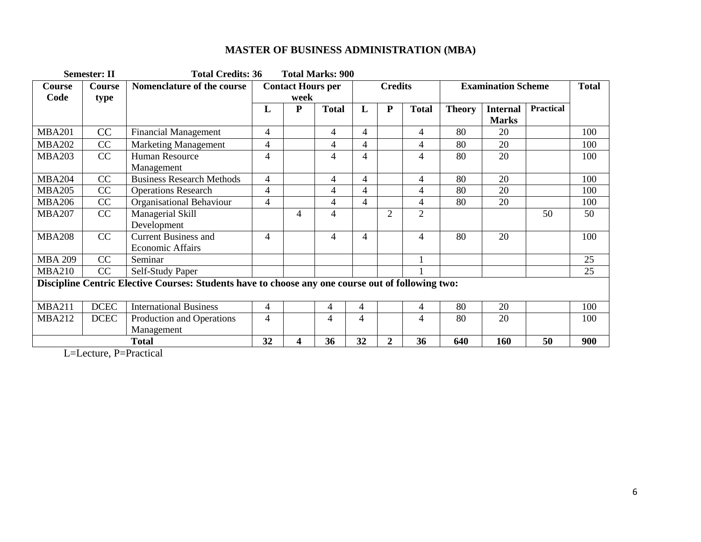|                | <b>Semester: II</b>   | <b>Total Credits: 36</b>                                                                          |                                  |   | <b>Total Marks: 900</b> |    |                |                           |               |                                 |                  |     |
|----------------|-----------------------|---------------------------------------------------------------------------------------------------|----------------------------------|---|-------------------------|----|----------------|---------------------------|---------------|---------------------------------|------------------|-----|
| Course<br>Code | <b>Course</b><br>type | Nomenclature of the course                                                                        | <b>Contact Hours per</b><br>week |   | <b>Credits</b>          |    |                | <b>Examination Scheme</b> |               |                                 | <b>Total</b>     |     |
|                |                       |                                                                                                   | L                                | P | <b>Total</b>            | L  | ${\bf P}$      | <b>Total</b>              | <b>Theory</b> | <b>Internal</b><br><b>Marks</b> | <b>Practical</b> |     |
| <b>MBA201</b>  | CC                    | <b>Financial Management</b>                                                                       | $\overline{4}$                   |   | 4                       | 4  |                | $\overline{4}$            | 80            | 20                              |                  | 100 |
| <b>MBA202</b>  | CC                    | <b>Marketing Management</b>                                                                       | 4                                |   | $\overline{4}$          | 4  |                | 4                         | 80            | 20                              |                  | 100 |
| <b>MBA203</b>  | CC                    | Human Resource<br>Management                                                                      | 4                                |   | $\overline{4}$          | 4  |                | $\overline{4}$            | 80            | 20                              |                  | 100 |
| <b>MBA204</b>  | CC                    | <b>Business Research Methods</b>                                                                  | 4                                |   | 4                       | 4  |                | $\overline{4}$            | 80            | 20                              |                  | 100 |
| <b>MBA205</b>  | CC                    | <b>Operations Research</b>                                                                        | 4                                |   | $\overline{4}$          | 4  |                | 4                         | 80            | 20                              |                  | 100 |
| <b>MBA206</b>  | CC                    | Organisational Behaviour                                                                          | 4                                |   | 4                       | 4  |                | $\overline{4}$            | 80            | 20                              |                  | 100 |
| <b>MBA207</b>  | CC                    | Managerial Skill<br>Development                                                                   |                                  | 4 | 4                       |    | $\overline{2}$ | $\overline{2}$            |               |                                 | 50               | 50  |
| <b>MBA208</b>  | CC                    | <b>Current Business and</b><br><b>Economic Affairs</b>                                            | $\overline{4}$                   |   | 4                       | 4  |                | $\overline{4}$            | 80            | 20                              |                  | 100 |
| <b>MBA 209</b> | CC                    | Seminar                                                                                           |                                  |   |                         |    |                |                           |               |                                 |                  | 25  |
| <b>MBA210</b>  | CC                    | Self-Study Paper                                                                                  |                                  |   |                         |    |                |                           |               |                                 |                  | 25  |
|                |                       | Discipline Centric Elective Courses: Students have to choose any one course out of following two: |                                  |   |                         |    |                |                           |               |                                 |                  |     |
| <b>MBA211</b>  | <b>DCEC</b>           | <b>International Business</b>                                                                     | $\overline{4}$                   |   | 4                       | 4  |                | $\overline{4}$            | 80            | 20                              |                  | 100 |
| <b>MBA212</b>  | <b>DCEC</b>           | Production and Operations<br>Management                                                           | 4                                |   | 4                       | 4  |                | 4                         | 80            | 20                              |                  | 100 |
|                |                       | <b>Total</b>                                                                                      | 32                               | 4 | 36                      | 32 | $\overline{2}$ | 36                        | 640           | 160                             | 50               | 900 |

L=Lecture, P=Practical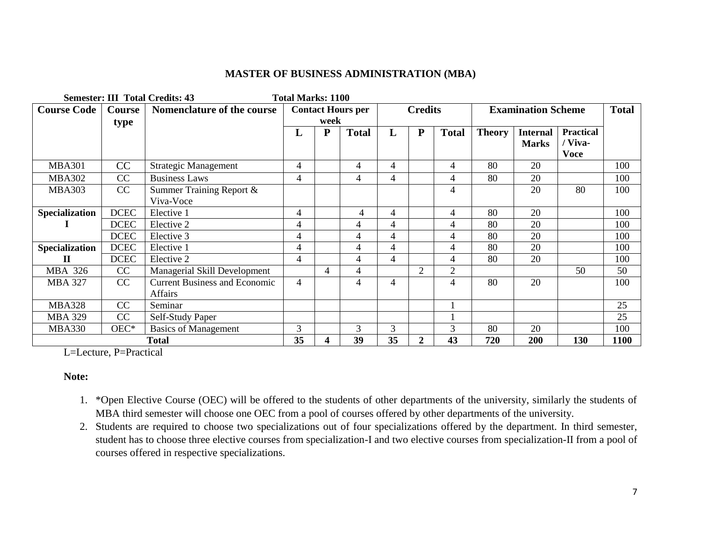|                       |             | <b>Semester: III Total Credits: 43</b> | <b>Total Marks: 1100</b> |           |                |                |                |                           |               |                 |                        |             |
|-----------------------|-------------|----------------------------------------|--------------------------|-----------|----------------|----------------|----------------|---------------------------|---------------|-----------------|------------------------|-------------|
| <b>Course Code</b>    | Course      | Nomenclature of the course             | <b>Contact Hours per</b> |           | <b>Credits</b> |                |                | <b>Examination Scheme</b> |               |                 | <b>Total</b>           |             |
|                       | type        |                                        |                          | week      |                |                |                |                           |               |                 |                        |             |
|                       |             |                                        | L                        | ${\bf P}$ | <b>Total</b>   | L              | ${\bf P}$      | <b>Total</b>              | <b>Theory</b> | <b>Internal</b> | <b>Practical</b>       |             |
|                       |             |                                        |                          |           |                |                |                |                           |               | <b>Marks</b>    | / Viva-<br><b>Voce</b> |             |
| <b>MBA301</b>         | CC          | <b>Strategic Management</b>            | 4                        |           | 4              | $\overline{4}$ |                | $\overline{4}$            | 80            | 20              |                        | 100         |
| <b>MBA302</b>         | CC          | <b>Business Laws</b>                   | $\overline{4}$           |           | $\overline{4}$ | 4              |                | $\overline{4}$            | 80            | 20              |                        | 100         |
| <b>MBA303</b>         | CC          | Summer Training Report &               |                          |           |                |                |                | 4                         |               | 20              | 80                     | 100         |
|                       |             | Viva-Voce                              |                          |           |                |                |                |                           |               |                 |                        |             |
| <b>Specialization</b> | <b>DCEC</b> | Elective 1                             | 4                        |           | 4              | 4              |                | 4                         | 80            | 20              |                        | 100         |
|                       | <b>DCEC</b> | Elective 2                             | 4                        |           | $\overline{4}$ | 4              |                | $\overline{4}$            | 80            | 20              |                        | 100         |
|                       | <b>DCEC</b> | Elective 3                             | 4                        |           | $\overline{4}$ | 4              |                | $\overline{4}$            | 80            | 20              |                        | 100         |
| <b>Specialization</b> | <b>DCEC</b> | Elective 1                             | 4                        |           | $\overline{4}$ | 4              |                | $\overline{4}$            | 80            | 20              |                        | 100         |
| П                     | <b>DCEC</b> | Elective 2                             | 4                        |           | 4              | 4              |                | $\overline{4}$            | 80            | 20              |                        | 100         |
| <b>MBA 326</b>        | CC          | Managerial Skill Development           |                          | 4         | 4              |                | 2              | $\overline{2}$            |               |                 | 50                     | 50          |
| <b>MBA 327</b>        | CC          | <b>Current Business and Economic</b>   | 4                        |           | 4              | 4              |                | $\overline{4}$            | 80            | 20              |                        | 100         |
|                       |             | Affairs                                |                          |           |                |                |                |                           |               |                 |                        |             |
| <b>MBA328</b>         | CC          | Seminar                                |                          |           |                |                |                |                           |               |                 |                        | 25          |
| <b>MBA 329</b>        | CC          | Self-Study Paper                       |                          |           |                |                |                |                           |               |                 |                        | 25          |
| <b>MBA330</b>         | OEC*        | <b>Basics of Management</b>            | $\overline{3}$           |           | 3              | 3              |                | 3                         | 80            | 20              |                        | 100         |
| <b>Total</b>          |             |                                        | 35                       | 4         | 39             | 35             | $\overline{2}$ | 43                        | 720           | 200             | 130                    | <b>1100</b> |

L=Lecture, P=Practical

#### **Note:**

- 1. \*Open Elective Course (OEC) will be offered to the students of other departments of the university, similarly the students of MBA third semester will choose one OEC from a pool of courses offered by other departments of the university.
- 2. Students are required to choose two specializations out of four specializations offered by the department. In third semester, student has to choose three elective courses from specialization-I and two elective courses from specialization-II from a pool of courses offered in respective specializations.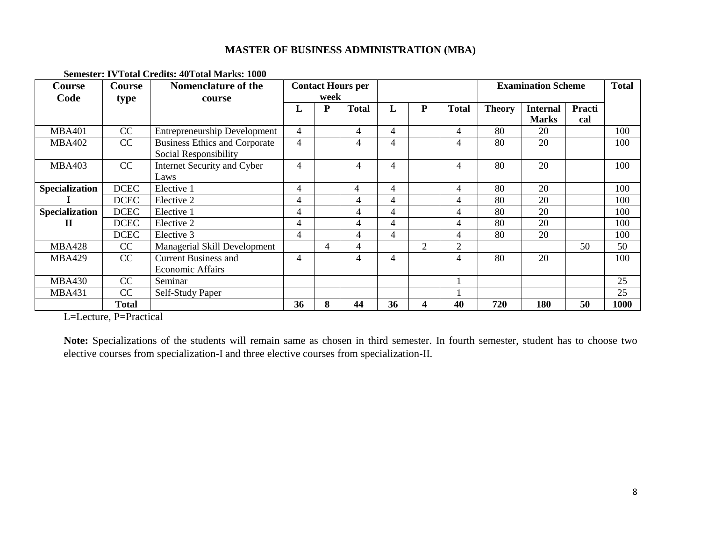| <b>Course</b>         | <b>Course</b> | <b>Nomenclature of the</b>           | <b>Contact Hours per</b> |                |              |                |                | <b>Examination Scheme</b> |               | <b>Total</b>    |        |      |
|-----------------------|---------------|--------------------------------------|--------------------------|----------------|--------------|----------------|----------------|---------------------------|---------------|-----------------|--------|------|
| Code                  | type          | course                               | week                     |                |              |                |                |                           |               |                 |        |      |
|                       |               |                                      | L                        | ${\bf P}$      | <b>Total</b> | L              | ${\bf P}$      | <b>Total</b>              | <b>Theory</b> | <b>Internal</b> | Practi |      |
|                       |               |                                      |                          |                |              |                |                |                           |               | <b>Marks</b>    | cal    |      |
| <b>MBA401</b>         | CC            | <b>Entrepreneurship Development</b>  | $\overline{4}$           |                | 4            | $\overline{4}$ |                | 4                         | 80            | 20              |        | 100  |
| <b>MBA402</b>         | CC            | <b>Business Ethics and Corporate</b> | 4                        |                | 4            | $\overline{4}$ |                | 4                         | 80            | 20              |        | 100  |
|                       |               | Social Responsibility                |                          |                |              |                |                |                           |               |                 |        |      |
| <b>MBA403</b>         | CC            | Internet Security and Cyber          | 4                        |                | 4            | $\overline{4}$ |                | 4                         | 80            | 20              |        | 100  |
|                       |               | Laws                                 |                          |                |              |                |                |                           |               |                 |        |      |
| <b>Specialization</b> | <b>DCEC</b>   | Elective 1                           | 4                        |                | 4            | 4              |                | 4                         | 80            | 20              |        | 100  |
|                       | <b>DCEC</b>   | Elective 2                           | 4                        |                | 4            | $\overline{4}$ |                | 4                         | 80            | 20              |        | 100  |
| Specialization        | <b>DCEC</b>   | Elective 1                           | 4                        |                | 4            | $\overline{4}$ |                | 4                         | 80            | 20              |        | 100  |
| П                     | <b>DCEC</b>   | Elective 2                           | 4                        |                | 4            | $\overline{4}$ |                | 4                         | 80            | 20              |        | 100  |
|                       | <b>DCEC</b>   | Elective 3                           | 4                        |                | 4            | $\overline{4}$ |                | $\overline{\mathcal{A}}$  | 80            | 20              |        | 100  |
| <b>MBA428</b>         | CC            | Managerial Skill Development         |                          | $\overline{4}$ | 4            |                | $\overline{2}$ | $\overline{2}$            |               |                 | 50     | 50   |
| <b>MBA429</b>         | CC            | <b>Current Business and</b>          | $\overline{4}$           |                | 4            | $\overline{4}$ |                | 4                         | 80            | 20              |        | 100  |
|                       |               | <b>Economic Affairs</b>              |                          |                |              |                |                |                           |               |                 |        |      |
| <b>MBA430</b>         | CC            | Seminar                              |                          |                |              |                |                |                           |               |                 |        | 25   |
| <b>MBA431</b>         | CC            | Self-Study Paper                     |                          |                |              |                |                |                           |               |                 |        | 25   |
|                       | <b>Total</b>  |                                      | 36                       | 8              | 44           | 36             | 4              | 40                        | 720           | 180             | 50     | 1000 |

#### **Semester: IVTotal Credits: 40Total Marks: 1000**

L=Lecture, P=Practical

**Note:** Specializations of the students will remain same as chosen in third semester. In fourth semester, student has to choose two elective courses from specialization-I and three elective courses from specialization-II.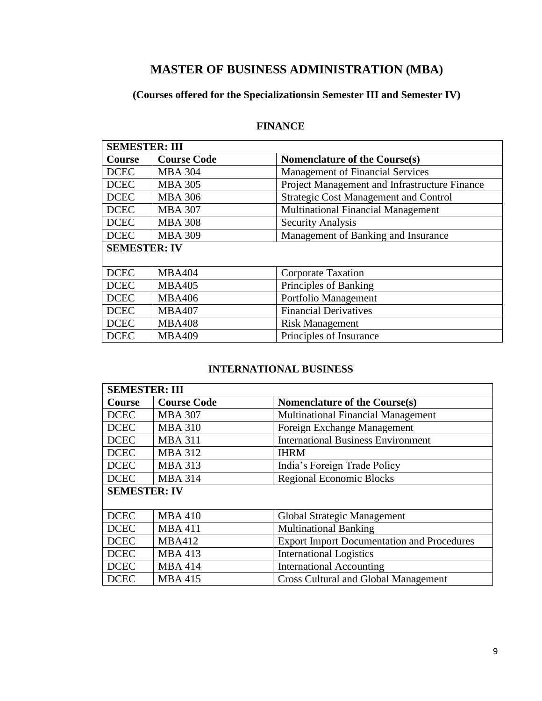# **(Courses offered for the Specializationsin Semester III and Semester IV)**

# **FINANCE**

| <b>SEMESTER: III</b> |                    |                                               |  |  |
|----------------------|--------------------|-----------------------------------------------|--|--|
| Course               | <b>Course Code</b> | Nomenclature of the Course(s)                 |  |  |
| <b>DCEC</b>          | <b>MBA 304</b>     | <b>Management of Financial Services</b>       |  |  |
| <b>DCEC</b>          | <b>MBA 305</b>     | Project Management and Infrastructure Finance |  |  |
| <b>DCEC</b>          | <b>MBA 306</b>     | <b>Strategic Cost Management and Control</b>  |  |  |
| <b>DCEC</b>          | <b>MBA 307</b>     | <b>Multinational Financial Management</b>     |  |  |
| <b>DCEC</b>          | <b>MBA 308</b>     | <b>Security Analysis</b>                      |  |  |
| <b>DCEC</b>          | <b>MBA 309</b>     | Management of Banking and Insurance           |  |  |
| <b>SEMESTER: IV</b>  |                    |                                               |  |  |
|                      |                    |                                               |  |  |
| <b>DCEC</b>          | <b>MBA404</b>      | Corporate Taxation                            |  |  |
| <b>DCEC</b>          | <b>MBA405</b>      | Principles of Banking                         |  |  |
| <b>DCEC</b>          | <b>MBA406</b>      | Portfolio Management                          |  |  |
| <b>DCEC</b>          | <b>MBA407</b>      | <b>Financial Derivatives</b>                  |  |  |
| <b>DCEC</b>          | <b>MBA408</b>      | <b>Risk Management</b>                        |  |  |
| <b>DCEC</b>          | <b>MBA409</b>      | Principles of Insurance                       |  |  |

# **INTERNATIONAL BUSINESS**

| <b>SEMESTER: III</b> |                    |                                                   |  |  |  |  |
|----------------------|--------------------|---------------------------------------------------|--|--|--|--|
| Course               | <b>Course Code</b> | <b>Nomenclature of the Course(s)</b>              |  |  |  |  |
| <b>DCEC</b>          | <b>MBA 307</b>     | <b>Multinational Financial Management</b>         |  |  |  |  |
| <b>DCEC</b>          | <b>MBA 310</b>     | Foreign Exchange Management                       |  |  |  |  |
| <b>DCEC</b>          | <b>MBA 311</b>     | <b>International Business Environment</b>         |  |  |  |  |
| <b>DCEC</b>          | <b>MBA 312</b>     | <b>IHRM</b>                                       |  |  |  |  |
| <b>DCEC</b>          | <b>MBA 313</b>     | India's Foreign Trade Policy                      |  |  |  |  |
| <b>DCEC</b>          | <b>MBA 314</b>     | <b>Regional Economic Blocks</b>                   |  |  |  |  |
| <b>SEMESTER: IV</b>  |                    |                                                   |  |  |  |  |
|                      |                    |                                                   |  |  |  |  |
| <b>DCEC</b>          | <b>MBA410</b>      | Global Strategic Management                       |  |  |  |  |
| <b>DCEC</b>          | <b>MBA 411</b>     | <b>Multinational Banking</b>                      |  |  |  |  |
| <b>DCEC</b>          | <b>MBA412</b>      | <b>Export Import Documentation and Procedures</b> |  |  |  |  |
| <b>DCEC</b>          | <b>MBA 413</b>     | <b>International Logistics</b>                    |  |  |  |  |
| <b>DCEC</b>          | <b>MBA 414</b>     | <b>International Accounting</b>                   |  |  |  |  |
| <b>DCEC</b>          | <b>MBA415</b>      | <b>Cross Cultural and Global Management</b>       |  |  |  |  |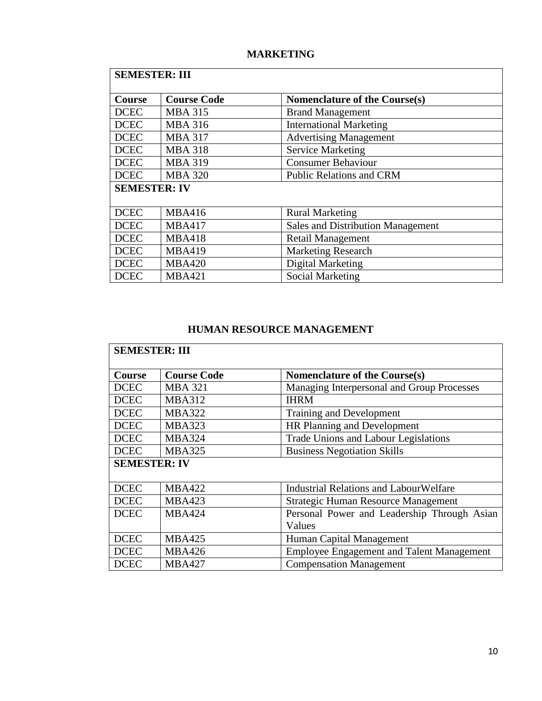# **MARKETING**

| <b>SEMESTER: III</b> |                    |                                          |  |  |  |  |  |
|----------------------|--------------------|------------------------------------------|--|--|--|--|--|
| Course               | <b>Course Code</b> | Nomenclature of the Course(s)            |  |  |  |  |  |
| <b>DCEC</b>          | <b>MBA 315</b>     | <b>Brand Management</b>                  |  |  |  |  |  |
| <b>DCEC</b>          | <b>MBA 316</b>     | <b>International Marketing</b>           |  |  |  |  |  |
| <b>DCEC</b>          | <b>MBA 317</b>     | <b>Advertising Management</b>            |  |  |  |  |  |
| <b>DCEC</b>          | <b>MBA 318</b>     | <b>Service Marketing</b>                 |  |  |  |  |  |
| <b>DCEC</b>          | <b>MBA 319</b>     | <b>Consumer Behaviour</b>                |  |  |  |  |  |
| <b>DCEC</b>          | <b>MBA 320</b>     | <b>Public Relations and CRM</b>          |  |  |  |  |  |
| <b>SEMESTER: IV</b>  |                    |                                          |  |  |  |  |  |
|                      |                    |                                          |  |  |  |  |  |
| <b>DCEC</b>          | <b>MBA416</b>      | <b>Rural Marketing</b>                   |  |  |  |  |  |
| <b>DCEC</b>          | <b>MBA417</b>      | <b>Sales and Distribution Management</b> |  |  |  |  |  |
| <b>DCEC</b>          | <b>MBA418</b>      | <b>Retail Management</b>                 |  |  |  |  |  |
| <b>DCEC</b>          | <b>MBA419</b>      | <b>Marketing Research</b>                |  |  |  |  |  |
| <b>DCEC</b>          | <b>MBA420</b>      | <b>Digital Marketing</b>                 |  |  |  |  |  |
| <b>DCEC</b>          | <b>MBA421</b>      | <b>Social Marketing</b>                  |  |  |  |  |  |

# **HUMAN RESOURCE MANAGEMENT**

| <b>SEMESTER: III</b> |                    |                                                  |  |  |  |  |  |
|----------------------|--------------------|--------------------------------------------------|--|--|--|--|--|
| <b>Course</b>        | <b>Course Code</b> | Nomenclature of the Course(s)                    |  |  |  |  |  |
| <b>DCEC</b>          | <b>MBA 321</b>     | Managing Interpersonal and Group Processes       |  |  |  |  |  |
| <b>DCEC</b>          | <b>MBA312</b>      | <b>IHRM</b>                                      |  |  |  |  |  |
| <b>DCEC</b>          | <b>MBA322</b>      | Training and Development                         |  |  |  |  |  |
| <b>DCEC</b>          | <b>MBA323</b>      | HR Planning and Development                      |  |  |  |  |  |
| <b>DCEC</b>          | <b>MBA324</b>      | Trade Unions and Labour Legislations             |  |  |  |  |  |
| <b>DCEC</b>          | <b>MBA325</b>      | <b>Business Negotiation Skills</b>               |  |  |  |  |  |
| <b>SEMESTER: IV</b>  |                    |                                                  |  |  |  |  |  |
|                      |                    |                                                  |  |  |  |  |  |
| <b>DCEC</b>          | <b>MBA422</b>      | <b>Industrial Relations and LabourWelfare</b>    |  |  |  |  |  |
| <b>DCEC</b>          | <b>MBA423</b>      | Strategic Human Resource Management              |  |  |  |  |  |
| <b>DCEC</b>          | <b>MBA424</b>      | Personal Power and Leadership Through Asian      |  |  |  |  |  |
|                      |                    | Values                                           |  |  |  |  |  |
| <b>DCEC</b>          | <b>MBA425</b>      | Human Capital Management                         |  |  |  |  |  |
| <b>DCEC</b>          | MBA426             | <b>Employee Engagement and Talent Management</b> |  |  |  |  |  |
| <b>DCEC</b>          | <b>MBA427</b>      | <b>Compensation Management</b>                   |  |  |  |  |  |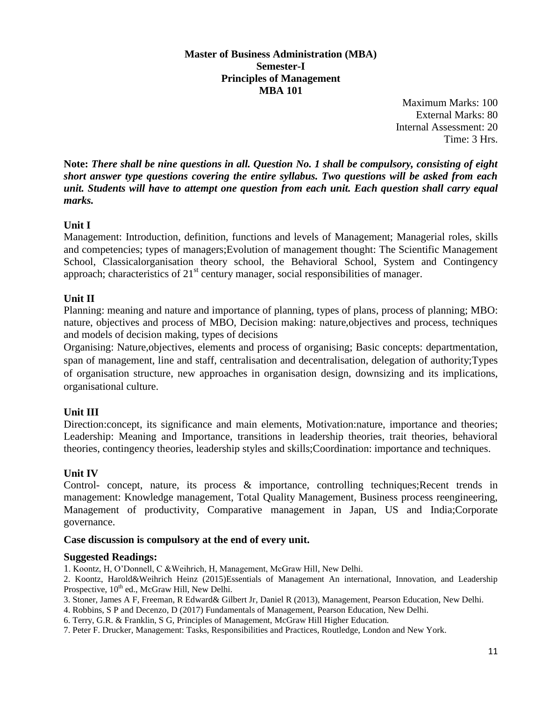#### **Master of Business Administration (MBA) Semester-I Principles of Management MBA 101**

Maximum Marks: 100 External Marks: 80 Internal Assessment: 20 Time: 3 Hrs.

**Note:** *There shall be nine questions in all. Question No. 1 shall be compulsory, consisting of eight short answer type questions covering the entire syllabus. Two questions will be asked from each unit. Students will have to attempt one question from each unit. Each question shall carry equal marks.*

# **Unit I**

Management: Introduction, definition, functions and levels of Management; Managerial roles, skills and competencies; types of managers;Evolution of management thought: The Scientific Management School, Classicalorganisation theory school, the Behavioral School, System and Contingency approach; characteristics of  $21<sup>st</sup>$  century manager, social responsibilities of manager.

# **Unit II**

Planning: meaning and nature and importance of planning, types of plans, process of planning; MBO: nature, objectives and process of MBO, Decision making: nature,objectives and process, techniques and models of decision making, types of decisions

Organising: Nature,objectives, elements and process of organising; Basic concepts: departmentation, span of management, line and staff, centralisation and decentralisation, delegation of authority;Types of organisation structure, new approaches in organisation design, downsizing and its implications, organisational culture.

# **Unit III**

Direction:concept, its significance and main elements, Motivation:nature, importance and theories; Leadership: Meaning and Importance, transitions in leadership theories, trait theories, behavioral theories, contingency theories, leadership styles and skills;Coordination: importance and techniques.

# **Unit IV**

Control- concept, nature, its process & importance, controlling techniques;Recent trends in management: Knowledge management, Total Quality Management, Business process reengineering, Management of productivity, Comparative management in Japan, US and India;Corporate governance.

# **Case discussion is compulsory at the end of every unit.**

# **Suggested Readings:**

- 1. Koontz, H, O'Donnell, C &Weihrich, H, Management, McGraw Hill, New Delhi.
- 2. Koontz, Harold&Weihrich Heinz (2015)Essentials of Management An international, Innovation, and Leadership Prospective, 10<sup>th</sup> ed., McGraw Hill, New Delhi.
- 3. Stoner, James A F, Freeman, R Edward& Gilbert Jr, Daniel R (2013), Management, Pearson Education, New Delhi.
- 4. Robbins, S P and Decenzo, D (2017) Fundamentals of Management, Pearson Education, New Delhi.
- 6. Terry, G.R. & Franklin, S G, Principles of Management, McGraw Hill Higher Education.
- 7. Peter F. Drucker, Management: Tasks, Responsibilities and Practices, Routledge, London and New York.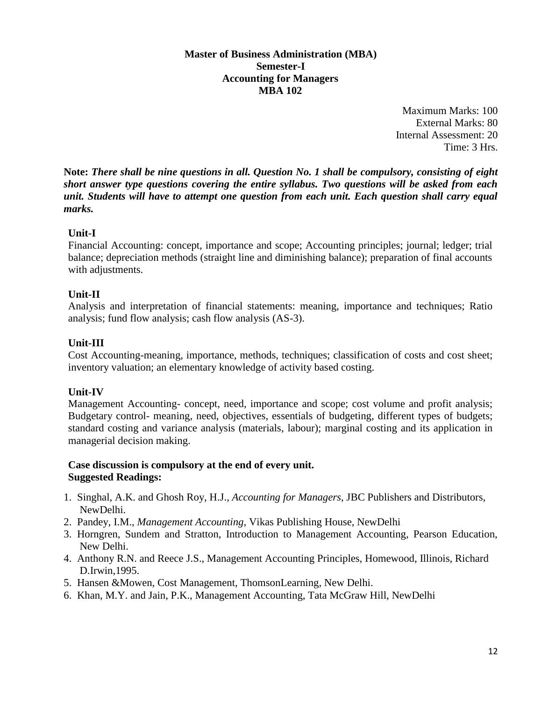#### **Master of Business Administration (MBA) Semester-I Accounting for Managers MBA 102**

Maximum Marks: 100 External Marks: 80 Internal Assessment: 20 Time: 3 Hrs.

**Note:** *There shall be nine questions in all. Question No. 1 shall be compulsory, consisting of eight short answer type questions covering the entire syllabus. Two questions will be asked from each unit. Students will have to attempt one question from each unit. Each question shall carry equal marks.*

#### **Unit-I**

Financial Accounting: concept, importance and scope; Accounting principles; journal; ledger; trial balance; depreciation methods (straight line and diminishing balance); preparation of final accounts with adjustments.

#### **Unit-II**

Analysis and interpretation of financial statements: meaning, importance and techniques; Ratio analysis; fund flow analysis; cash flow analysis (AS-3).

# **Unit-III**

Cost Accounting-meaning, importance, methods, techniques; classification of costs and cost sheet; inventory valuation; an elementary knowledge of activity based costing.

# **Unit-IV**

Management Accounting- concept, need, importance and scope; cost volume and profit analysis; Budgetary control- meaning, need, objectives, essentials of budgeting, different types of budgets; standard costing and variance analysis (materials, labour); marginal costing and its application in managerial decision making.

#### **Case discussion is compulsory at the end of every unit. Suggested Readings:**

- 1. Singhal, A.K. and Ghosh Roy, H.J., *Accounting for Managers*, JBC Publishers and Distributors, NewDelhi.
- 2. Pandey, I.M., *Management Accounting*, Vikas Publishing House, NewDelhi
- 3. Horngren, Sundem and Stratton, Introduction to Management Accounting, Pearson Education, New Delhi.
- 4. Anthony R.N. and Reece J.S., Management Accounting Principles, Homewood, Illinois, Richard D.Irwin,1995.
- 5. Hansen &Mowen, Cost Management, ThomsonLearning, New Delhi.
- 6. Khan, M.Y. and Jain, P.K., Management Accounting, Tata McGraw Hill, NewDelhi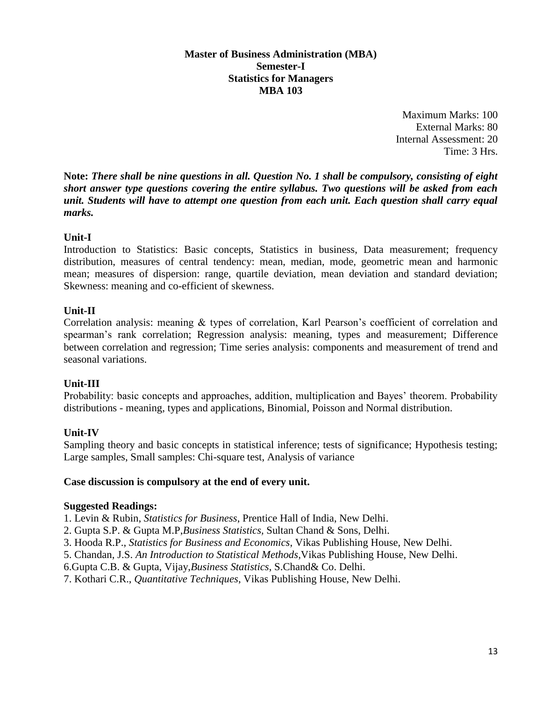#### **Master of Business Administration (MBA) Semester-I Statistics for Managers MBA 103**

Maximum Marks: 100 External Marks: 80 Internal Assessment: 20 Time: 3 Hrs.

**Note:** *There shall be nine questions in all. Question No. 1 shall be compulsory, consisting of eight short answer type questions covering the entire syllabus. Two questions will be asked from each unit. Students will have to attempt one question from each unit. Each question shall carry equal marks.*

#### **Unit-I**

Introduction to Statistics: Basic concepts, Statistics in business, Data measurement; frequency distribution, measures of central tendency: mean, median, mode, geometric mean and harmonic mean; measures of dispersion: range, quartile deviation, mean deviation and standard deviation; Skewness: meaning and co-efficient of skewness.

#### **Unit-II**

Correlation analysis: meaning & types of correlation, Karl Pearson's coefficient of correlation and spearman's rank correlation; Regression analysis: meaning, types and measurement; Difference between correlation and regression; Time series analysis: components and measurement of trend and seasonal variations.

# **Unit-III**

Probability: basic concepts and approaches, addition, multiplication and Bayes' theorem. Probability distributions - meaning, types and applications, Binomial, Poisson and Normal distribution.

# **Unit-IV**

Sampling theory and basic concepts in statistical inference; tests of significance; Hypothesis testing; Large samples, Small samples: Chi-square test, Analysis of variance

#### **Case discussion is compulsory at the end of every unit.**

#### **Suggested Readings:**

1. Levin & Rubin, *Statistics for Business*, Prentice Hall of India, New Delhi.

- 2. Gupta S.P. & Gupta M.P,*Business Statistics,* Sultan Chand & Sons, Delhi.
- 3. Hooda R.P., *Statistics for Business and Economics*, Vikas Publishing House, New Delhi.
- 5. Chandan, J.S. *An Introduction to Statistical Methods,*Vikas Publishing House, New Delhi.
- 6.Gupta C.B. & Gupta, Vijay,*Business Statistics*, S.Chand& Co. Delhi.
- 7. Kothari C.R., *Quantitative Techniques*, Vikas Publishing House, New Delhi.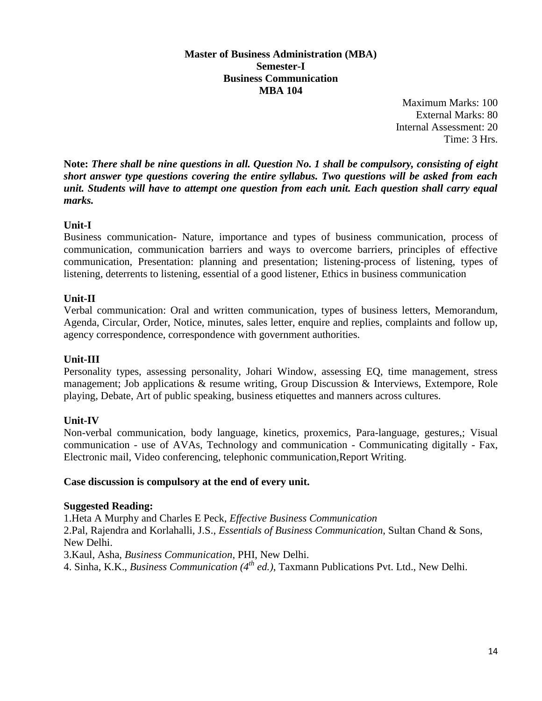#### **Master of Business Administration (MBA) Semester-I Business Communication MBA 104**

Maximum Marks: 100 External Marks: 80 Internal Assessment: 20 Time: 3 Hrs.

**Note:** *There shall be nine questions in all. Question No. 1 shall be compulsory, consisting of eight short answer type questions covering the entire syllabus. Two questions will be asked from each unit. Students will have to attempt one question from each unit. Each question shall carry equal marks.*

# **Unit-I**

Business communication- Nature, importance and types of business communication, process of communication, communication barriers and ways to overcome barriers, principles of effective communication, Presentation: planning and presentation; listening-process of listening, types of listening, deterrents to listening, essential of a good listener, Ethics in business communication

# **Unit-II**

Verbal communication: Oral and written communication, types of business letters, Memorandum, Agenda, Circular, Order, Notice, minutes, sales letter, enquire and replies, complaints and follow up, agency correspondence, correspondence with government authorities.

# **Unit-III**

Personality types, assessing personality, Johari Window, assessing EQ, time management, stress management; Job applications & resume writing, Group Discussion & Interviews, Extempore, Role playing, Debate, Art of public speaking, business etiquettes and manners across cultures.

# **Unit-IV**

Non-verbal communication, body language, kinetics, proxemics, Para-language, gestures,; Visual communication - use of AVAs, Technology and communication - Communicating digitally - Fax, Electronic mail, Video conferencing, telephonic communication,Report Writing.

#### **Case discussion is compulsory at the end of every unit.**

#### **Suggested Reading:**

1.Heta A Murphy and Charles E Peck, *Effective Business Communication*

2.Pal, Rajendra and Korlahalli, J.S., *Essentials of Business Communication*, Sultan Chand & Sons, New Delhi.

3.Kaul, Asha, *Business Communication*, PHI, New Delhi.

4. Sinha, K.K., *Business Communication (4th ed.)*, Taxmann Publications Pvt. Ltd., New Delhi.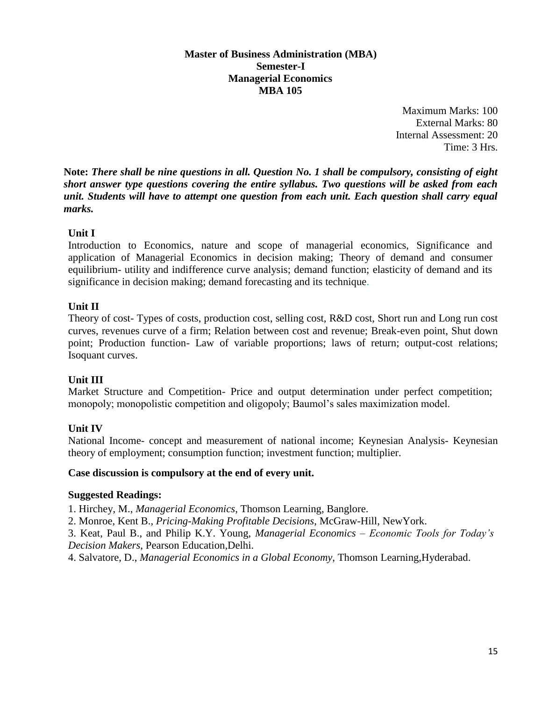#### **Master of Business Administration (MBA) Semester-I Managerial Economics MBA 105**

Maximum Marks: 100 External Marks: 80 Internal Assessment: 20 Time: 3 Hrs.

**Note:** *There shall be nine questions in all. Question No. 1 shall be compulsory, consisting of eight short answer type questions covering the entire syllabus. Two questions will be asked from each unit. Students will have to attempt one question from each unit. Each question shall carry equal marks.*

# **Unit I**

Introduction to Economics, nature and scope of managerial economics, Significance and application of Managerial Economics in decision making; Theory of demand and consumer equilibrium- utility and indifference curve analysis; demand function; elasticity of demand and its significance in decision making; demand forecasting and its technique.

# **Unit II**

Theory of cost- Types of costs, production cost, selling cost, R&D cost, Short run and Long run cost curves, revenues curve of a firm; Relation between cost and revenue; Break-even point, Shut down point; Production function- Law of variable proportions; laws of return; output-cost relations; Isoquant curves.

# **Unit III**

Market Structure and Competition- Price and output determination under perfect competition; monopoly; monopolistic competition and oligopoly; Baumol's sales maximization model.

# **Unit IV**

National Income- concept and measurement of national income; Keynesian Analysis- Keynesian theory of employment; consumption function; investment function; multiplier.

# **Case discussion is compulsory at the end of every unit.**

# **Suggested Readings:**

1. Hirchey, M., *Managerial Economics*, Thomson Learning, Banglore.

2. Monroe, Kent B., *Pricing-Making Profitable Decisions*, McGraw-Hill, NewYork.

3. Keat, Paul B., and Philip K.Y. Young, *Managerial Economics – Economic Tools for Today's Decision Makers*, Pearson Education,Delhi.

4. Salvatore, D., *Managerial Economics in a Global Economy*, Thomson Learning,Hyderabad.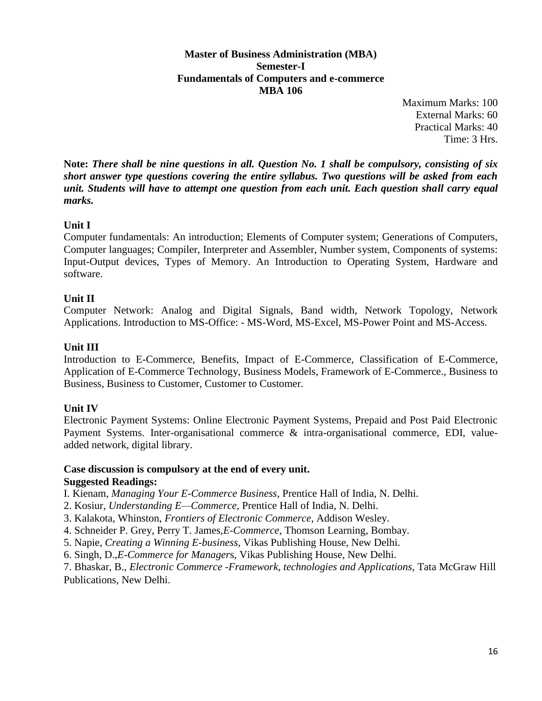**Master of Business Administration (MBA) Semester-I Fundamentals of Computers and e-commerce MBA 106**

> Maximum Marks: 100 External Marks: 60 Practical Marks: 40 Time: 3 Hrs.

**Note:** *There shall be nine questions in all. Question No. 1 shall be compulsory, consisting of six short answer type questions covering the entire syllabus. Two questions will be asked from each unit. Students will have to attempt one question from each unit. Each question shall carry equal marks.*

# **Unit I**

Computer fundamentals: An introduction; Elements of Computer system; Generations of Computers, Computer languages; Compiler, Interpreter and Assembler, Number system, Components of systems: Input-Output devices, Types of Memory. An Introduction to Operating System, Hardware and software.

#### **Unit II**

Computer Network: Analog and Digital Signals, Band width, Network Topology, Network Applications. Introduction to MS-Office: - MS-Word, MS-Excel, MS-Power Point and MS-Access.

#### **Unit III**

Introduction to E-Commerce, Benefits, Impact of E-Commerce, Classification of E-Commerce, Application of E-Commerce Technology, Business Models, Framework of E-Commerce., Business to Business, Business to Customer, Customer to Customer.

# **Unit IV**

Electronic Payment Systems: Online Electronic Payment Systems, Prepaid and Post Paid Electronic Payment Systems. Inter-organisational commerce & intra-organisational commerce, EDI, valueadded network, digital library.

# **Case discussion is compulsory at the end of every unit.**

#### **Suggested Readings:**

I. Kienam, *Managing Your E-Commerce Business*, Prentice Hall of India, N. Delhi.

- 2. Kosiur, *Understanding E—Commerce*, Prentice Hall of India, N. Delhi.
- 3. Kalakota, Whinston, *Frontiers of Electronic Commerce*, Addison Wesley.
- 4. Schneider P. Grey, Perry T. James,*E-Commerce*, Thomson Learning, Bombay.
- 5. Napie, *Creating a Winning E-business*, Vikas Publishing House, New Delhi.

6. Singh, D.,*E-Commerce for Manager*s, Vikas Publishing House, New Delhi.

7. Bhaskar, B., *Electronic Commerce -Framework, technologies and Applications*, Tata McGraw Hill Publications, New Delhi.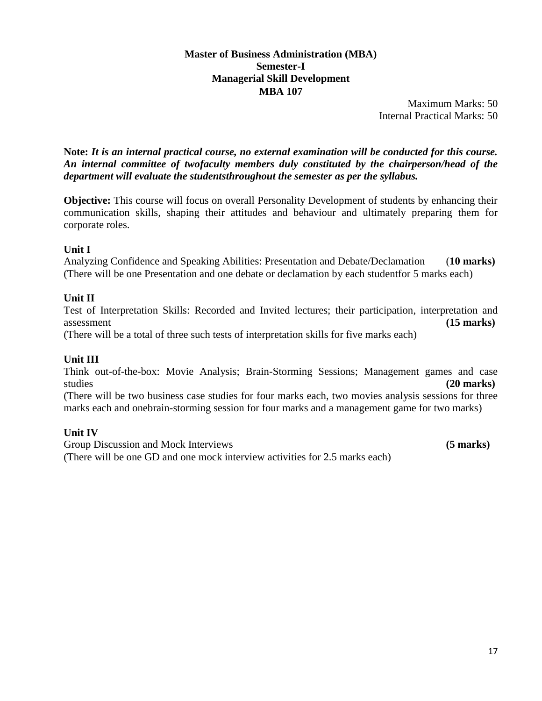#### **Master of Business Administration (MBA) Semester-I Managerial Skill Development MBA 107**

Maximum Marks: 50 Internal Practical Marks: 50

**Note:** *It is an internal practical course, no external examination will be conducted for this course. An internal committee of twofaculty members duly constituted by the chairperson/head of the department will evaluate the studentsthroughout the semester as per the syllabus.*

**Objective:** This course will focus on overall Personality Development of students by enhancing their communication skills, shaping their attitudes and behaviour and ultimately preparing them for corporate roles.

# **Unit I**

Analyzing Confidence and Speaking Abilities: Presentation and Debate/Declamation (**10 marks)** (There will be one Presentation and one debate or declamation by each studentfor 5 marks each)

# **Unit II**

Test of Interpretation Skills: Recorded and Invited lectures; their participation, interpretation and assessment **(15 marks)**

(There will be a total of three such tests of interpretation skills for five marks each)

# **Unit III**

Think out-of-the-box: Movie Analysis; Brain-Storming Sessions; Management games and case studies **(20 marks)**

(There will be two business case studies for four marks each, two movies analysis sessions for three marks each and onebrain-storming session for four marks and a management game for two marks)

# **Unit IV**

Group Discussion and Mock Interviews **(5 marks) (5 marks)** (There will be one GD and one mock interview activities for 2.5 marks each)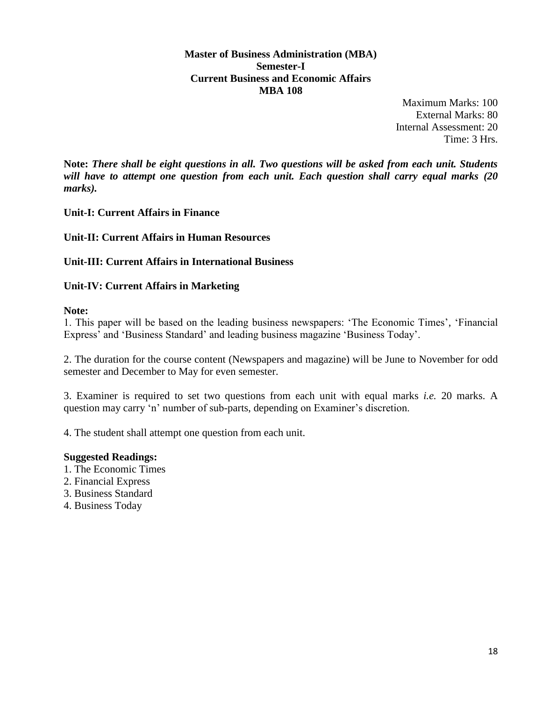**Master of Business Administration (MBA) Semester-I Current Business and Economic Affairs MBA 108**

> Maximum Marks: 100 External Marks: 80 Internal Assessment: 20 Time: 3 Hrs.

**Note:** *There shall be eight questions in all. Two questions will be asked from each unit. Students will have to attempt one question from each unit. Each question shall carry equal marks (20 marks).*

**Unit-I: Current Affairs in Finance**

**Unit-II: Current Affairs in Human Resources** 

**Unit-III: Current Affairs in International Business** 

**Unit-IV: Current Affairs in Marketing** 

**Note:** 

1. This paper will be based on the leading business newspapers: 'The Economic Times', 'Financial Express' and 'Business Standard' and leading business magazine 'Business Today'.

2. The duration for the course content (Newspapers and magazine) will be June to November for odd semester and December to May for even semester.

3. Examiner is required to set two questions from each unit with equal marks *i.e.* 20 marks. A question may carry 'n' number of sub-parts, depending on Examiner's discretion.

4. The student shall attempt one question from each unit.

#### **Suggested Readings:**

- 1. The Economic Times
- 2. Financial Express
- 3. Business Standard
- 4. Business Today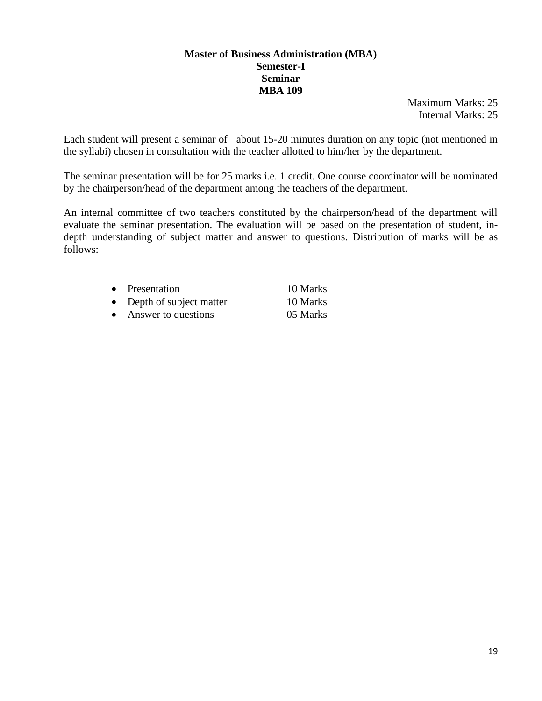#### **Master of Business Administration (MBA) Semester-I Seminar MBA 109**

Maximum Marks: 25 Internal Marks: 25

Each student will present a seminar of about 15-20 minutes duration on any topic (not mentioned in the syllabi) chosen in consultation with the teacher allotted to him/her by the department.

The seminar presentation will be for 25 marks i.e. 1 credit. One course coordinator will be nominated by the chairperson/head of the department among the teachers of the department.

An internal committee of two teachers constituted by the chairperson/head of the department will evaluate the seminar presentation. The evaluation will be based on the presentation of student, indepth understanding of subject matter and answer to questions. Distribution of marks will be as follows:

|           | • Presentation            | 10 Marks |
|-----------|---------------------------|----------|
|           | • Depth of subject matter | 10 Marks |
| $\bullet$ | Answer to questions       | 05 Marks |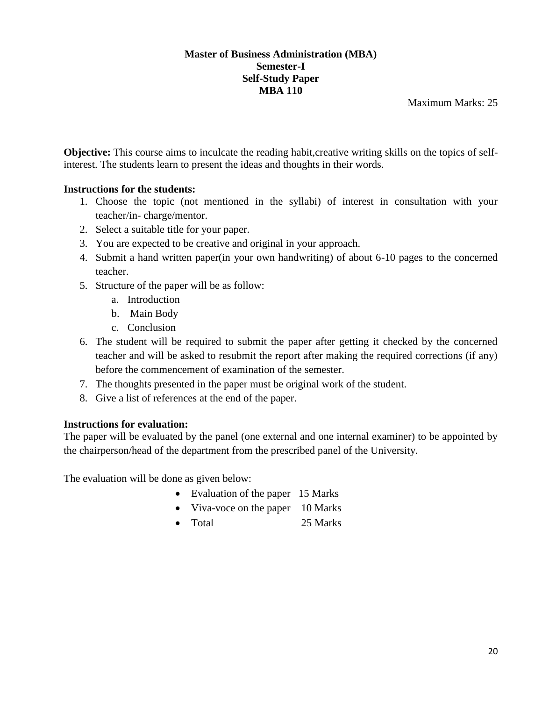#### **Master of Business Administration (MBA) Semester-I Self-Study Paper MBA 110**

Maximum Marks: 25

**Objective:** This course aims to inculcate the reading habit, creative writing skills on the topics of selfinterest. The students learn to present the ideas and thoughts in their words.

# **Instructions for the students:**

- 1. Choose the topic (not mentioned in the syllabi) of interest in consultation with your teacher/in- charge/mentor.
- 2. Select a suitable title for your paper.
- 3. You are expected to be creative and original in your approach.
- 4. Submit a hand written paper(in your own handwriting) of about 6-10 pages to the concerned teacher.
- 5. Structure of the paper will be as follow:
	- a. Introduction
	- b. Main Body
	- c. Conclusion
- 6. The student will be required to submit the paper after getting it checked by the concerned teacher and will be asked to resubmit the report after making the required corrections (if any) before the commencement of examination of the semester.
- 7. The thoughts presented in the paper must be original work of the student.
- 8. Give a list of references at the end of the paper.

# **Instructions for evaluation:**

The paper will be evaluated by the panel (one external and one internal examiner) to be appointed by the chairperson/head of the department from the prescribed panel of the University.

The evaluation will be done as given below:

- Evaluation of the paper 15 Marks
- Viva-voce on the paper 10 Marks
- Total 25 Marks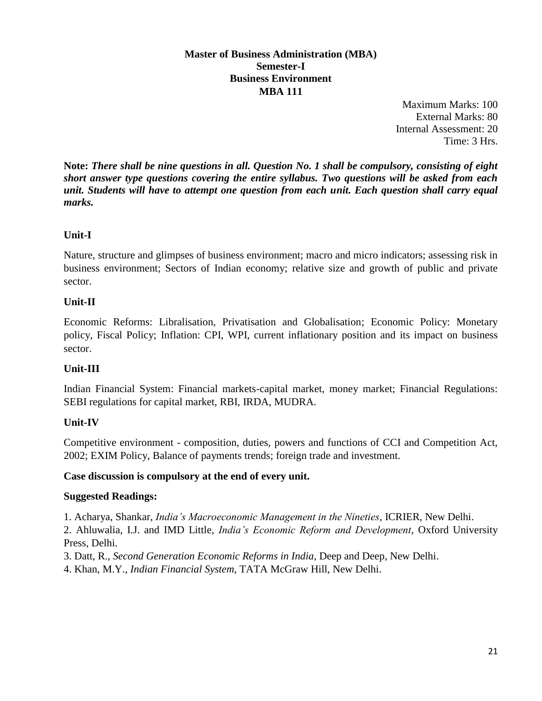# **Master of Business Administration (MBA) Semester-I Business Environment MBA 111**

Maximum Marks: 100 External Marks: 80 Internal Assessment: 20 Time: 3 Hrs.

**Note:** *There shall be nine questions in all. Question No. 1 shall be compulsory, consisting of eight short answer type questions covering the entire syllabus. Two questions will be asked from each unit. Students will have to attempt one question from each unit. Each question shall carry equal marks.*

# **Unit-I**

Nature, structure and glimpses of business environment; macro and micro indicators; assessing risk in business environment; Sectors of Indian economy; relative size and growth of public and private sector.

# **Unit-II**

Economic Reforms: Libralisation, Privatisation and Globalisation; Economic Policy: Monetary policy, Fiscal Policy; Inflation: CPI, WPI, current inflationary position and its impact on business sector.

# **Unit-III**

Indian Financial System: Financial markets-capital market, money market; Financial Regulations: SEBI regulations for capital market, RBI, IRDA, MUDRA.

# **Unit-IV**

Competitive environment - composition, duties, powers and functions of CCI and Competition Act, 2002; EXIM Policy, Balance of payments trends; foreign trade and investment.

# **Case discussion is compulsory at the end of every unit.**

# **Suggested Readings:**

1. Acharya, Shankar, *India's Macroeconomic Management in the Nineties*, ICRIER, New Delhi.

2. Ahluwalia, I.J. and IMD Little, *India's Economic Reform and Development*, Oxford University Press, Delhi.

3. Datt, R., *Second Generation Economic Reforms in India*, Deep and Deep, New Delhi.

4. Khan, M.Y., *Indian Financial System*, TATA McGraw Hill, New Delhi.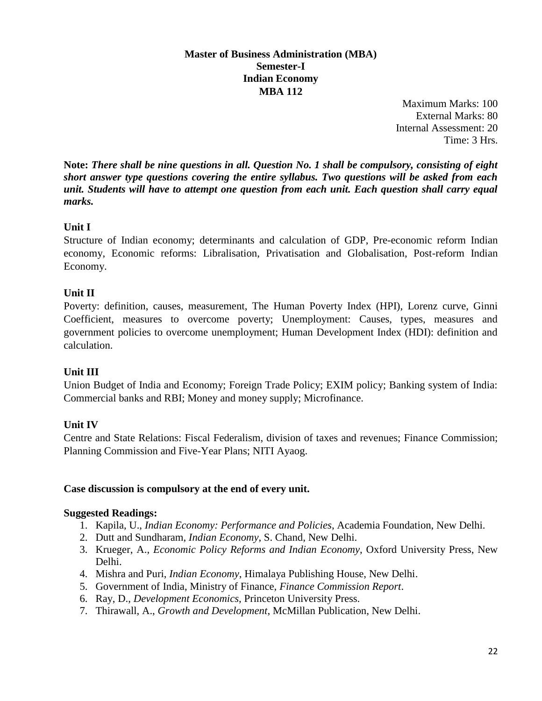#### **Master of Business Administration (MBA) Semester-I Indian Economy MBA 112**

Maximum Marks: 100 External Marks: 80 Internal Assessment: 20 Time: 3 Hrs.

**Note:** *There shall be nine questions in all. Question No. 1 shall be compulsory, consisting of eight short answer type questions covering the entire syllabus. Two questions will be asked from each unit. Students will have to attempt one question from each unit. Each question shall carry equal marks.*

# **Unit I**

Structure of Indian economy; determinants and calculation of GDP, Pre-economic reform Indian economy, Economic reforms: Libralisation, Privatisation and Globalisation, Post-reform Indian Economy.

# **Unit II**

Poverty: definition, causes, measurement, The Human Poverty Index (HPI), Lorenz curve, Ginni Coefficient, measures to overcome poverty; Unemployment: Causes, types, measures and government policies to overcome unemployment; Human Development Index (HDI): definition and calculation.

# **Unit III**

Union Budget of India and Economy; Foreign Trade Policy; EXIM policy; Banking system of India: Commercial banks and RBI; Money and money supply; Microfinance.

# **Unit IV**

Centre and State Relations: Fiscal Federalism, division of taxes and revenues; Finance Commission; Planning Commission and Five-Year Plans; NITI Ayaog.

# **Case discussion is compulsory at the end of every unit.**

# **Suggested Readings:**

- 1. Kapila, U., *Indian Economy: Performance and Policies*, Academia Foundation, New Delhi.
- 2. Dutt and Sundharam, *Indian Economy*, S. Chand, New Delhi.
- 3. Krueger, A., *Economic Policy Reforms and Indian Economy*, Oxford University Press, New Delhi.
- 4. Mishra and Puri, *Indian Economy*, Himalaya Publishing House, New Delhi.
- 5. Government of India, Ministry of Finance, *Finance Commission Report*.
- 6. Ray, D., *Development Economics*, Princeton University Press.
- 7. Thirawall, A., *Growth and Development*, McMillan Publication, New Delhi.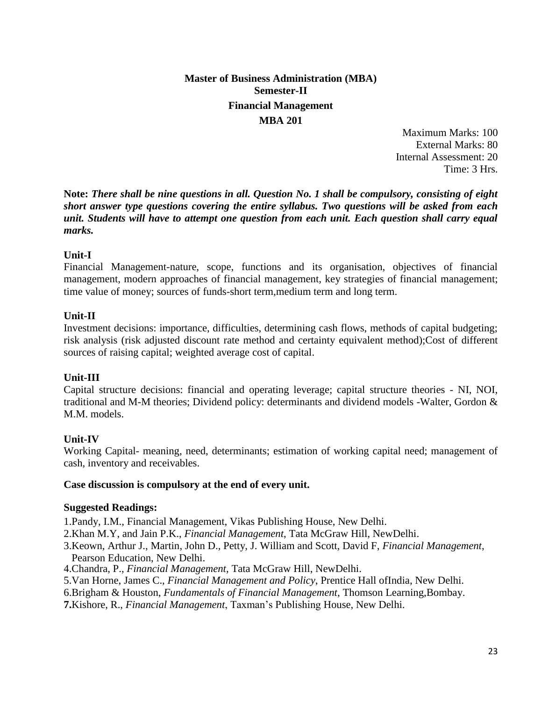# **Master of Business Administration (MBA) Semester-II Financial Management MBA 201**

Maximum Marks: 100 External Marks: 80 Internal Assessment: 20 Time: 3 Hrs.

**Note:** *There shall be nine questions in all. Question No. 1 shall be compulsory, consisting of eight short answer type questions covering the entire syllabus. Two questions will be asked from each unit. Students will have to attempt one question from each unit. Each question shall carry equal marks.*

#### **Unit-I**

Financial Management-nature, scope, functions and its organisation, objectives of financial management, modern approaches of financial management, key strategies of financial management; time value of money; sources of funds-short term,medium term and long term.

#### **Unit-II**

Investment decisions: importance, difficulties, determining cash flows, methods of capital budgeting; risk analysis (risk adjusted discount rate method and certainty equivalent method);Cost of different sources of raising capital; weighted average cost of capital.

# **Unit-III**

Capital structure decisions: financial and operating leverage; capital structure theories - NI, NOI, traditional and M-M theories; Dividend policy: determinants and dividend models -Walter, Gordon & M.M. models.

# **Unit-IV**

Working Capital- meaning, need, determinants; estimation of working capital need; management of cash, inventory and receivables.

#### **Case discussion is compulsory at the end of every unit.**

#### **Suggested Readings:**

1.Pandy, I.M., Financial Management, Vikas Publishing House, New Delhi.

- 2.Khan M.Y, and Jain P.K., *Financial Management*, Tata McGraw Hill, NewDelhi.
- 3.Keown, Arthur J., Martin, John D., Petty, J. William and Scott, David F, *Financial Management*, Pearson Education, New Delhi.
- 4.Chandra, P., *Financial Management*, Tata McGraw Hill, NewDelhi.
- 5.Van Horne, James C., *Financial Management and Policy*, Prentice Hall ofIndia, New Delhi.
- 6.Brigham & Houston, *Fundamentals of Financial Management*, Thomson Learning,Bombay.
- **7.**Kishore, R., *Financial Management*, Taxman's Publishing House, New Delhi.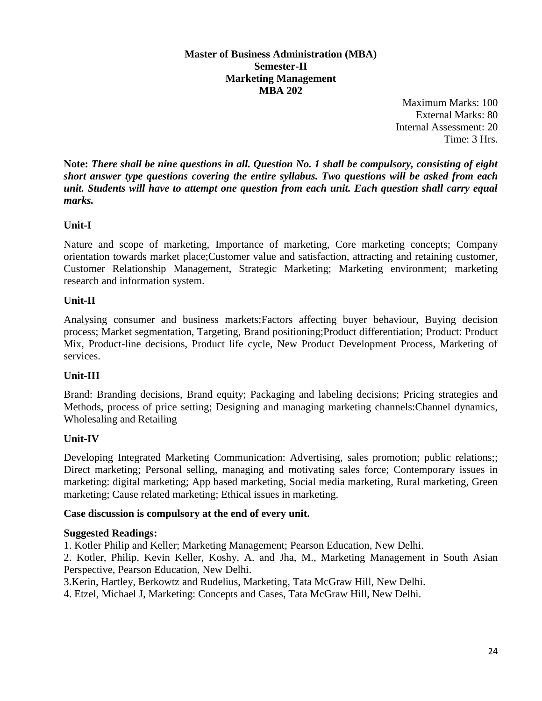#### **Master of Business Administration (MBA) Semester-II Marketing Management MBA 202**

Maximum Marks: 100 External Marks: 80 Internal Assessment: 20 Time: 3 Hrs.

**Note:** *There shall be nine questions in all. Question No. 1 shall be compulsory, consisting of eight short answer type questions covering the entire syllabus. Two questions will be asked from each unit. Students will have to attempt one question from each unit. Each question shall carry equal marks.*

# **Unit-I**

Nature and scope of marketing, Importance of marketing, Core marketing concepts; Company orientation towards market place;Customer value and satisfaction, attracting and retaining customer, Customer Relationship Management, Strategic Marketing; Marketing environment; marketing research and information system.

# **Unit-II**

Analysing consumer and business markets;Factors affecting buyer behaviour, Buying decision process; Market segmentation, Targeting, Brand positioning;Product differentiation; Product: Product Mix, Product-line decisions, Product life cycle, New Product Development Process, Marketing of services.

# **Unit-III**

Brand: Branding decisions, Brand equity; Packaging and labeling decisions; Pricing strategies and Methods, process of price setting; Designing and managing marketing channels:Channel dynamics, Wholesaling and Retailing

# **Unit-IV**

Developing Integrated Marketing Communication: Advertising, sales promotion; public relations;; Direct marketing; Personal selling, managing and motivating sales force; Contemporary issues in marketing: digital marketing; App based marketing, Social media marketing, Rural marketing, Green marketing; Cause related marketing; Ethical issues in marketing.

#### **Case discussion is compulsory at the end of every unit.**

#### **Suggested Readings:**

1. Kotler Philip and Keller; Marketing Management; Pearson Education, New Delhi.

2. Kotler, Philip, Kevin Keller, Koshy, A. and Jha, M., Marketing Management in South Asian Perspective, Pearson Education, New Delhi.

3.Kerin, Hartley, Berkowtz and Rudelius, Marketing, Tata McGraw Hill, New Delhi.

4. Etzel, Michael J, Marketing: Concepts and Cases, Tata McGraw Hill, New Delhi.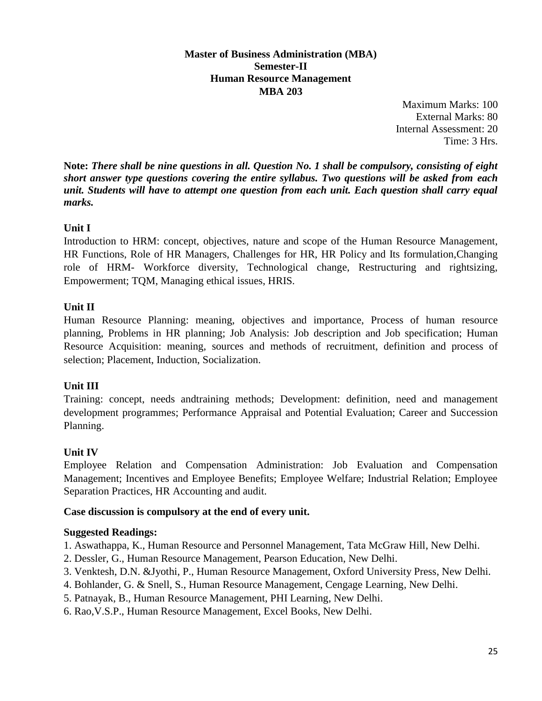#### **Master of Business Administration (MBA) Semester-II Human Resource Management MBA 203**

Maximum Marks: 100 External Marks: 80 Internal Assessment: 20 Time: 3 Hrs.

**Note:** *There shall be nine questions in all. Question No. 1 shall be compulsory, consisting of eight short answer type questions covering the entire syllabus. Two questions will be asked from each unit. Students will have to attempt one question from each unit. Each question shall carry equal marks.*

# **Unit I**

Introduction to HRM: concept, objectives, nature and scope of the Human Resource Management, HR Functions, Role of HR Managers, Challenges for HR, HR Policy and Its formulation,Changing role of HRM- Workforce diversity, Technological change, Restructuring and rightsizing, Empowerment; TQM, Managing ethical issues, HRIS.

# **Unit II**

Human Resource Planning: meaning, objectives and importance, Process of human resource planning, Problems in HR planning; Job Analysis: Job description and Job specification; Human Resource Acquisition: meaning, sources and methods of recruitment, definition and process of selection; Placement, Induction, Socialization.

# **Unit III**

Training: concept, needs andtraining methods; Development: definition, need and management development programmes; Performance Appraisal and Potential Evaluation; Career and Succession Planning.

# **Unit IV**

Employee Relation and Compensation Administration: Job Evaluation and Compensation Management; Incentives and Employee Benefits; Employee Welfare; Industrial Relation; Employee Separation Practices, HR Accounting and audit.

# **Case discussion is compulsory at the end of every unit.**

# **Suggested Readings:**

1. Aswathappa, K., Human Resource and Personnel Management, Tata McGraw Hill, New Delhi.

- 2. Dessler, G., Human Resource Management, Pearson Education, New Delhi.
- 3. Venktesh, D.N. &Jyothi, P., Human Resource Management, Oxford University Press, New Delhi.
- 4. Bohlander, G. & Snell, S., Human Resource Management, Cengage Learning, New Delhi.
- 5. Patnayak, B., Human Resource Management, PHI Learning, New Delhi.
- 6. Rao,V.S.P., Human Resource Management, Excel Books, New Delhi.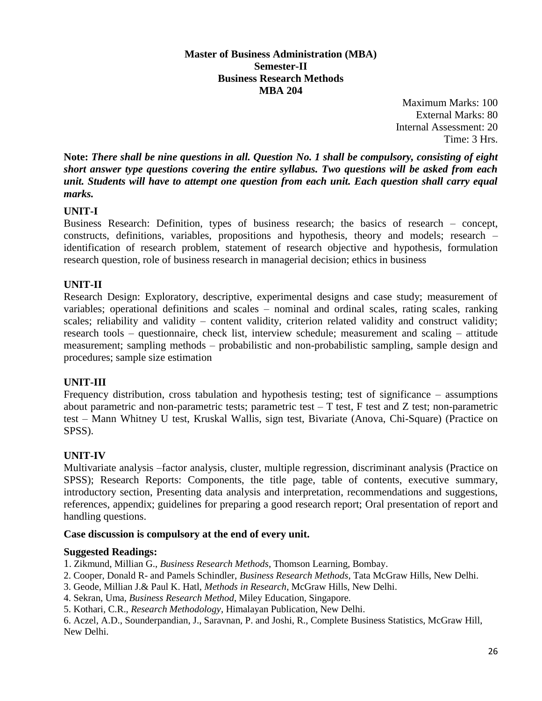**Master of Business Administration (MBA) Semester-II Business Research Methods MBA 204**

> Maximum Marks: 100 External Marks: 80 Internal Assessment: 20 Time: 3 Hrs.

**Note:** *There shall be nine questions in all. Question No. 1 shall be compulsory, consisting of eight short answer type questions covering the entire syllabus. Two questions will be asked from each unit. Students will have to attempt one question from each unit. Each question shall carry equal marks.*

# **UNIT-I**

Business Research: Definition, types of business research; the basics of research – concept, constructs, definitions, variables, propositions and hypothesis, theory and models; research – identification of research problem, statement of research objective and hypothesis, formulation research question, role of business research in managerial decision; ethics in business

#### **UNIT-II**

Research Design: Exploratory, descriptive, experimental designs and case study; measurement of variables; operational definitions and scales – nominal and ordinal scales, rating scales, ranking scales; reliability and validity – content validity, criterion related validity and construct validity; research tools – questionnaire, check list, interview schedule; measurement and scaling – attitude measurement; sampling methods – probabilistic and non-probabilistic sampling, sample design and procedures; sample size estimation

#### **UNIT-III**

Frequency distribution, cross tabulation and hypothesis testing; test of significance – assumptions about parametric and non-parametric tests; parametric test  $-$  T test, F test and Z test; non-parametric test – Mann Whitney U test, Kruskal Wallis, sign test, Bivariate (Anova, Chi-Square) (Practice on SPSS).

#### **UNIT-IV**

Multivariate analysis –factor analysis, cluster, multiple regression, discriminant analysis (Practice on SPSS); Research Reports: Components, the title page, table of contents, executive summary, introductory section, Presenting data analysis and interpretation, recommendations and suggestions, references, appendix; guidelines for preparing a good research report; Oral presentation of report and handling questions.

#### **Case discussion is compulsory at the end of every unit.**

#### **Suggested Readings:**

1. Zikmund, Millian G., *Business Research Methods*, Thomson Learning, Bombay.

- 2. Cooper, Donald R- and Pamels Schindler, *Business Research Methods*, Tata McGraw Hills, New Delhi.
- 3. Geode, Millian J.& Paul K. Hatl, *Methods in Research*, McGraw Hills, New Delhi.
- 4. Sekran, Uma, *Business Research Method*, Miley Education, Singapore.
- 5. Kothari, C.R., *Research Methodology*, Himalayan Publication, New Delhi.

6. Aczel, A.D., Sounderpandian, J., Saravnan, P. and Joshi, R., Complete Business Statistics, McGraw Hill, New Delhi.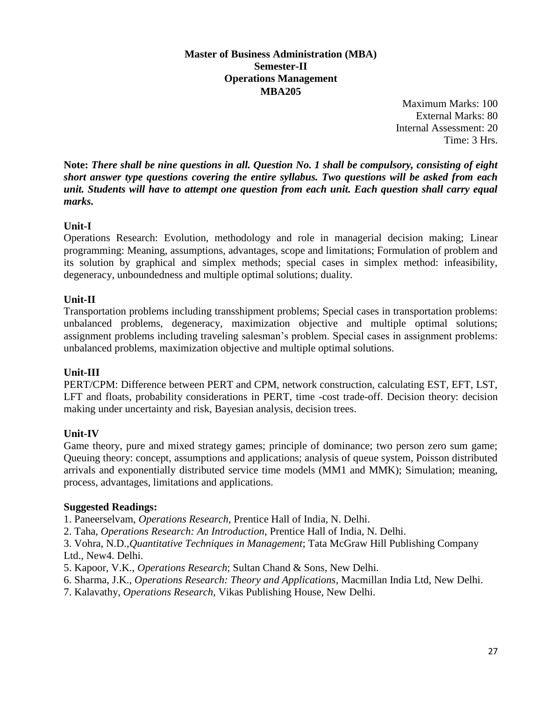#### **Master of Business Administration (MBA) Semester-II Operations Management MBA205**

Maximum Marks: 100 External Marks: 80 Internal Assessment: 20 Time: 3 Hrs.

**Note:** *There shall be nine questions in all. Question No. 1 shall be compulsory, consisting of eight short answer type questions covering the entire syllabus. Two questions will be asked from each unit. Students will have to attempt one question from each unit. Each question shall carry equal marks.*

# **Unit-I**

Operations Research: Evolution, methodology and role in managerial decision making; Linear programming: Meaning, assumptions, advantages, scope and limitations; Formulation of problem and its solution by graphical and simplex methods; special cases in simplex method: infeasibility, degeneracy, unboundedness and multiple optimal solutions; duality.

# **Unit-II**

Transportation problems including transshipment problems; Special cases in transportation problems: unbalanced problems, degeneracy, maximization objective and multiple optimal solutions; assignment problems including traveling salesman's problem. Special cases in assignment problems: unbalanced problems, maximization objective and multiple optimal solutions.

# **Unit-III**

PERT/CPM: Difference between PERT and CPM, network construction, calculating EST, EFT, LST, LFT and floats, probability considerations in PERT, time -cost trade-off. Decision theory: decision making under uncertainty and risk, Bayesian analysis, decision trees.

# **Unit-IV**

Game theory, pure and mixed strategy games; principle of dominance; two person zero sum game; Queuing theory: concept, assumptions and applications; analysis of queue system, Poisson distributed arrivals and exponentially distributed service time models (MM1 and MMK); Simulation; meaning, process, advantages, limitations and applications.

# **Suggested Readings:**

1. Paneerselvam, *Operations Research*, Prentice Hall of India, N. Delhi.

2. Taha, *Operations Research: An Introduction*, Prentice Hall of India, N. Delhi.

3. Vohra, N.D.,*Quantitative Techniques in Management*; Tata McGraw Hill Publishing Company Ltd., New4. Delhi.

- 5. Kapoor, V.K., *Operations Research*; Sultan Chand & Sons, New Delhi.
- 6. Sharma, J.K., *Operations Research: Theory and Applications*, Macmillan India Ltd, New Delhi.
- 7. Kalavathy, *Operations Research*, Vikas Publishing House, New Delhi.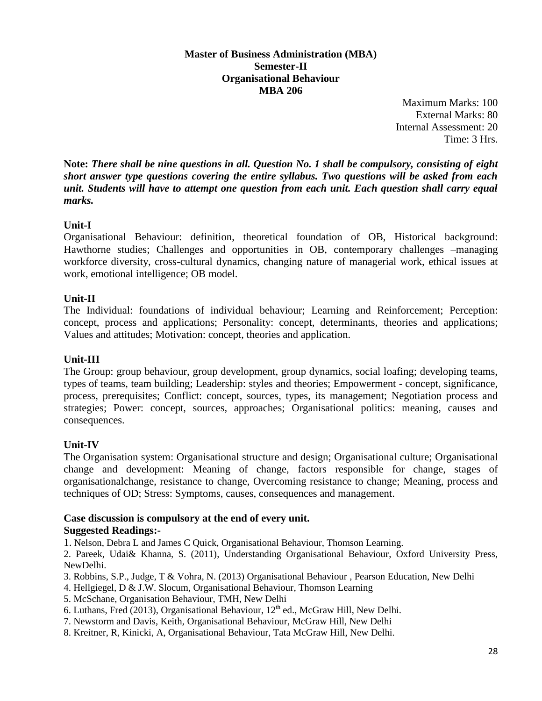#### **Master of Business Administration (MBA) Semester-II Organisational Behaviour MBA 206**

Maximum Marks: 100 External Marks: 80 Internal Assessment: 20 Time: 3 Hrs.

**Note:** *There shall be nine questions in all. Question No. 1 shall be compulsory, consisting of eight short answer type questions covering the entire syllabus. Two questions will be asked from each unit. Students will have to attempt one question from each unit. Each question shall carry equal marks.*

# **Unit-I**

Organisational Behaviour: definition, theoretical foundation of OB, Historical background: Hawthorne studies; Challenges and opportunities in OB, contemporary challenges –managing workforce diversity, cross-cultural dynamics, changing nature of managerial work, ethical issues at work, emotional intelligence; OB model.

# **Unit-II**

The Individual: foundations of individual behaviour; Learning and Reinforcement; Perception: concept, process and applications; Personality: concept, determinants, theories and applications; Values and attitudes; Motivation: concept, theories and application.

# **Unit-III**

The Group: group behaviour, group development, group dynamics, social loafing; developing teams, types of teams, team building; Leadership: styles and theories; Empowerment - concept, significance, process, prerequisites; Conflict: concept, sources, types, its management; Negotiation process and strategies; Power: concept, sources, approaches; Organisational politics: meaning, causes and consequences.

# **Unit-IV**

The Organisation system: Organisational structure and design; Organisational culture; Organisational change and development: Meaning of change, factors responsible for change, stages of organisationalchange, resistance to change, Overcoming resistance to change; Meaning, process and techniques of OD; Stress: Symptoms, causes, consequences and management.

#### **Case discussion is compulsory at the end of every unit. Suggested Readings:-**

1. Nelson, Debra L and James C Quick, Organisational Behaviour, Thomson Learning.

2. Pareek, Udai& Khanna, S. (2011), Understanding Organisational Behaviour, Oxford University Press, NewDelhi.

- 3. Robbins, S.P., Judge, T & Vohra, N. (2013) Organisational Behaviour , Pearson Education, New Delhi
- 4. Hellgiegel, D & J.W. Slocum, Organisational Behaviour, Thomson Learning

5. McSchane, Organisation Behaviour, TMH, New Delhi

- 6. Luthans, Fred (2013), Organisational Behaviour,  $12<sup>th</sup>$  ed., McGraw Hill, New Delhi.
- 7. Newstorm and Davis, Keith, Organisational Behaviour, McGraw Hill, New Delhi
- 8. Kreitner, R, Kinicki, A, Organisational Behaviour, Tata McGraw Hill, New Delhi.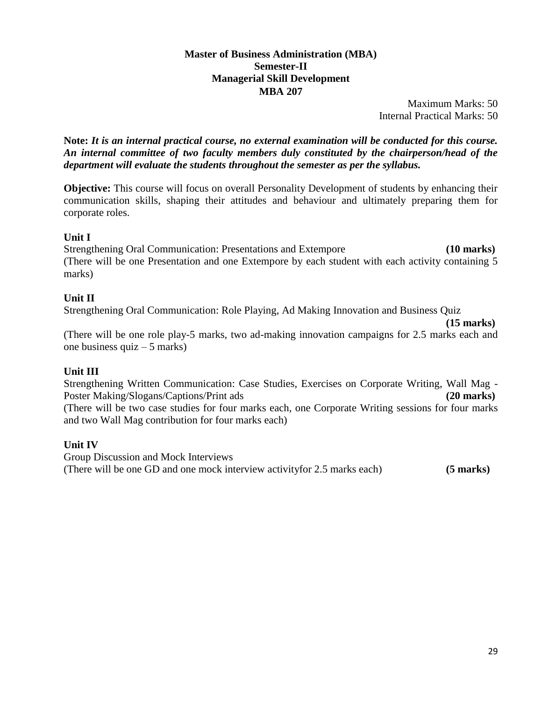#### **Master of Business Administration (MBA) Semester-II Managerial Skill Development MBA 207**

Maximum Marks: 50 Internal Practical Marks: 50

**Note:** *It is an internal practical course, no external examination will be conducted for this course. An internal committee of two faculty members duly constituted by the chairperson/head of the department will evaluate the students throughout the semester as per the syllabus.*

**Objective:** This course will focus on overall Personality Development of students by enhancing their communication skills, shaping their attitudes and behaviour and ultimately preparing them for corporate roles.

#### **Unit I**

Strengthening Oral Communication: Presentations and Extempore **(10 marks)**  (There will be one Presentation and one Extempore by each student with each activity containing 5 marks)

# **Unit II**

Strengthening Oral Communication: Role Playing, Ad Making Innovation and Business Quiz

**(15 marks)** 

(There will be one role play-5 marks, two ad-making innovation campaigns for 2.5 marks each and one business  $quiz - 5$  marks)

# **Unit III**

Strengthening Written Communication: Case Studies, Exercises on Corporate Writing, Wall Mag - Poster Making/Slogans/Captions/Print ads **(20 marks) (20 marks)** (There will be two case studies for four marks each, one Corporate Writing sessions for four marks and two Wall Mag contribution for four marks each)

# **Unit IV**

Group Discussion and Mock Interviews (There will be one GD and one mock interview activityfor 2.5 marks each) **(5 marks)**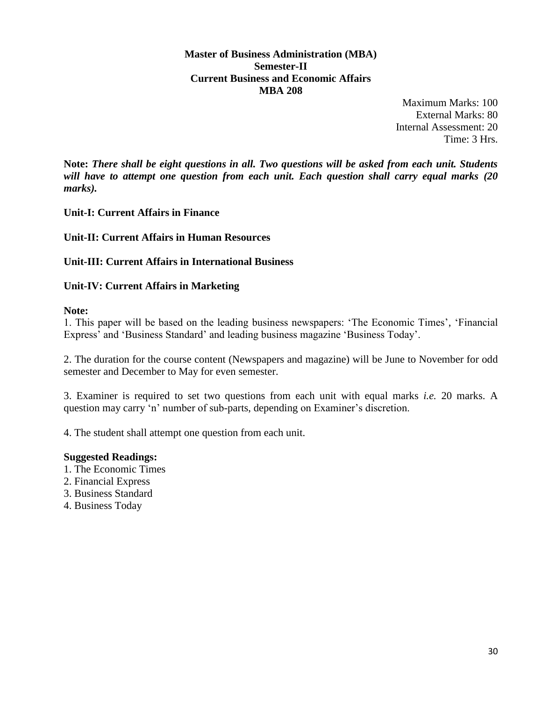**Master of Business Administration (MBA) Semester-II Current Business and Economic Affairs MBA 208**

> Maximum Marks: 100 External Marks: 80 Internal Assessment: 20 Time: 3 Hrs.

**Note:** *There shall be eight questions in all. Two questions will be asked from each unit. Students will have to attempt one question from each unit. Each question shall carry equal marks (20 marks).*

**Unit-I: Current Affairs in Finance**

**Unit-II: Current Affairs in Human Resources** 

**Unit-III: Current Affairs in International Business** 

**Unit-IV: Current Affairs in Marketing** 

**Note:** 

1. This paper will be based on the leading business newspapers: 'The Economic Times', 'Financial Express' and 'Business Standard' and leading business magazine 'Business Today'.

2. The duration for the course content (Newspapers and magazine) will be June to November for odd semester and December to May for even semester.

3. Examiner is required to set two questions from each unit with equal marks *i.e.* 20 marks. A question may carry 'n' number of sub-parts, depending on Examiner's discretion.

4. The student shall attempt one question from each unit.

#### **Suggested Readings:**

- 1. The Economic Times
- 2. Financial Express
- 3. Business Standard
- 4. Business Today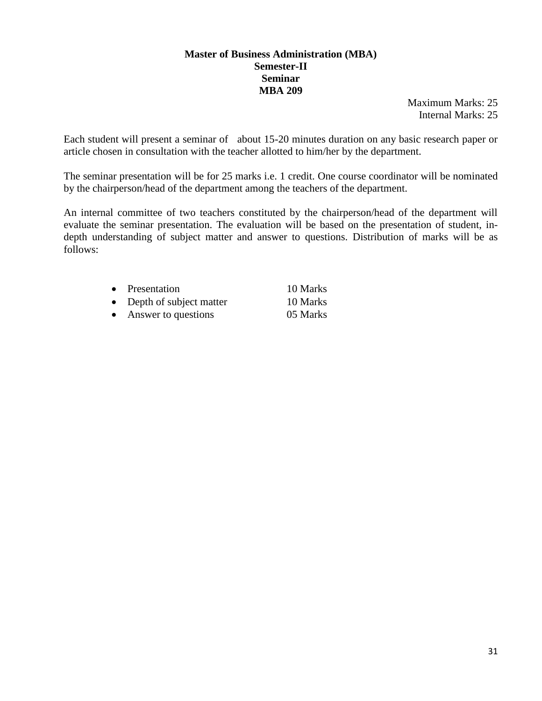#### **Master of Business Administration (MBA) Semester-II Seminar MBA 209**

Maximum Marks: 25 Internal Marks: 25

Each student will present a seminar of about 15-20 minutes duration on any basic research paper or article chosen in consultation with the teacher allotted to him/her by the department.

The seminar presentation will be for 25 marks i.e. 1 credit. One course coordinator will be nominated by the chairperson/head of the department among the teachers of the department.

An internal committee of two teachers constituted by the chairperson/head of the department will evaluate the seminar presentation. The evaluation will be based on the presentation of student, indepth understanding of subject matter and answer to questions. Distribution of marks will be as follows:

|           | • Presentation            | 10 Marks |
|-----------|---------------------------|----------|
|           | • Depth of subject matter | 10 Marks |
| $\bullet$ | Answer to questions       | 05 Marks |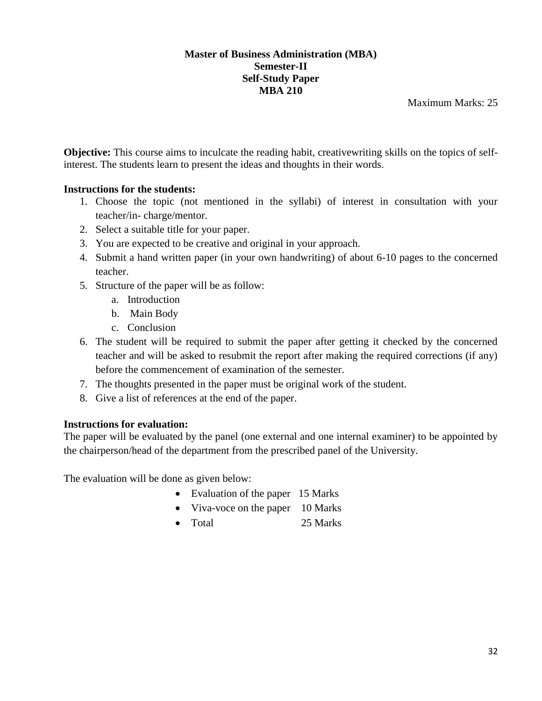#### **Master of Business Administration (MBA) Semester-II Self-Study Paper MBA 210**

Maximum Marks: 25

**Objective:** This course aims to inculcate the reading habit, creativewriting skills on the topics of selfinterest. The students learn to present the ideas and thoughts in their words.

# **Instructions for the students:**

- 1. Choose the topic (not mentioned in the syllabi) of interest in consultation with your teacher/in- charge/mentor.
- 2. Select a suitable title for your paper.
- 3. You are expected to be creative and original in your approach.
- 4. Submit a hand written paper (in your own handwriting) of about 6-10 pages to the concerned teacher.
- 5. Structure of the paper will be as follow:
	- a. Introduction
	- b. Main Body
	- c. Conclusion
- 6. The student will be required to submit the paper after getting it checked by the concerned teacher and will be asked to resubmit the report after making the required corrections (if any) before the commencement of examination of the semester.
- 7. The thoughts presented in the paper must be original work of the student.
- 8. Give a list of references at the end of the paper.

# **Instructions for evaluation:**

The paper will be evaluated by the panel (one external and one internal examiner) to be appointed by the chairperson/head of the department from the prescribed panel of the University.

The evaluation will be done as given below:

- Evaluation of the paper 15 Marks
- Viva-voce on the paper 10 Marks
- Total 25 Marks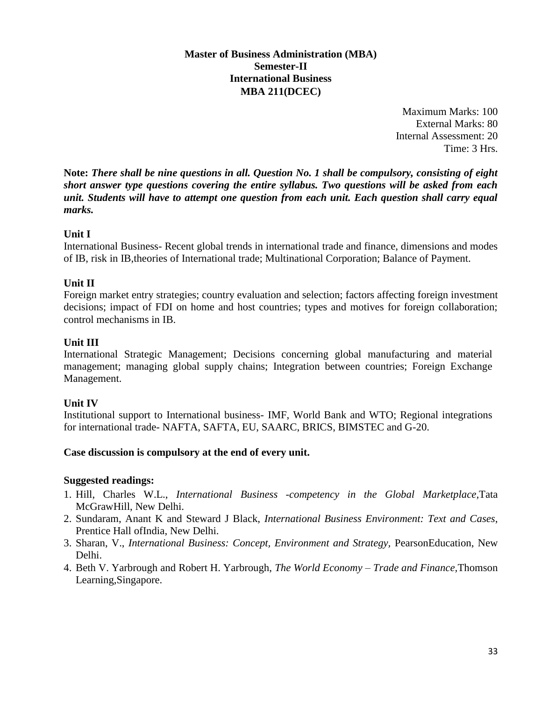#### **Master of Business Administration (MBA) Semester-II International Business MBA 211(DCEC)**

Maximum Marks: 100 External Marks: 80 Internal Assessment: 20 Time: 3 Hrs.

**Note:** *There shall be nine questions in all. Question No. 1 shall be compulsory, consisting of eight short answer type questions covering the entire syllabus. Two questions will be asked from each unit. Students will have to attempt one question from each unit. Each question shall carry equal marks.*

# **Unit I**

International Business- Recent global trends in international trade and finance, dimensions and modes of IB, risk in IB,theories of International trade; Multinational Corporation; Balance of Payment.

#### **Unit II**

Foreign market entry strategies; country evaluation and selection; factors affecting foreign investment decisions; impact of FDI on home and host countries; types and motives for foreign collaboration; control mechanisms in IB.

#### **Unit III**

International Strategic Management; Decisions concerning global manufacturing and material management; managing global supply chains; Integration between countries; Foreign Exchange Management.

#### **Unit IV**

Institutional support to International business- IMF, World Bank and WTO; Regional integrations for international trade- NAFTA, SAFTA, EU, SAARC, BRICS, BIMSTEC and G-20.

#### **Case discussion is compulsory at the end of every unit.**

#### **Suggested readings:**

- 1. Hill, Charles W.L., *International Business -competency in the Global Marketplace,*Tata McGrawHill, New Delhi.
- 2. Sundaram, Anant K and Steward J Black, *International Business Environment: Text and Cases*, Prentice Hall ofIndia, New Delhi.
- 3. Sharan, V., *International Business: Concept, Environment and Strategy,* PearsonEducation, New Delhi.
- 4. Beth V. Yarbrough and Robert H. Yarbrough, *The World Economy – Trade and Finance,*Thomson Learning,Singapore.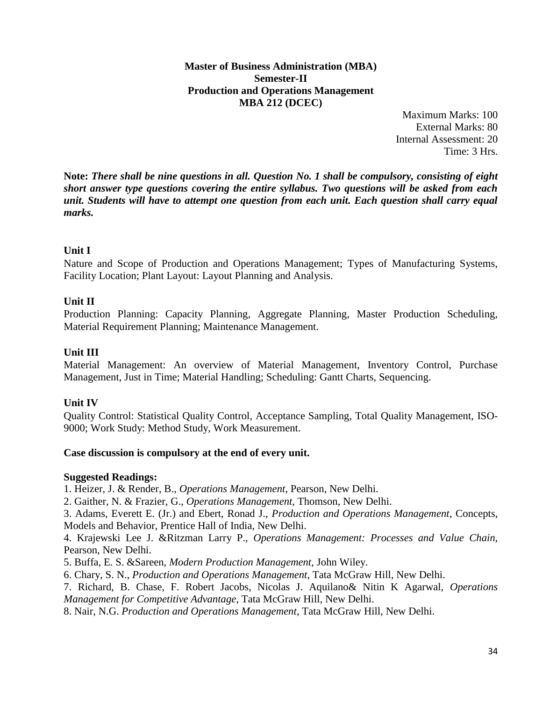**Master of Business Administration (MBA) Semester-II Production and Operations Management MBA 212 (DCEC)**

> Maximum Marks: 100 External Marks: 80 Internal Assessment: 20 Time: 3 Hrs.

**Note:** *There shall be nine questions in all. Question No. 1 shall be compulsory, consisting of eight short answer type questions covering the entire syllabus. Two questions will be asked from each unit. Students will have to attempt one question from each unit. Each question shall carry equal marks.*

# **Unit I**

Nature and Scope of Production and Operations Management; Types of Manufacturing Systems, Facility Location; Plant Layout: Layout Planning and Analysis.

#### **Unit II**

Production Planning: Capacity Planning, Aggregate Planning, Master Production Scheduling, Material Requirement Planning; Maintenance Management.

#### **Unit III**

Material Management: An overview of Material Management, Inventory Control, Purchase Management, Just in Time; Material Handling; Scheduling: Gantt Charts, Sequencing.

#### **Unit IV**

Quality Control: Statistical Quality Control, Acceptance Sampling, Total Quality Management, ISO-9000; Work Study: Method Study, Work Measurement.

#### **Case discussion is compulsory at the end of every unit.**

#### **Suggested Readings:**

1. Heizer, J. & Render, B., *Operations Management*, Pearson, New Delhi.

2. Gaither, N. & Frazier, G., *Operations Management,* Thomson, New Delhi.

3. Adams, Everett E. (Jr.) and Ebert, Ronad J., *Production and Operations Management*, Concepts, Models and Behavior, Prentice Hall of India, New Delhi.

4. Krajewski Lee J. &Ritzman Larry P., *Operations Management: Processes and Value Chain*, Pearson, New Delhi.

5. Buffa, E. S. &Sareen, *Modern Production Management*, John Wiley.

6. Chary, S. N., *Production and Operations Management*, Tata McGraw Hill, New Delhi.

7. Richard, B. Chase, F. Robert Jacobs, Nicolas J. Aquilano& Nitin K Agarwal, *Operations Management for Competitive Advantage*, Tata McGraw Hill, New Delhi.

8. Nair, N.G. *Production and Operations Management*, Tata McGraw Hill, New Delhi.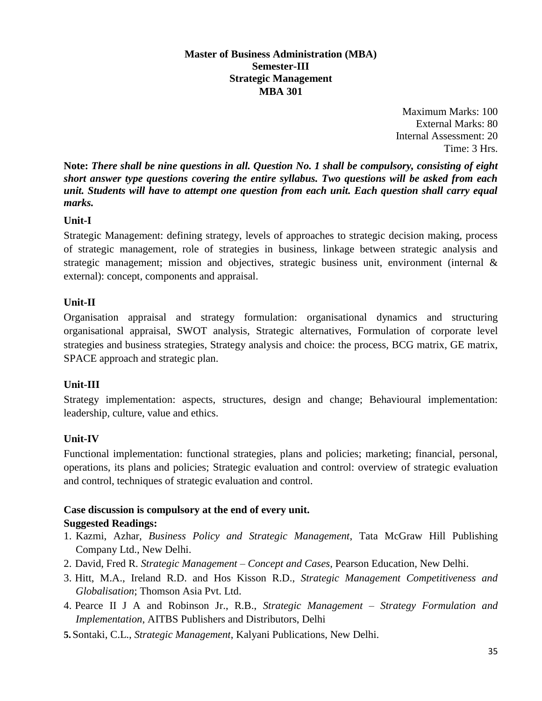#### **Master of Business Administration (MBA) Semester-III Strategic Management MBA 301**

Maximum Marks: 100 External Marks: 80 Internal Assessment: 20 Time: 3 Hrs.

**Note:** *There shall be nine questions in all. Question No. 1 shall be compulsory, consisting of eight short answer type questions covering the entire syllabus. Two questions will be asked from each unit. Students will have to attempt one question from each unit. Each question shall carry equal marks.*

# **Unit-I**

Strategic Management: defining strategy, levels of approaches to strategic decision making, process of strategic management, role of strategies in business, linkage between strategic analysis and strategic management; mission and objectives, strategic business unit, environment (internal & external): concept, components and appraisal.

# **Unit-II**

Organisation appraisal and strategy formulation: organisational dynamics and structuring organisational appraisal, SWOT analysis, Strategic alternatives, Formulation of corporate level strategies and business strategies, Strategy analysis and choice: the process, BCG matrix, GE matrix, SPACE approach and strategic plan.

# **Unit-III**

Strategy implementation: aspects, structures, design and change; Behavioural implementation: leadership, culture, value and ethics.

# **Unit-IV**

Functional implementation: functional strategies, plans and policies; marketing; financial, personal, operations, its plans and policies; Strategic evaluation and control: overview of strategic evaluation and control, techniques of strategic evaluation and control.

# **Case discussion is compulsory at the end of every unit.**

# **Suggested Readings:**

- 1. Kazmi, Azhar, *Business Policy and Strategic Management*, Tata McGraw Hill Publishing Company Ltd., New Delhi.
- 2. David, Fred R. *Strategic Management – Concept and Cases*, Pearson Education, New Delhi.
- 3. Hitt, M.A., Ireland R.D. and Hos Kisson R.D., *Strategic Management Competitiveness and Globalisation*; Thomson Asia Pvt. Ltd.
- 4. Pearce II J A and Robinson Jr., R.B., *Strategic Management – Strategy Formulation and Implementation*, AITBS Publishers and Distributors, Delhi
- **5.** Sontaki, C.L., *Strategic Management*, Kalyani Publications, New Delhi.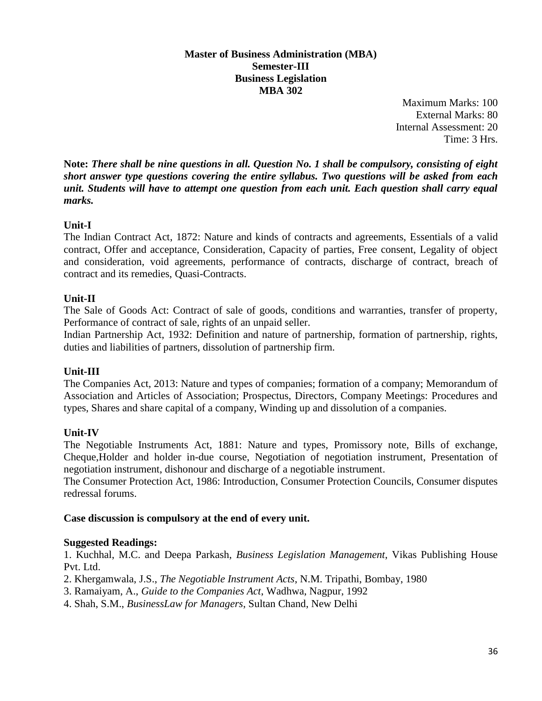#### **Master of Business Administration (MBA) Semester-III Business Legislation MBA 302**

Maximum Marks: 100 External Marks: 80 Internal Assessment: 20 Time: 3 Hrs.

**Note:** *There shall be nine questions in all. Question No. 1 shall be compulsory, consisting of eight short answer type questions covering the entire syllabus. Two questions will be asked from each unit. Students will have to attempt one question from each unit. Each question shall carry equal marks.*

# **Unit-I**

The Indian Contract Act, 1872: Nature and kinds of contracts and agreements, Essentials of a valid contract, Offer and acceptance, Consideration, Capacity of parties, Free consent, Legality of object and consideration, void agreements, performance of contracts, discharge of contract, breach of contract and its remedies, Quasi-Contracts.

# **Unit-II**

The Sale of Goods Act: Contract of sale of goods, conditions and warranties, transfer of property, Performance of contract of sale, rights of an unpaid seller.

Indian Partnership Act, 1932: Definition and nature of partnership, formation of partnership, rights, duties and liabilities of partners, dissolution of partnership firm.

# **Unit-III**

The Companies Act, 2013: Nature and types of companies; formation of a company; Memorandum of Association and Articles of Association; Prospectus, Directors, Company Meetings: Procedures and types, Shares and share capital of a company, Winding up and dissolution of a companies.

# **Unit-IV**

The Negotiable Instruments Act, 1881: Nature and types, Promissory note, Bills of exchange, Cheque,Holder and holder in-due course, Negotiation of negotiation instrument, Presentation of negotiation instrument, dishonour and discharge of a negotiable instrument.

The Consumer Protection Act, 1986: Introduction, Consumer Protection Councils, Consumer disputes redressal forums.

# **Case discussion is compulsory at the end of every unit.**

# **Suggested Readings:**

1. Kuchhal, M.C. and Deepa Parkash, *Business Legislation Management*, Vikas Publishing House Pvt. Ltd.

2. Khergamwala, J.S., *The Negotiable Instrument Acts*, N.M. Tripathi, Bombay, 1980

3. Ramaiyam, A., *Guide to the Companies Act*, Wadhwa, Nagpur, 1992

4. Shah, S.M., *BusinessLaw for Managers*, Sultan Chand, New Delhi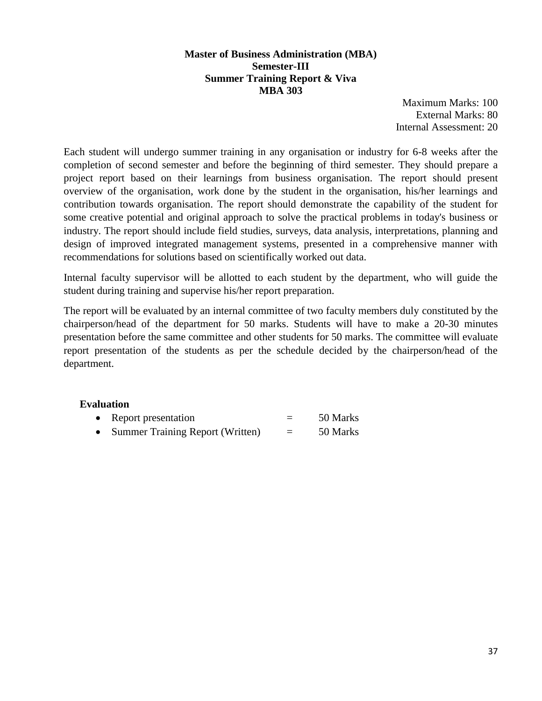#### **Master of Business Administration (MBA) Semester-III Summer Training Report & Viva MBA 303**

Maximum Marks: 100 External Marks: 80 Internal Assessment: 20

Each student will undergo summer training in any organisation or industry for 6-8 weeks after the completion of second semester and before the beginning of third semester. They should prepare a project report based on their learnings from business organisation. The report should present overview of the organisation, work done by the student in the organisation, his/her learnings and contribution towards organisation. The report should demonstrate the capability of the student for some creative potential and original approach to solve the practical problems in today's business or industry. The report should include field studies, surveys, data analysis, interpretations, planning and design of improved integrated management systems, presented in a comprehensive manner with recommendations for solutions based on scientifically worked out data.

Internal faculty supervisor will be allotted to each student by the department, who will guide the student during training and supervise his/her report preparation.

The report will be evaluated by an internal committee of two faculty members duly constituted by the chairperson/head of the department for 50 marks. Students will have to make a 20-30 minutes presentation before the same committee and other students for 50 marks. The committee will evaluate report presentation of the students as per the schedule decided by the chairperson/head of the department.

## **Evaluation**

| Report presentation |  |  |  | 50 Marks |  |  |  |  |
|---------------------|--|--|--|----------|--|--|--|--|
|                     |  |  |  |          |  |  |  |  |

• Summer Training Report (Written) = 50 Marks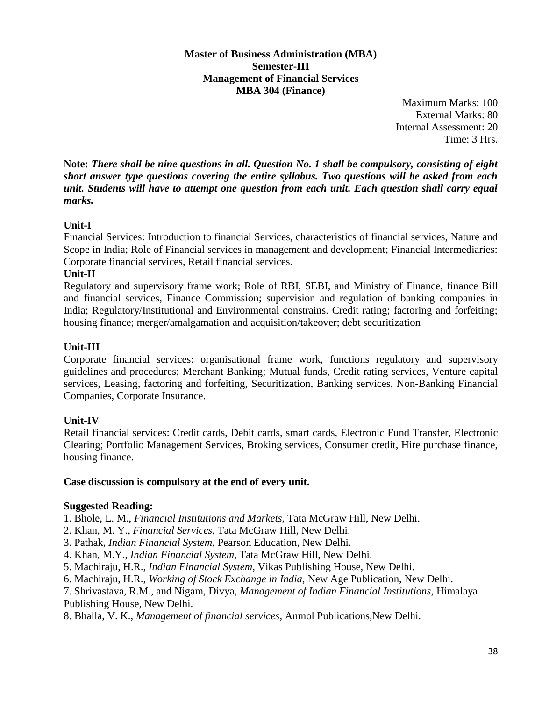**Master of Business Administration (MBA) Semester-III Management of Financial Services MBA 304 (Finance)**

> Maximum Marks: 100 External Marks: 80 Internal Assessment: 20 Time: 3 Hrs.

**Note:** *There shall be nine questions in all. Question No. 1 shall be compulsory, consisting of eight short answer type questions covering the entire syllabus. Two questions will be asked from each unit. Students will have to attempt one question from each unit. Each question shall carry equal marks.*

## **Unit-I**

Financial Services: Introduction to financial Services, characteristics of financial services, Nature and Scope in India; Role of Financial services in management and development; Financial Intermediaries: Corporate financial services, Retail financial services.

#### **Unit-II**

Regulatory and supervisory frame work; Role of RBI, SEBI, and Ministry of Finance, finance Bill and financial services, Finance Commission; supervision and regulation of banking companies in India; Regulatory/Institutional and Environmental constrains. Credit rating; factoring and forfeiting; housing finance; merger/amalgamation and acquisition/takeover; debt securitization

#### **Unit-III**

Corporate financial services: organisational frame work, functions regulatory and supervisory guidelines and procedures; Merchant Banking; Mutual funds, Credit rating services, Venture capital services, Leasing, factoring and forfeiting, Securitization, Banking services, Non-Banking Financial Companies, Corporate Insurance.

## **Unit-IV**

Retail financial services: Credit cards, Debit cards, smart cards, Electronic Fund Transfer, Electronic Clearing; Portfolio Management Services, Broking services, Consumer credit, Hire purchase finance, housing finance.

#### **Case discussion is compulsory at the end of every unit.**

#### **Suggested Reading:**

1. Bhole, L. M., *Financial Institutions and Markets*, Tata McGraw Hill, New Delhi.

- 2. Khan, M. Y., *Financial Services*, Tata McGraw Hill, New Delhi.
- 3. Pathak, *Indian Financial System*, Pearson Education, New Delhi.
- 4. Khan, M.Y., *Indian Financial System*, Tata McGraw Hill, New Delhi.
- 5. Machiraju, H.R., *Indian Financial System*, Vikas Publishing House, New Delhi.
- 6. Machiraju, H.R., *Working of Stock Exchange in India*, New Age Publication, New Delhi.
- 7. Shrivastava, R.M., and Nigam, Divya, *Management of Indian Financial Institutions*, Himalaya Publishing House, New Delhi.
- 8. Bhalla, V. K., *Management of financial services*, Anmol Publications,New Delhi.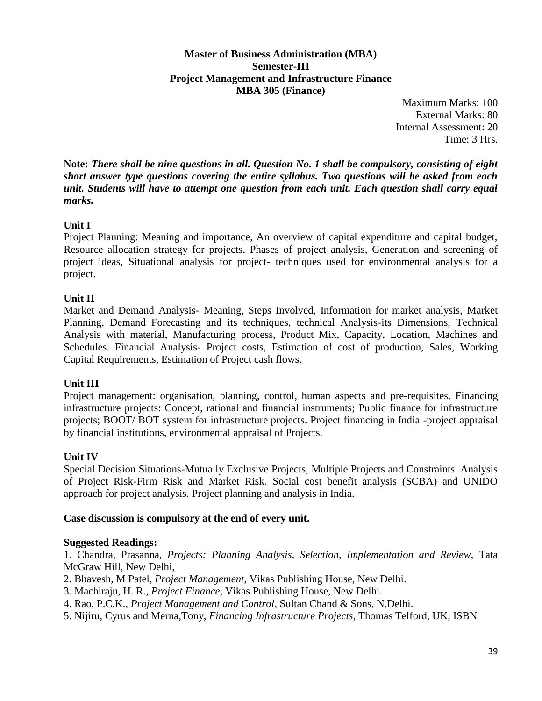#### **Master of Business Administration (MBA) Semester-III Project Management and Infrastructure Finance MBA 305 (Finance)**

Maximum Marks: 100 External Marks: 80 Internal Assessment: 20 Time: 3 Hrs.

**Note:** *There shall be nine questions in all. Question No. 1 shall be compulsory, consisting of eight short answer type questions covering the entire syllabus. Two questions will be asked from each unit. Students will have to attempt one question from each unit. Each question shall carry equal marks.*

## **Unit I**

Project Planning: Meaning and importance, An overview of capital expenditure and capital budget, Resource allocation strategy for projects, Phases of project analysis, Generation and screening of project ideas, Situational analysis for project- techniques used for environmental analysis for a project.

## **Unit II**

Market and Demand Analysis- Meaning, Steps Involved, Information for market analysis, Market Planning, Demand Forecasting and its techniques, technical Analysis-its Dimensions, Technical Analysis with material, Manufacturing process, Product Mix, Capacity, Location, Machines and Schedules. Financial Analysis- Project costs, Estimation of cost of production, Sales, Working Capital Requirements, Estimation of Project cash flows.

## **Unit III**

Project management: organisation, planning, control, human aspects and pre-requisites. Financing infrastructure projects: Concept, rational and financial instruments; Public finance for infrastructure projects; BOOT/ BOT system for infrastructure projects. Project financing in India -project appraisal by financial institutions, environmental appraisal of Projects.

## **Unit IV**

Special Decision Situations-Mutually Exclusive Projects, Multiple Projects and Constraints. Analysis of Project Risk-Firm Risk and Market Risk. Social cost benefit analysis (SCBA) and UNIDO approach for project analysis. Project planning and analysis in India.

## **Case discussion is compulsory at the end of every unit.**

## **Suggested Readings:**

1. Chandra, Prasanna, *Projects: Planning Analysis, Selection, Implementation and Review*, Tata McGraw Hill, New Delhi,

- 2. Bhavesh, M Patel, *Project Management*, Vikas Publishing House, New Delhi.
- 3. Machiraju, H. R., *Project Finance*, Vikas Publishing House, New Delhi.
- 4. Rao, P.C.K., *Project Management and Control*, Sultan Chand & Sons, N.Delhi.
- 5. Nijiru, Cyrus and Merna,Tony, *Financing Infrastructure Projects*, Thomas Telford, UK, ISBN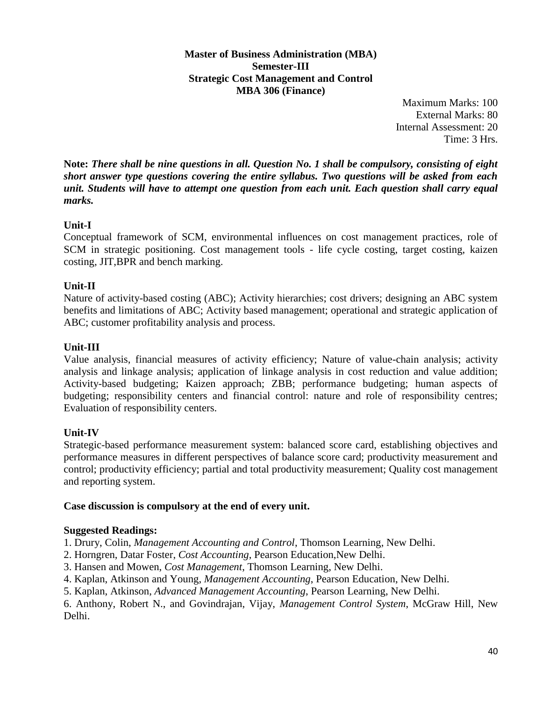**Master of Business Administration (MBA) Semester-III Strategic Cost Management and Control MBA 306 (Finance)**

> Maximum Marks: 100 External Marks: 80 Internal Assessment: 20 Time: 3 Hrs.

**Note:** *There shall be nine questions in all. Question No. 1 shall be compulsory, consisting of eight short answer type questions covering the entire syllabus. Two questions will be asked from each unit. Students will have to attempt one question from each unit. Each question shall carry equal marks.*

## **Unit-I**

Conceptual framework of SCM, environmental influences on cost management practices, role of SCM in strategic positioning. Cost management tools - life cycle costing, target costing, kaizen costing, JIT,BPR and bench marking.

## **Unit-II**

Nature of activity-based costing (ABC); Activity hierarchies; cost drivers; designing an ABC system benefits and limitations of ABC; Activity based management; operational and strategic application of ABC; customer profitability analysis and process.

## **Unit-III**

Value analysis, financial measures of activity efficiency; Nature of value-chain analysis; activity analysis and linkage analysis; application of linkage analysis in cost reduction and value addition; Activity-based budgeting; Kaizen approach; ZBB; performance budgeting; human aspects of budgeting; responsibility centers and financial control: nature and role of responsibility centres; Evaluation of responsibility centers.

## **Unit-IV**

Strategic-based performance measurement system: balanced score card, establishing objectives and performance measures in different perspectives of balance score card; productivity measurement and control; productivity efficiency; partial and total productivity measurement; Quality cost management and reporting system.

#### **Case discussion is compulsory at the end of every unit.**

## **Suggested Readings:**

1. Drury, Colin, *Management Accounting and Control*, Thomson Learning, New Delhi.

- 2. Horngren, Datar Foster, *Cost Accounting*, Pearson Education,New Delhi.
- 3. Hansen and Mowen, *Cost Management*, Thomson Learning, New Delhi.
- 4. Kaplan, Atkinson and Young, *Management Accounting*, Pearson Education, New Delhi.
- 5. Kaplan, Atkinson, *Advanced Management Accounting*, Pearson Learning, New Delhi.

6. Anthony, Robert N., and Govindrajan, Vijay, *Management Control System*, McGraw Hill, New Delhi.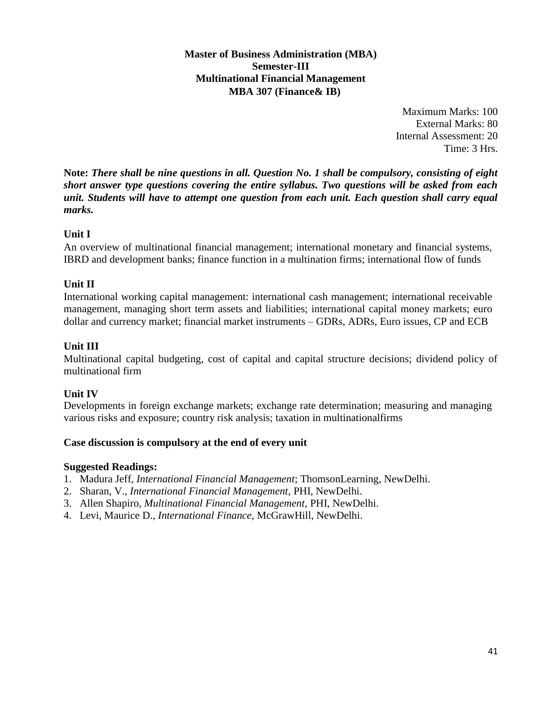**Master of Business Administration (MBA) Semester-III Multinational Financial Management MBA 307 (Finance& IB)**

> Maximum Marks: 100 External Marks: 80 Internal Assessment: 20 Time: 3 Hrs.

**Note:** *There shall be nine questions in all. Question No. 1 shall be compulsory, consisting of eight short answer type questions covering the entire syllabus. Two questions will be asked from each unit. Students will have to attempt one question from each unit. Each question shall carry equal marks.*

## **Unit I**

An overview of multinational financial management; international monetary and financial systems, IBRD and development banks; finance function in a multination firms; international flow of funds

## **Unit II**

International working capital management: international cash management; international receivable management, managing short term assets and liabilities; international capital money markets; euro dollar and currency market; financial market instruments – GDRs, ADRs, Euro issues, CP and ECB

## **Unit III**

Multinational capital budgeting, cost of capital and capital structure decisions; dividend policy of multinational firm

## **Unit IV**

Developments in foreign exchange markets; exchange rate determination; measuring and managing various risks and exposure; country risk analysis; taxation in multinationalfirms

## **Case discussion is compulsory at the end of every unit**

## **Suggested Readings:**

- 1. Madura Jeff, *International Financial Management*; ThomsonLearning, NewDelhi.
- 2. Sharan, V., *International Financial Management*, PHI, NewDelhi.
- 3. Allen Shapiro, *Multinational Financial Management*, PHI, NewDelhi.
- 4. Levi, Maurice D., *International Finance*, McGrawHill, NewDelhi.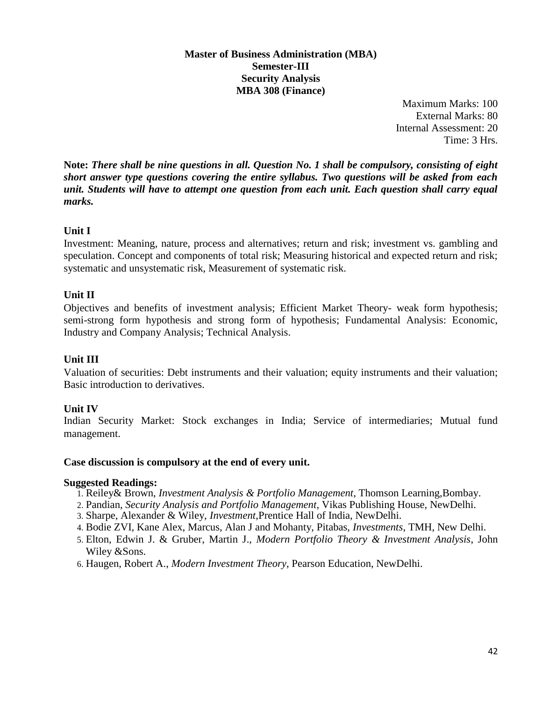#### **Master of Business Administration (MBA) Semester-III Security Analysis MBA 308 (Finance)**

Maximum Marks: 100 External Marks: 80 Internal Assessment: 20 Time: 3 Hrs.

**Note:** *There shall be nine questions in all. Question No. 1 shall be compulsory, consisting of eight short answer type questions covering the entire syllabus. Two questions will be asked from each unit. Students will have to attempt one question from each unit. Each question shall carry equal marks.*

## **Unit I**

Investment: Meaning, nature, process and alternatives; return and risk; investment vs. gambling and speculation. Concept and components of total risk; Measuring historical and expected return and risk; systematic and unsystematic risk, Measurement of systematic risk.

## **Unit II**

Objectives and benefits of investment analysis; Efficient Market Theory- weak form hypothesis; semi-strong form hypothesis and strong form of hypothesis; Fundamental Analysis: Economic, Industry and Company Analysis; Technical Analysis.

## **Unit III**

Valuation of securities: Debt instruments and their valuation; equity instruments and their valuation; Basic introduction to derivatives.

## **Unit IV**

Indian Security Market: Stock exchanges in India; Service of intermediaries; Mutual fund management.

#### **Case discussion is compulsory at the end of every unit.**

#### **Suggested Readings:**

- 1. Reiley& Brown, *Investment Analysis & Portfolio Management*, Thomson Learning,Bombay.
- 2. Pandian, *Security Analysis and Portfolio Management*, Vikas Publishing House, NewDelhi.
- 3. Sharpe, Alexander & Wiley, *Investment*,Prentice Hall of India, NewDelhi.
- 4. Bodie ZVI, Kane Alex, Marcus, Alan J and Mohanty, Pitabas, *Investments*, TMH, New Delhi.
- 5. Elton, Edwin J. & Gruber, Martin J., *Modern Portfolio Theory & Investment Analysis*, John Wiley &Sons.
- 6. Haugen, Robert A., *Modern Investment Theory*, Pearson Education, NewDelhi.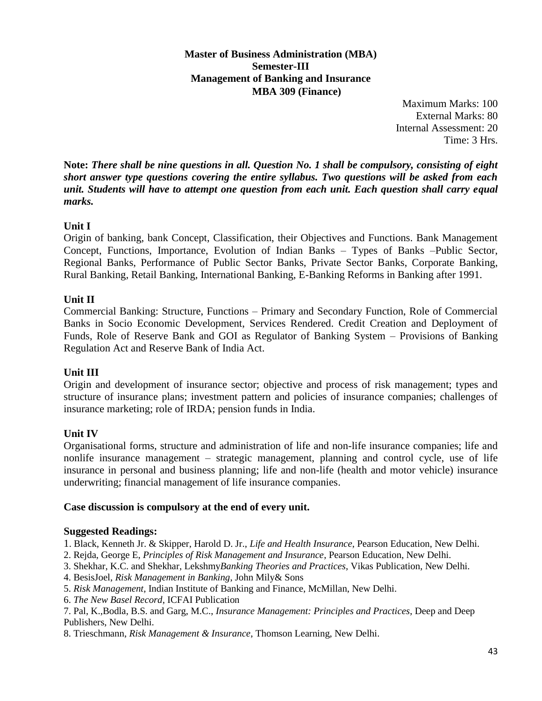**Master of Business Administration (MBA) Semester-III Management of Banking and Insurance MBA 309 (Finance)**

> Maximum Marks: 100 External Marks: 80 Internal Assessment: 20 Time: 3 Hrs.

**Note:** *There shall be nine questions in all. Question No. 1 shall be compulsory, consisting of eight short answer type questions covering the entire syllabus. Two questions will be asked from each unit. Students will have to attempt one question from each unit. Each question shall carry equal marks.*

## **Unit I**

Origin of banking, bank Concept, Classification, their Objectives and Functions. Bank Management Concept, Functions, Importance, Evolution of Indian Banks – Types of Banks –Public Sector, Regional Banks, Performance of Public Sector Banks, Private Sector Banks, Corporate Banking, Rural Banking, Retail Banking, International Banking, E-Banking Reforms in Banking after 1991.

## **Unit II**

Commercial Banking: Structure, Functions – Primary and Secondary Function, Role of Commercial Banks in Socio Economic Development, Services Rendered. Credit Creation and Deployment of Funds, Role of Reserve Bank and GOI as Regulator of Banking System – Provisions of Banking Regulation Act and Reserve Bank of India Act.

#### **Unit III**

Origin and development of insurance sector; objective and process of risk management; types and structure of insurance plans; investment pattern and policies of insurance companies; challenges of insurance marketing; role of IRDA; pension funds in India.

#### **Unit IV**

Organisational forms, structure and administration of life and non-life insurance companies; life and nonlife insurance management – strategic management, planning and control cycle, use of life insurance in personal and business planning; life and non-life (health and motor vehicle) insurance underwriting; financial management of life insurance companies.

#### **Case discussion is compulsory at the end of every unit.**

#### **Suggested Readings:**

1. Black, Kenneth Jr. & Skipper, Harold D. Jr., *Life and Health Insurance*, Pearson Education, New Delhi.

2. Rejda, George E, *Principles of Risk Management and Insurance*, Pearson Education, New Delhi.

- 3. Shekhar, K.C. and Shekhar, Lekshmy*Banking Theories and Practices*, Vikas Publication, New Delhi.
- 4. BesisJoel, *Risk Management in Banking*, John Mily& Sons
- 5. *Risk Management*, Indian Institute of Banking and Finance, McMillan, New Delhi.
- 6. *The New Basel Record*, ICFAI Publication

7. Pal, K.,Bodla, B.S. and Garg, M.C., *Insurance Management: Principles and Practices*, Deep and Deep Publishers, New Delhi.

8. Trieschmann, *Risk Management & Insurance*, Thomson Learning, New Delhi.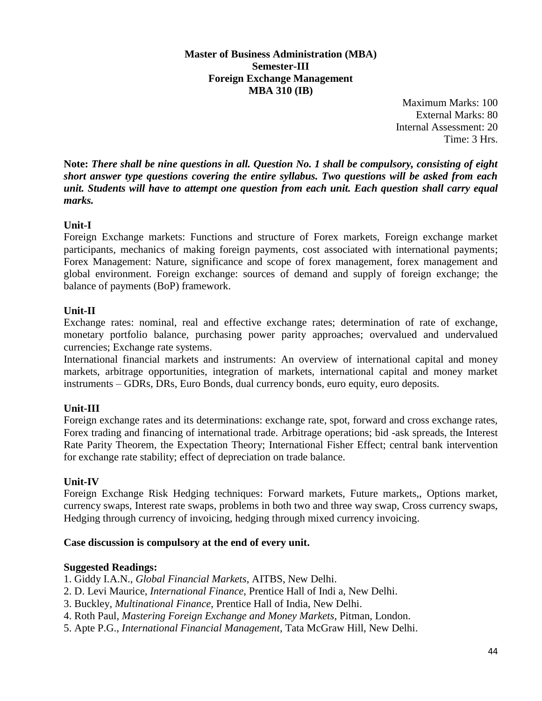**Master of Business Administration (MBA) Semester-III Foreign Exchange Management MBA 310 (IB)**

> Maximum Marks: 100 External Marks: 80 Internal Assessment: 20 Time: 3 Hrs.

**Note:** *There shall be nine questions in all. Question No. 1 shall be compulsory, consisting of eight short answer type questions covering the entire syllabus. Two questions will be asked from each unit. Students will have to attempt one question from each unit. Each question shall carry equal marks.*

## **Unit-I**

Foreign Exchange markets: Functions and structure of Forex markets, Foreign exchange market participants, mechanics of making foreign payments, cost associated with international payments; Forex Management: Nature, significance and scope of forex management, forex management and global environment. Foreign exchange: sources of demand and supply of foreign exchange; the balance of payments (BoP) framework.

## **Unit-II**

Exchange rates: nominal, real and effective exchange rates; determination of rate of exchange, monetary portfolio balance, purchasing power parity approaches; overvalued and undervalued currencies; Exchange rate systems.

International financial markets and instruments: An overview of international capital and money markets, arbitrage opportunities, integration of markets, international capital and money market instruments – GDRs, DRs, Euro Bonds, dual currency bonds, euro equity, euro deposits.

## **Unit-III**

Foreign exchange rates and its determinations: exchange rate, spot, forward and cross exchange rates, Forex trading and financing of international trade. Arbitrage operations; bid -ask spreads, the Interest Rate Parity Theorem, the Expectation Theory; International Fisher Effect; central bank intervention for exchange rate stability; effect of depreciation on trade balance.

## **Unit-IV**

Foreign Exchange Risk Hedging techniques: Forward markets, Future markets,, Options market, currency swaps, Interest rate swaps, problems in both two and three way swap, Cross currency swaps, Hedging through currency of invoicing, hedging through mixed currency invoicing.

## **Case discussion is compulsory at the end of every unit.**

## **Suggested Readings:**

- 1. Giddy I.A.N., *Global Financial Markets*, AITBS, New Delhi.
- 2. D. Levi Maurice, *International Finance*, Prentice Hall of Indi a, New Delhi.
- 3. Buckley, *Multinational Finance*, Prentice Hall of India, New Delhi.
- 4. Roth Paul, *Mastering Foreign Exchange and Money Markets*, Pitman, London.
- 5. Apte P.G., *International Financial Management*, Tata McGraw Hill, New Delhi.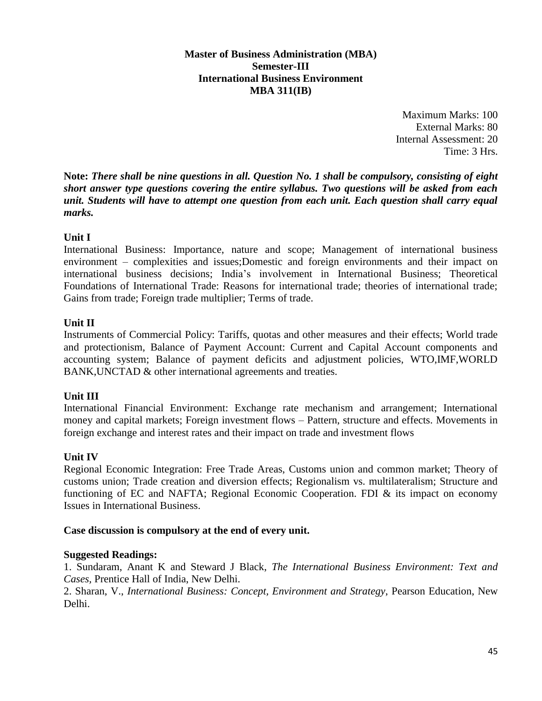#### **Master of Business Administration (MBA) Semester-III International Business Environment MBA 311(IB)**

Maximum Marks: 100 External Marks: 80 Internal Assessment: 20 Time: 3 Hrs.

**Note:** *There shall be nine questions in all. Question No. 1 shall be compulsory, consisting of eight short answer type questions covering the entire syllabus. Two questions will be asked from each unit. Students will have to attempt one question from each unit. Each question shall carry equal marks.*

#### **Unit I**

International Business: Importance, nature and scope; Management of international business environment – complexities and issues;Domestic and foreign environments and their impact on international business decisions; India's involvement in International Business; Theoretical Foundations of International Trade: Reasons for international trade; theories of international trade; Gains from trade; Foreign trade multiplier; Terms of trade.

#### **Unit II**

Instruments of Commercial Policy: Tariffs, quotas and other measures and their effects; World trade and protectionism, Balance of Payment Account: Current and Capital Account components and accounting system; Balance of payment deficits and adjustment policies, WTO,IMF,WORLD BANK,UNCTAD & other international agreements and treaties.

#### **Unit III**

International Financial Environment: Exchange rate mechanism and arrangement; International money and capital markets; Foreign investment flows – Pattern, structure and effects. Movements in foreign exchange and interest rates and their impact on trade and investment flows

#### **Unit IV**

Regional Economic Integration: Free Trade Areas, Customs union and common market; Theory of customs union; Trade creation and diversion effects; Regionalism vs. multilateralism; Structure and functioning of EC and NAFTA; Regional Economic Cooperation. FDI & its impact on economy Issues in International Business.

#### **Case discussion is compulsory at the end of every unit.**

#### **Suggested Readings:**

1. Sundaram, Anant K and Steward J Black, *The International Business Environment: Text and Cases,* Prentice Hall of India, New Delhi.

2. Sharan, V., *International Business: Concept, Environment and Strategy*, Pearson Education, New Delhi.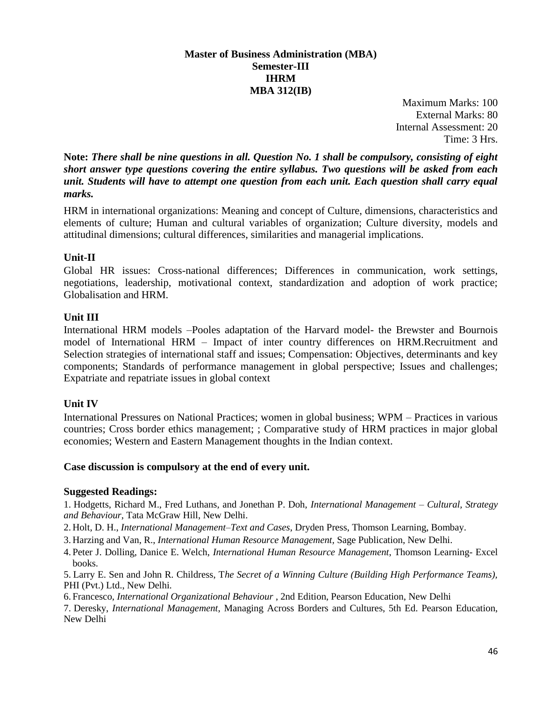#### **Master of Business Administration (MBA) Semester-III IHRM MBA 312(IB)**

Maximum Marks: 100 External Marks: 80 Internal Assessment: 20 Time: 3 Hrs.

**Note:** *There shall be nine questions in all. Question No. 1 shall be compulsory, consisting of eight short answer type questions covering the entire syllabus. Two questions will be asked from each unit. Students will have to attempt one question from each unit. Each question shall carry equal marks.*

HRM in international organizations: Meaning and concept of Culture, dimensions, characteristics and elements of culture; Human and cultural variables of organization; Culture diversity, models and attitudinal dimensions; cultural differences, similarities and managerial implications.

#### **Unit-II**

Global HR issues: Cross-national differences; Differences in communication, work settings, negotiations, leadership, motivational context, standardization and adoption of work practice; Globalisation and HRM.

#### **Unit III**

International HRM models –Pooles adaptation of the Harvard model- the Brewster and Bournois model of International HRM – Impact of inter country differences on HRM.Recruitment and Selection strategies of international staff and issues; Compensation: Objectives, determinants and key components; Standards of performance management in global perspective; Issues and challenges; Expatriate and repatriate issues in global context

#### **Unit IV**

International Pressures on National Practices; women in global business; WPM – Practices in various countries; Cross border ethics management; ; Comparative study of HRM practices in major global economies; Western and Eastern Management thoughts in the Indian context.

#### **Case discussion is compulsory at the end of every unit.**

#### **Suggested Readings:**

1. Hodgetts, Richard M., Fred Luthans, and Jonethan P. Doh, *International Management – Cultural, Strategy and Behaviour*, Tata McGraw Hill, New Delhi.

- 2. Holt, D. H., *International Management–Text and Cases*, Dryden Press, Thomson Learning, Bombay.
- 3. Harzing and Van, R., *International Human Resource Management,* Sage Publication, New Delhi.
- 4. Peter J. Dolling, Danice E. Welch, *International Human Resource Management*, Thomson Learning- Excel books.

5. Larry E. Sen and John R. Childress, T*he Secret of a Winning Culture (Building High Performance Teams),* PHI (Pvt.) Ltd., New Delhi.

6. Francesco, *International Organizational Behaviour* , 2nd Edition, Pearson Education, New Delhi

7. Deresky, *International Management*, Managing Across Borders and Cultures, 5th Ed. Pearson Education, New Delhi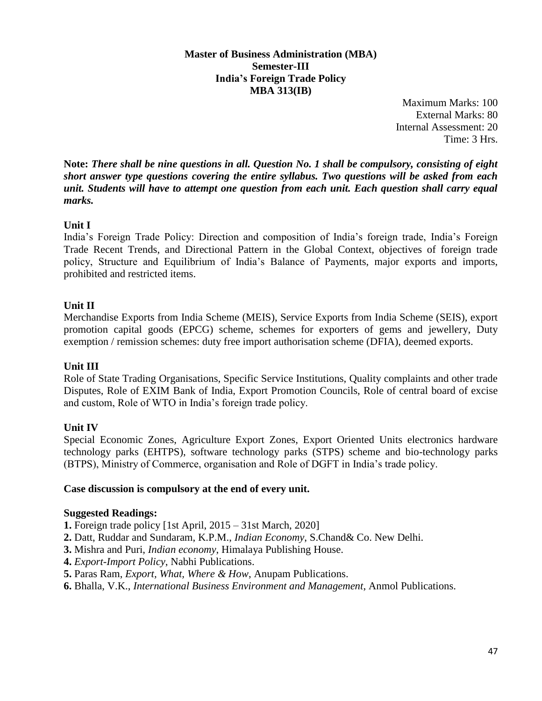#### **Master of Business Administration (MBA) Semester-III India's Foreign Trade Policy MBA 313(IB)**

Maximum Marks: 100 External Marks: 80 Internal Assessment: 20 Time: 3 Hrs.

**Note:** *There shall be nine questions in all. Question No. 1 shall be compulsory, consisting of eight short answer type questions covering the entire syllabus. Two questions will be asked from each unit. Students will have to attempt one question from each unit. Each question shall carry equal marks.*

## **Unit I**

India's Foreign Trade Policy: Direction and composition of India's foreign trade, India's Foreign Trade Recent Trends, and Directional Pattern in the Global Context, objectives of foreign trade policy, Structure and Equilibrium of India's Balance of Payments, major exports and imports, prohibited and restricted items.

## **Unit II**

Merchandise Exports from India Scheme (MEIS), Service Exports from India Scheme (SEIS), export promotion capital goods (EPCG) scheme, schemes for exporters of gems and jewellery, Duty exemption / remission schemes: duty free import authorisation scheme (DFIA), deemed exports.

## **Unit III**

Role of State Trading Organisations, Specific Service Institutions, Quality complaints and other trade Disputes, Role of EXIM Bank of India, Export Promotion Councils, Role of central board of excise and custom, Role of WTO in India's foreign trade policy.

## **Unit IV**

Special Economic Zones, Agriculture Export Zones, Export Oriented Units electronics hardware technology parks (EHTPS), software technology parks (STPS) scheme and bio-technology parks (BTPS), Ministry of Commerce, organisation and Role of DGFT in India's trade policy.

#### **Case discussion is compulsory at the end of every unit.**

#### **Suggested Readings:**

- **1.** Foreign trade policy [1st April, 2015 31st March, 2020]
- **2.** Datt, Ruddar and Sundaram, K.P.M., *Indian Economy*, S.Chand& Co. New Delhi.
- **3.** Mishra and Puri, *Indian economy*, Himalaya Publishing House.
- **4.** *Export-Import Policy*, Nabhi Publications.
- **5.** Paras Ram, *Export, What, Where & How*, Anupam Publications.
- **6.** Bhalla, V.K., *International Business Environment and Management*, Anmol Publications.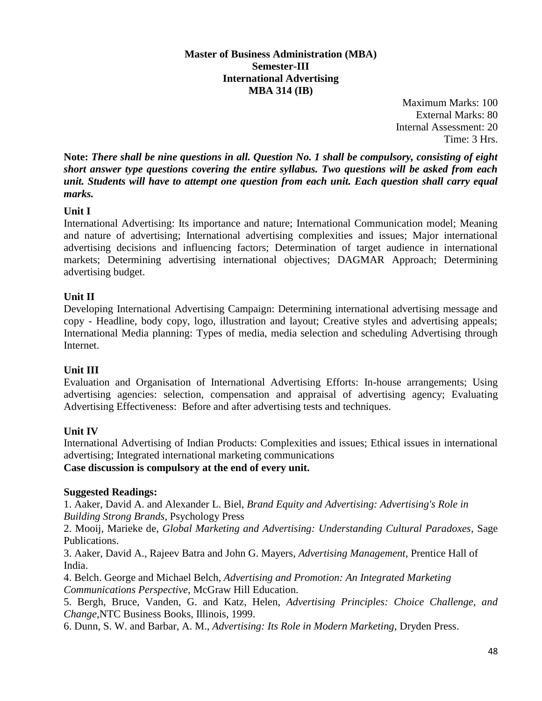#### **Master of Business Administration (MBA) Semester-III International Advertising MBA 314 (IB)**

Maximum Marks: 100 External Marks: 80 Internal Assessment: 20 Time: 3 Hrs.

**Note:** *There shall be nine questions in all. Question No. 1 shall be compulsory, consisting of eight short answer type questions covering the entire syllabus. Two questions will be asked from each unit. Students will have to attempt one question from each unit. Each question shall carry equal marks.*

## **Unit I**

International Advertising: Its importance and nature; International Communication model; Meaning and nature of advertising; International advertising complexities and issues; Major international advertising decisions and influencing factors; Determination of target audience in international markets; Determining advertising international objectives; DAGMAR Approach; Determining advertising budget.

## **Unit II**

Developing International Advertising Campaign: Determining international advertising message and copy - Headline, body copy, logo, illustration and layout; Creative styles and advertising appeals; International Media planning: Types of media, media selection and scheduling Advertising through Internet.

## **Unit III**

Evaluation and Organisation of International Advertising Efforts: In-house arrangements; Using advertising agencies: selection, compensation and appraisal of advertising agency; Evaluating Advertising Effectiveness: Before and after advertising tests and techniques.

## **Unit IV**

International Advertising of Indian Products: Complexities and issues; Ethical issues in international advertising; Integrated international marketing communications **Case discussion is compulsory at the end of every unit.**

## **Suggested Readings:**

1. Aaker, David A. and Alexander L. Biel, *Brand Equity and Advertising: Advertising's Role in Building Strong Brands*, Psychology Press

2. Mooij, Marieke de, *Global Marketing and Advertising: Understanding Cultural Paradoxes*, Sage Publications.

3. Aaker, David A., Rajeev Batra and John G. Mayers, *Advertising Management*, Prentice Hall of India.

4. Belch. George and Michael Belch, *Advertising and Promotion: An Integrated Marketing Communications Perspective*, McGraw Hill Education.

5. Bergh, Bruce, Vanden, G. and Katz, Helen, *Advertising Principles: Choice Challenge, and Change,*NTC Business Books, Illinois, 1999.

6. Dunn, S. W. and Barbar, A. M., *Advertising: Its Role in Modern Marketing*, Dryden Press.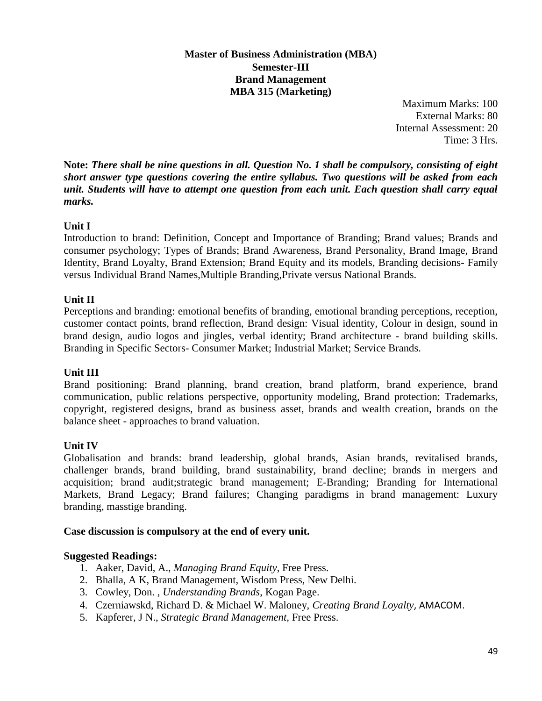## **Master of Business Administration (MBA) Semester-III Brand Management MBA 315 (Marketing)**

Maximum Marks: 100 External Marks: 80 Internal Assessment: 20 Time: 3 Hrs.

**Note:** *There shall be nine questions in all. Question No. 1 shall be compulsory, consisting of eight short answer type questions covering the entire syllabus. Two questions will be asked from each unit. Students will have to attempt one question from each unit. Each question shall carry equal marks.*

## **Unit I**

Introduction to brand: Definition, Concept and Importance of Branding; Brand values; Brands and consumer psychology; Types of Brands; Brand Awareness, Brand Personality, Brand Image, Brand Identity, Brand Loyalty, Brand Extension; Brand Equity and its models, Branding decisions- Family versus Individual Brand Names,Multiple Branding,Private versus National Brands.

## **Unit II**

Perceptions and branding: emotional benefits of branding, emotional branding perceptions, reception, customer contact points, brand reflection, Brand design: Visual identity, Colour in design, sound in brand design, audio logos and jingles, verbal identity; Brand architecture - brand building skills. Branding in Specific Sectors- Consumer Market; Industrial Market; Service Brands.

## **Unit III**

Brand positioning: Brand planning, brand creation, brand platform, brand experience, brand communication, public relations perspective, opportunity modeling, Brand protection: Trademarks, copyright, registered designs, brand as business asset, brands and wealth creation, brands on the balance sheet - approaches to brand valuation.

## **Unit IV**

Globalisation and brands: brand leadership, global brands, Asian brands, revitalised brands, challenger brands, brand building, brand sustainability, brand decline; brands in mergers and acquisition; brand audit;strategic brand management; E-Branding; Branding for International Markets, Brand Legacy; Brand failures; Changing paradigms in brand management: Luxury branding, masstige branding.

#### **Case discussion is compulsory at the end of every unit.**

## **Suggested Readings:**

- 1. Aaker, David, A., *Managing Brand Equity*, Free Press.
- 2. Bhalla, A K, Brand Management, Wisdom Press, New Delhi.
- 3. Cowley, Don. , *Understanding Brands*, Kogan Page.
- 4. Czerniawskd, Richard D. & Michael W. Maloney, *Creating Brand Loyalty*, AMACOM.
- 5. Kapferer, J N., *Strategic Brand Management,* Free Press.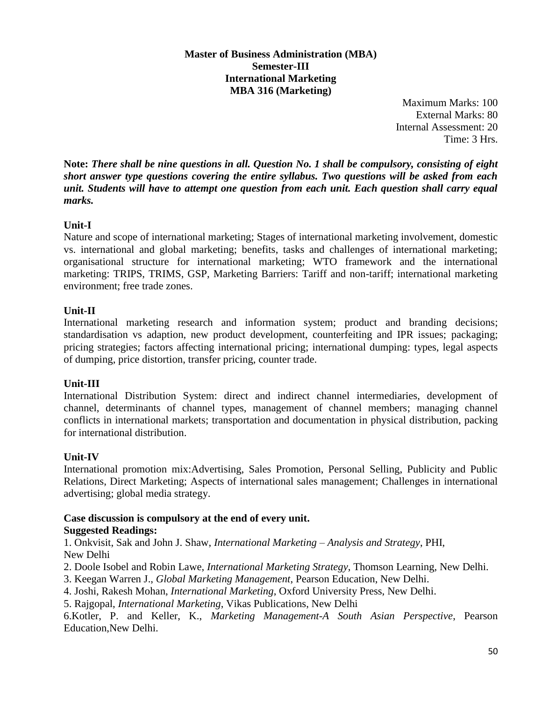#### **Master of Business Administration (MBA) Semester-III International Marketing MBA 316 (Marketing)**

Maximum Marks: 100 External Marks: 80 Internal Assessment: 20 Time: 3 Hrs.

**Note:** *There shall be nine questions in all. Question No. 1 shall be compulsory, consisting of eight short answer type questions covering the entire syllabus. Two questions will be asked from each unit. Students will have to attempt one question from each unit. Each question shall carry equal marks.*

## **Unit-I**

Nature and scope of international marketing; Stages of international marketing involvement, domestic vs. international and global marketing; benefits, tasks and challenges of international marketing; organisational structure for international marketing; WTO framework and the international marketing: TRIPS, TRIMS, GSP, Marketing Barriers: Tariff and non-tariff; international marketing environment; free trade zones.

#### **Unit-II**

International marketing research and information system; product and branding decisions; standardisation vs adaption, new product development, counterfeiting and IPR issues; packaging; pricing strategies; factors affecting international pricing; international dumping: types, legal aspects of dumping, price distortion, transfer pricing, counter trade.

## **Unit-III**

International Distribution System: direct and indirect channel intermediaries, development of channel, determinants of channel types, management of channel members; managing channel conflicts in international markets; transportation and documentation in physical distribution, packing for international distribution.

#### **Unit-IV**

International promotion mix:Advertising, Sales Promotion, Personal Selling, Publicity and Public Relations, Direct Marketing; Aspects of international sales management; Challenges in international advertising; global media strategy.

# **Case discussion is compulsory at the end of every unit.**

**Suggested Readings:** 

1. Onkvisit, Sak and John J. Shaw, *International Marketing – Analysis and Strategy*, PHI, New Delhi

2. Doole Isobel and Robin Lawe, *International Marketing Strategy*, Thomson Learning, New Delhi.

- 3. Keegan Warren J., *Global Marketing Management*, Pearson Education, New Delhi.
- 4. Joshi, Rakesh Mohan, *International Marketing*, Oxford University Press, New Delhi.
- 5. Rajgopal, *International Marketing*, Vikas Publications, New Delhi

6.Kotler, P. and Keller, K., *Marketing Management-A South Asian Perspective*, Pearson Education,New Delhi.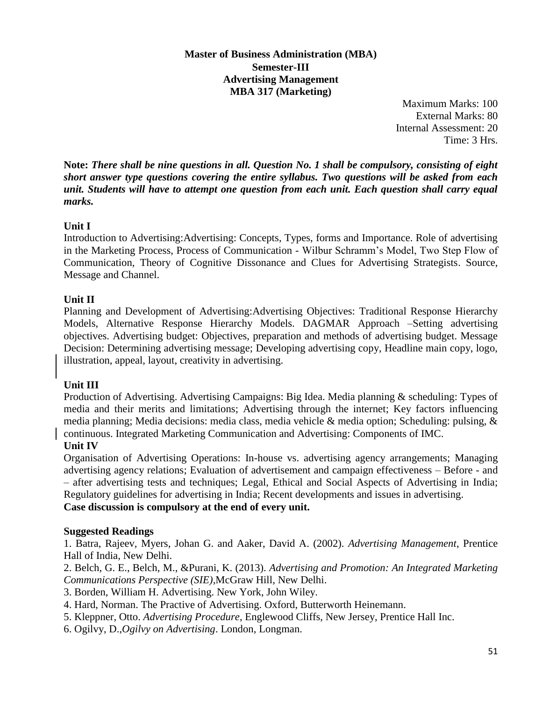## **Master of Business Administration (MBA) Semester-III Advertising Management MBA 317 (Marketing)**

Maximum Marks: 100 External Marks: 80 Internal Assessment: 20 Time: 3 Hrs.

**Note:** *There shall be nine questions in all. Question No. 1 shall be compulsory, consisting of eight short answer type questions covering the entire syllabus. Two questions will be asked from each unit. Students will have to attempt one question from each unit. Each question shall carry equal marks.*

## **Unit I**

Introduction to Advertising:Advertising: Concepts, Types, forms and Importance. Role of advertising in the Marketing Process, Process of Communication - Wilbur Schramm's Model, Two Step Flow of Communication, Theory of Cognitive Dissonance and Clues for Advertising Strategists. Source, Message and Channel.

## **Unit II**

Planning and Development of Advertising:Advertising Objectives: Traditional Response Hierarchy Models, Alternative Response Hierarchy Models. DAGMAR Approach –Setting advertising objectives. Advertising budget: Objectives, preparation and methods of advertising budget. Message Decision: Determining advertising message; Developing advertising copy, Headline main copy, logo, illustration, appeal, layout, creativity in advertising.

## **Unit III**

Production of Advertising. Advertising Campaigns: Big Idea. Media planning & scheduling: Types of media and their merits and limitations; Advertising through the internet; Key factors influencing media planning; Media decisions: media class, media vehicle & media option; Scheduling: pulsing, & continuous. Integrated Marketing Communication and Advertising: Components of IMC.

## **Unit IV**

Organisation of Advertising Operations: In-house vs. advertising agency arrangements; Managing advertising agency relations; Evaluation of advertisement and campaign effectiveness – Before - and – after advertising tests and techniques; Legal, Ethical and Social Aspects of Advertising in India; Regulatory guidelines for advertising in India; Recent developments and issues in advertising. **Case discussion is compulsory at the end of every unit.**

## **Suggested Readings**

1. Batra, Rajeev, Myers, Johan G. and Aaker, David A. (2002). *Advertising Management*, Prentice Hall of India, New Delhi.

2. Belch, G. E., Belch, M., &Purani, K. (2013). *Advertising and Promotion: An Integrated Marketing Communications Perspective (SIE),*McGraw Hill, New Delhi.

3. Borden, William H. Advertising. New York, John Wiley.

4. Hard, Norman. The Practive of Advertising. Oxford, Butterworth Heinemann.

5. Kleppner, Otto. *Advertising Procedure*, Englewood Cliffs, New Jersey, Prentice Hall Inc.

6. Ogilvy, D.,*Ogilvy on Advertising*. London, Longman.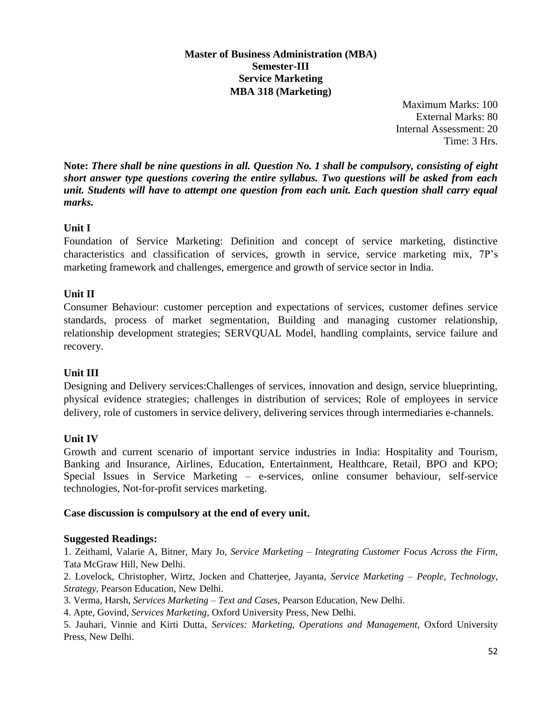## **Master of Business Administration (MBA) Semester-III Service Marketing MBA 318 (Marketing)**

Maximum Marks: 100 External Marks: 80 Internal Assessment: 20 Time: 3 Hrs.

**Note:** *There shall be nine questions in all. Question No. 1 shall be compulsory, consisting of eight short answer type questions covering the entire syllabus. Two questions will be asked from each unit. Students will have to attempt one question from each unit. Each question shall carry equal marks.*

## **Unit I**

Foundation of Service Marketing: Definition and concept of service marketing, distinctive characteristics and classification of services, growth in service, service marketing mix, 7P's marketing framework and challenges, emergence and growth of service sector in India.

## **Unit II**

Consumer Behaviour: customer perception and expectations of services, customer defines service standards, process of market segmentation, Building and managing customer relationship, relationship development strategies; SERVQUAL Model, handling complaints, service failure and recovery.

## **Unit III**

Designing and Delivery services:Challenges of services, innovation and design, service blueprinting, physical evidence strategies; challenges in distribution of services; Role of employees in service delivery, role of customers in service delivery, delivering services through intermediaries e-channels.

## **Unit IV**

Growth and current scenario of important service industries in India: Hospitality and Tourism, Banking and Insurance, Airlines, Education, Entertainment, Healthcare, Retail, BPO and KPO; Special Issues in Service Marketing – e-services, online consumer behaviour, self-service technologies, Not-for-profit services marketing.

## **Case discussion is compulsory at the end of every unit.**

## **Suggested Readings:**

1. Zeithaml, Valarie A, Bitner, Mary Jo, *Service Marketing – Integrating Customer Focus Across the Firm*, Tata McGraw Hill, New Delhi.

2. Lovelock, Christopher, Wirtz, Jocken and Chatterjee, Jayanta, *Service Marketing – People, Technology, Strategy*, Pearson Education, New Delhi.

3. Verma, Harsh, *Services Marketing – Text and Cases*, Pearson Education, New Delhi.

4. Apte, Govind, *Services Marketing*, Oxford University Press, New Delhi.

5. Jauhari, Vinnie and Kirti Dutta, *Services: Marketing, Operations and Management*, Oxford University Press, New Delhi.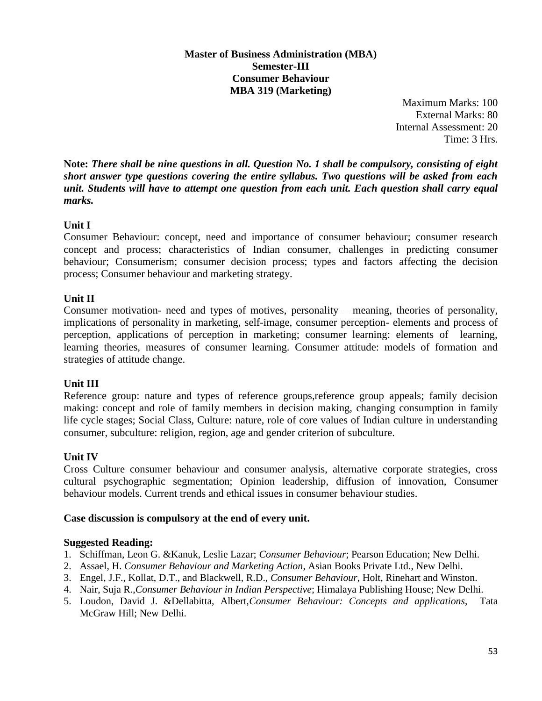#### **Master of Business Administration (MBA) Semester-III Consumer Behaviour MBA 319 (Marketing)**

Maximum Marks: 100 External Marks: 80 Internal Assessment: 20 Time: 3 Hrs.

**Note:** *There shall be nine questions in all. Question No. 1 shall be compulsory, consisting of eight short answer type questions covering the entire syllabus. Two questions will be asked from each unit. Students will have to attempt one question from each unit. Each question shall carry equal marks.*

## **Unit I**

Consumer Behaviour: concept, need and importance of consumer behaviour; consumer research concept and process; characteristics of Indian consumer, challenges in predicting consumer behaviour; Consumerism; consumer decision process; types and factors affecting the decision process; Consumer behaviour and marketing strategy.

## **Unit II**

Consumer motivation- need and types of motives, personality – meaning, theories of personality, implications of personality in marketing, self-image, consumer perception- elements and process of perception, applications of perception in marketing; consumer learning: elements of learning, learning theories, measures of consumer learning. Consumer attitude: models of formation and strategies of attitude change.

## **Unit III**

Reference group: nature and types of reference groups,reference group appeals; family decision making: concept and role of family members in decision making, changing consumption in family life cycle stages; Social Class, Culture: nature, role of core values of Indian culture in understanding consumer, subculture: religion, region, age and gender criterion of subculture.

## **Unit IV**

Cross Culture consumer behaviour and consumer analysis, alternative corporate strategies, cross cultural psychographic segmentation; Opinion leadership, diffusion of innovation, Consumer behaviour models. Current trends and ethical issues in consumer behaviour studies.

## **Case discussion is compulsory at the end of every unit.**

## **Suggested Reading:**

- 1. Schiffman, Leon G. &Kanuk, Leslie Lazar; *Consumer Behaviour*; Pearson Education; New Delhi.
- 2. Assael, H. *Consumer Behaviour and Marketing Action*, Asian Books Private Ltd., New Delhi.
- 3. Engel, J.F., Kollat, D.T., and Blackwell, R.D., *Consumer Behaviour*, Holt, Rinehart and Winston.
- 4. Nair, Suja R.,*Consumer Behaviour in Indian Perspective*; Himalaya Publishing House; New Delhi.
- 5. Loudon, David J. &Dellabitta, Albert,*Consumer Behaviour: Concepts and applications*, Tata McGraw Hill; New Delhi.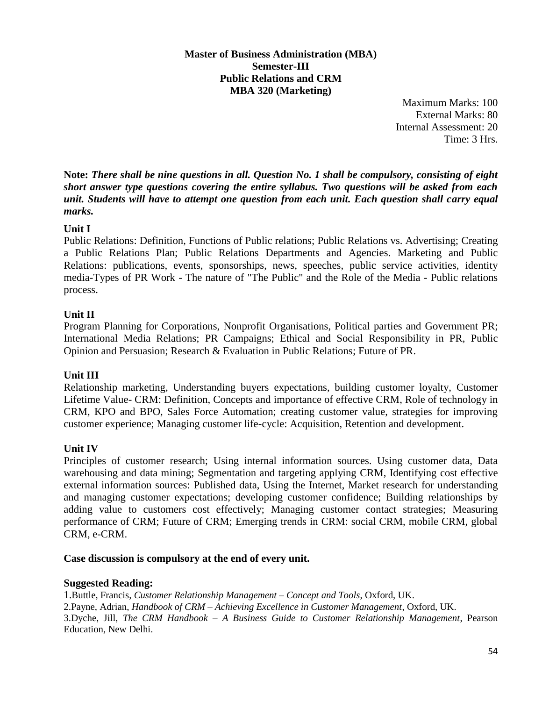#### **Master of Business Administration (MBA) Semester-III Public Relations and CRM MBA 320 (Marketing)**

Maximum Marks: 100 External Marks: 80 Internal Assessment: 20 Time: 3 Hrs.

**Note:** *There shall be nine questions in all. Question No. 1 shall be compulsory, consisting of eight short answer type questions covering the entire syllabus. Two questions will be asked from each unit. Students will have to attempt one question from each unit. Each question shall carry equal marks.*

## **Unit I**

Public Relations: Definition, Functions of Public relations; Public Relations vs. Advertising; Creating a Public Relations Plan; Public Relations Departments and Agencies. Marketing and Public Relations: publications, events, sponsorships, news, speeches, public service activities, identity media-Types of PR Work - The nature of "The Public" and the Role of the Media - Public relations process.

## **Unit II**

Program Planning for Corporations, Nonprofit Organisations, Political parties and Government PR; International Media Relations; PR Campaigns; Ethical and Social Responsibility in PR, Public Opinion and Persuasion; Research & Evaluation in Public Relations; Future of PR.

## **Unit III**

Relationship marketing, Understanding buyers expectations, building customer loyalty, Customer Lifetime Value- CRM: Definition, Concepts and importance of effective CRM, Role of technology in CRM, KPO and BPO, Sales Force Automation; creating customer value, strategies for improving customer experience; Managing customer life-cycle: Acquisition, Retention and development.

#### **Unit IV**

Principles of customer research; Using internal information sources. Using customer data, Data warehousing and data mining; Segmentation and targeting applying CRM, Identifying cost effective external information sources: Published data, Using the Internet, Market research for understanding and managing customer expectations; developing customer confidence; Building relationships by adding value to customers cost effectively; Managing customer contact strategies; Measuring performance of CRM; Future of CRM; Emerging trends in CRM: social CRM, mobile CRM, global CRM, e-CRM.

#### **Case discussion is compulsory at the end of every unit.**

#### **Suggested Reading:**

1.Buttle, Francis, *Customer Relationship Management – Concept and Tools*, Oxford, UK. 2.Payne, Adrian, *Handbook of CRM – Achieving Excellence in Customer Management*, Oxford, UK. 3.Dyche, Jill, *The CRM Handbook – A Business Guide to Customer Relationship Management*, Pearson Education, New Delhi.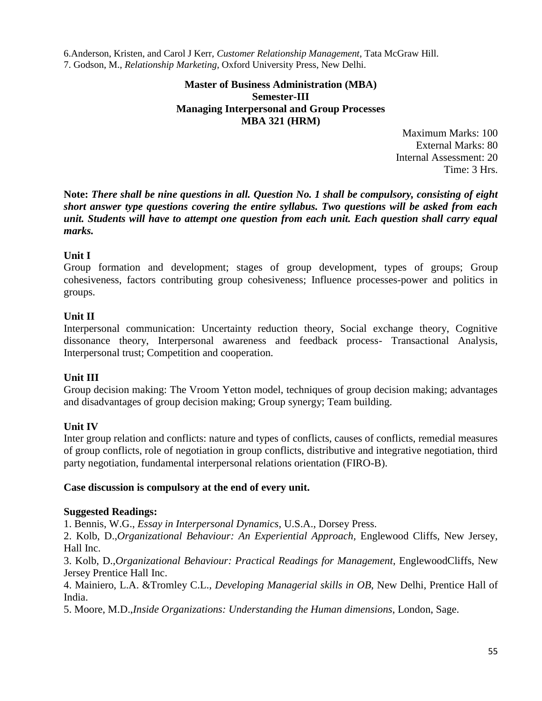6.Anderson, Kristen, and Carol J Kerr, *Customer Relationship Management*, Tata McGraw Hill. 7. Godson, M., *Relationship Marketing*, Oxford University Press, New Delhi.

#### **Master of Business Administration (MBA) Semester-III Managing Interpersonal and Group Processes MBA 321 (HRM)**

Maximum Marks: 100 External Marks: 80 Internal Assessment: 20 Time: 3 Hrs.

**Note:** *There shall be nine questions in all. Question No. 1 shall be compulsory, consisting of eight short answer type questions covering the entire syllabus. Two questions will be asked from each unit. Students will have to attempt one question from each unit. Each question shall carry equal marks.*

#### **Unit I**

Group formation and development; stages of group development, types of groups; Group cohesiveness, factors contributing group cohesiveness; Influence processes-power and politics in groups.

#### **Unit II**

Interpersonal communication: Uncertainty reduction theory, Social exchange theory, Cognitive dissonance theory, Interpersonal awareness and feedback process- Transactional Analysis, Interpersonal trust; Competition and cooperation.

## **Unit III**

Group decision making: The Vroom Yetton model, techniques of group decision making; advantages and disadvantages of group decision making; Group synergy; Team building.

#### **Unit IV**

Inter group relation and conflicts: nature and types of conflicts, causes of conflicts, remedial measures of group conflicts, role of negotiation in group conflicts, distributive and integrative negotiation, third party negotiation, fundamental interpersonal relations orientation (FIRO-B).

#### **Case discussion is compulsory at the end of every unit.**

#### **Suggested Readings:**

1. Bennis, W.G., *Essay in Interpersonal Dynamics*, U.S.A., Dorsey Press.

2. Kolb, D.,*Organizational Behaviour: An Experiential Approach,* Englewood Cliffs, New Jersey, Hall Inc.

3. Kolb, D.,*Organizational Behaviour: Practical Readings for Management*, EnglewoodCliffs, New Jersey Prentice Hall Inc.

4. Mainiero, L.A. &Tromley C.L., *Developing Managerial skills in OB*, New Delhi, Prentice Hall of India.

5. Moore, M.D.,*Inside Organizations: Understanding the Human dimensions*, London, Sage.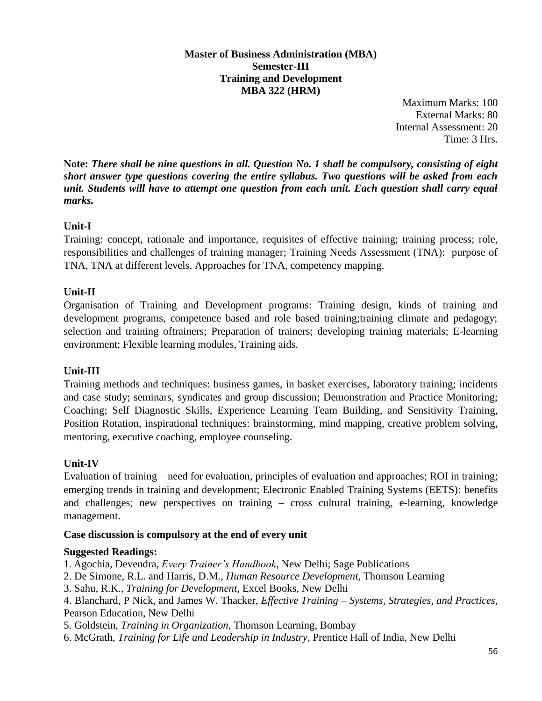#### **Master of Business Administration (MBA) Semester-III Training and Development MBA 322 (HRM)**

Maximum Marks: 100 External Marks: 80 Internal Assessment: 20 Time: 3 Hrs.

**Note:** *There shall be nine questions in all. Question No. 1 shall be compulsory, consisting of eight short answer type questions covering the entire syllabus. Two questions will be asked from each unit. Students will have to attempt one question from each unit. Each question shall carry equal marks.*

## **Unit-I**

Training: concept, rationale and importance, requisites of effective training; training process; role, responsibilities and challenges of training manager; Training Needs Assessment (TNA): purpose of TNA, TNA at different levels, Approaches for TNA, competency mapping.

## **Unit-II**

Organisation of Training and Development programs: Training design, kinds of training and development programs, competence based and role based training;training climate and pedagogy; selection and training oftrainers; Preparation of trainers; developing training materials; E-learning environment; Flexible learning modules, Training aids.

## **Unit-III**

Training methods and techniques: business games, in basket exercises, laboratory training; incidents and case study; seminars, syndicates and group discussion; Demonstration and Practice Monitoring; Coaching; Self Diagnostic Skills, Experience Learning Team Building, and Sensitivity Training, Position Rotation, inspirational techniques: brainstorming, mind mapping, creative problem solving, mentoring, executive coaching, employee counseling.

## **Unit-IV**

Evaluation of training – need for evaluation, principles of evaluation and approaches; ROI in training; emerging trends in training and development; Electronic Enabled Training Systems (EETS): benefits and challenges; new perspectives on training – cross cultural training, e-learning, knowledge management.

## **Case discussion is compulsory at the end of every unit**

#### **Suggested Readings:**

1. Agochia, Devendra, *Every Trainer's Handbook*, New Delhi; Sage Publications

- 2. De Simone, R.L. and Harris, D.M., *Human Resource Development*, Thomson Learning
- 3. Sahu, R.K., *Training for Development,* Excel Books, New Delhi
- 4. Blanchard, P Nick, and James W. Thacker, *Effective Training – Systems, Strategies, and Practices*, Pearson Education, New Delhi
- 5. Goldstein, *Training in Organization*, Thomson Learning, Bombay
- 6. McGrath, *Training for Life and Leadership in Industry*, Prentice Hall of India, New Delhi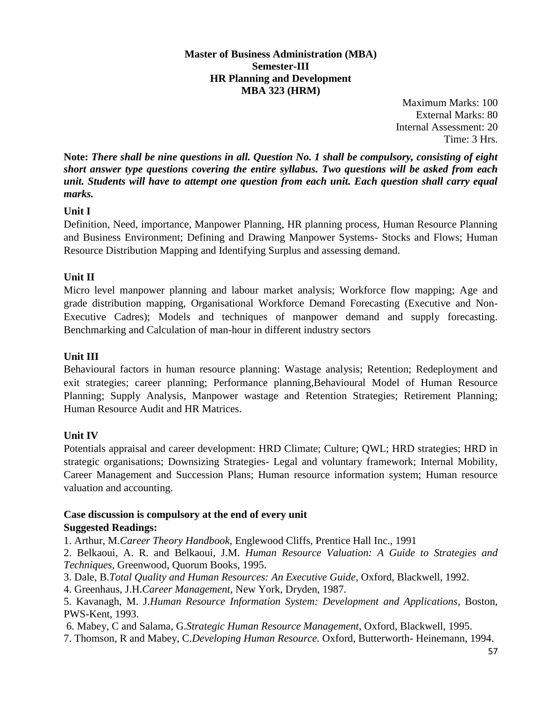#### **Master of Business Administration (MBA) Semester-III HR Planning and Development MBA 323 (HRM)**

Maximum Marks: 100 External Marks: 80 Internal Assessment: 20 Time: 3 Hrs.

**Note:** *There shall be nine questions in all. Question No. 1 shall be compulsory, consisting of eight short answer type questions covering the entire syllabus. Two questions will be asked from each unit. Students will have to attempt one question from each unit. Each question shall carry equal marks.*

## **Unit I**

Definition, Need, importance, Manpower Planning, HR planning process, Human Resource Planning and Business Environment; Defining and Drawing Manpower Systems- Stocks and Flows; Human Resource Distribution Mapping and Identifying Surplus and assessing demand.

## **Unit II**

Micro level manpower planning and labour market analysis; Workforce flow mapping; Age and grade distribution mapping, Organisational Workforce Demand Forecasting (Executive and Non-Executive Cadres); Models and techniques of manpower demand and supply forecasting. Benchmarking and Calculation of man-hour in different industry sectors

## **Unit III**

Behavioural factors in human resource planning: Wastage analysis; Retention; Redeployment and exit strategies; career planning; Performance planning,Behavioural Model of Human Resource Planning; Supply Analysis, Manpower wastage and Retention Strategies; Retirement Planning; Human Resource Audit and HR Matrices.

## **Unit IV**

Potentials appraisal and career development: HRD Climate; Culture; QWL; HRD strategies; HRD in strategic organisations; Downsizing Strategies- Legal and voluntary framework; Internal Mobility, Career Management and Succession Plans; Human resource information system; Human resource valuation and accounting.

# **Case discussion is compulsory at the end of every unit**

## **Suggested Readings:**

1. Arthur, M.*Career Theory Handbook*, Englewood Cliffs, Prentice Hall Inc., 1991

- 2. Belkaoui, A. R. and Belkaoui, J.M. *Human Resource Valuation: A Guide to Strategies and Techniques,* Greenwood, Quorum Books, 1995.
- 3. Dale, B.*Total Quality and Human Resources: An Executive Guide*, Oxford, Blackwell, 1992.
- 4. Greenhaus, J.H.*Career Management*, New York, Dryden, 1987.
- 5. Kavanagh, M. J.*Human Resource Information System: Development and Applications*, Boston, PWS-Kent, 1993.
- 6. Mabey, C and Salama, G.*Strategic Human Resource Management*, Oxford, Blackwell, 1995.
- 7. Thomson, R and Mabey, C.*Developing Human Resource.* Oxford, Butterworth- Heinemann, 1994.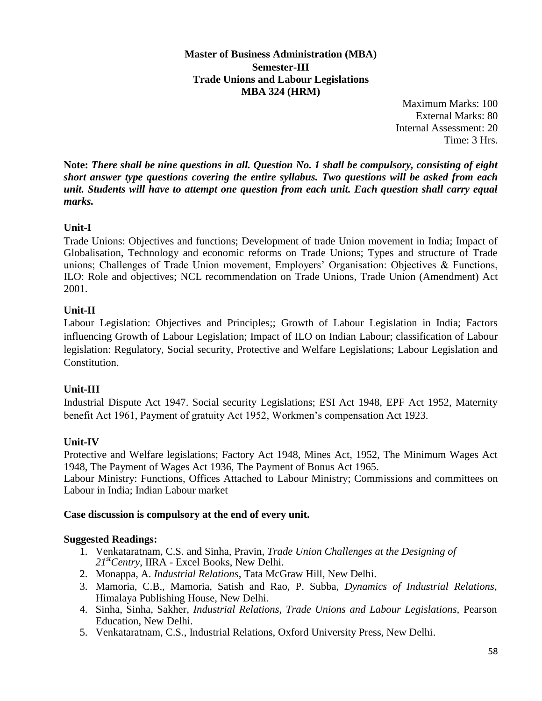**Master of Business Administration (MBA) Semester-III Trade Unions and Labour Legislations MBA 324 (HRM)**

> Maximum Marks: 100 External Marks: 80 Internal Assessment: 20 Time: 3 Hrs.

**Note:** *There shall be nine questions in all. Question No. 1 shall be compulsory, consisting of eight short answer type questions covering the entire syllabus. Two questions will be asked from each unit. Students will have to attempt one question from each unit. Each question shall carry equal marks.*

## **Unit-I**

Trade Unions: Objectives and functions; Development of trade Union movement in India; Impact of Globalisation, Technology and economic reforms on Trade Unions; Types and structure of Trade unions; Challenges of Trade Union movement, Employers' Organisation: Objectives & Functions, ILO: Role and objectives; NCL recommendation on Trade Unions, Trade Union (Amendment) Act 2001.

#### **Unit-II**

Labour Legislation: Objectives and Principles;; Growth of Labour Legislation in India; Factors influencing Growth of Labour Legislation; Impact of ILO on Indian Labour; classification of Labour legislation: Regulatory, Social security, Protective and Welfare Legislations; Labour Legislation and Constitution.

## **Unit-III**

Industrial Dispute Act 1947. Social security Legislations; ESI Act 1948, EPF Act 1952, Maternity benefit Act 1961, Payment of gratuity Act 1952, Workmen's compensation Act 1923.

## **Unit-IV**

Protective and Welfare legislations; Factory Act 1948, Mines Act, 1952, The Minimum Wages Act 1948, The Payment of Wages Act 1936, The Payment of Bonus Act 1965.

Labour Ministry: Functions, Offices Attached to Labour Ministry; Commissions and committees on Labour in India; Indian Labour market

#### **Case discussion is compulsory at the end of every unit.**

#### **Suggested Readings:**

- 1. Venkataratnam, C.S. and Sinha, Pravin, *Trade Union Challenges at the Designing of 21stCentry*, IIRA - Excel Books, New Delhi.
- 2. Monappa, A. *Industrial Relations*, Tata McGraw Hill, New Delhi.
- 3. Mamoria, C.B., Mamoria, Satish and Rao, P. Subba, *Dynamics of Industrial Relations*, Himalaya Publishing House, New Delhi.
- 4. Sinha, Sinha, Sakher, *Industrial Relations, Trade Unions and Labour Legislations,* Pearson Education, New Delhi.
- 5. Venkataratnam, C.S., Industrial Relations, Oxford University Press, New Delhi.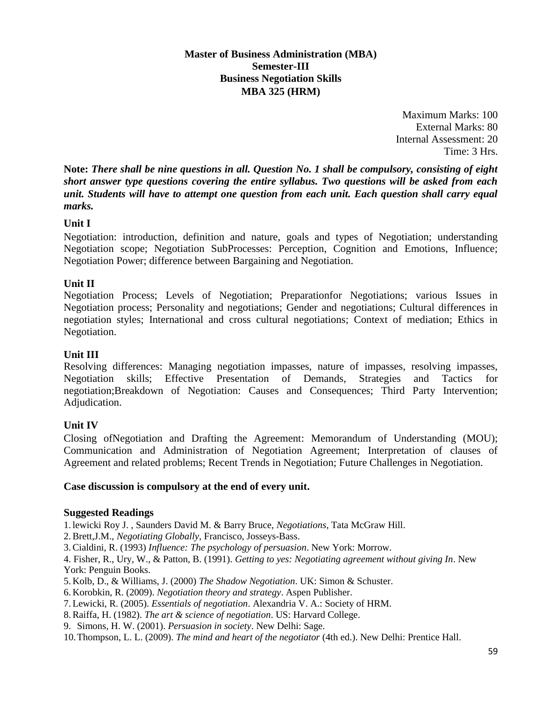## **Master of Business Administration (MBA) Semester-III Business Negotiation Skills MBA 325 (HRM)**

Maximum Marks: 100 External Marks: 80 Internal Assessment: 20 Time: 3 Hrs.

**Note:** *There shall be nine questions in all. Question No. 1 shall be compulsory, consisting of eight short answer type questions covering the entire syllabus. Two questions will be asked from each unit. Students will have to attempt one question from each unit. Each question shall carry equal marks.*

## **Unit I**

Negotiation: introduction, definition and nature, goals and types of Negotiation; understanding Negotiation scope; Negotiation SubProcesses: Perception, Cognition and Emotions, Influence; Negotiation Power; difference between Bargaining and Negotiation.

## **Unit II**

Negotiation Process; Levels of Negotiation; Preparationfor Negotiations; various Issues in Negotiation process; Personality and negotiations; Gender and negotiations; Cultural differences in negotiation styles; International and cross cultural negotiations; Context of mediation; Ethics in Negotiation.

#### **Unit III**

Resolving differences: Managing negotiation impasses, nature of impasses, resolving impasses, Negotiation skills; Effective Presentation of Demands, Strategies and Tactics for negotiation;Breakdown of Negotiation: Causes and Consequences; Third Party Intervention; Adjudication.

#### **Unit IV**

Closing ofNegotiation and Drafting the Agreement: Memorandum of Understanding (MOU); Communication and Administration of Negotiation Agreement; Interpretation of clauses of Agreement and related problems; Recent Trends in Negotiation; Future Challenges in Negotiation.

#### **Case discussion is compulsory at the end of every unit.**

#### **Suggested Readings**

1. lewicki Roy J. , Saunders David M. & Barry Bruce, *Negotiations*, Tata McGraw Hill.

2.Brett,J.M., *Negotiating Globally*, Francisco, Josseys-Bass.

3.Cialdini, R. (1993) *Influence: The psychology of persuasion*. New York: Morrow.

4. Fisher, R., Ury, W., & Patton, B. (1991). *Getting to yes: Negotiating agreement without giving In*. New York: Penguin Books.

- 5. Kolb, D., & Williams, J. (2000) *The Shadow Negotiation*. UK: Simon & Schuster.
- 6. Korobkin, R. (2009). *Negotiation theory and strategy*. Aspen Publisher.
- 7.Lewicki, R. (2005). *Essentials of negotiation*. Alexandria V. A.: Society of HRM.
- 8.Raiffa, H. (1982). *The art & science of negotiation*. US: Harvard College.
- 9. Simons, H. W. (2001). *Persuasion in society*. New Delhi: Sage.

10.Thompson, L. L. (2009). *The mind and heart of the negotiator* (4th ed.). New Delhi: Prentice Hall.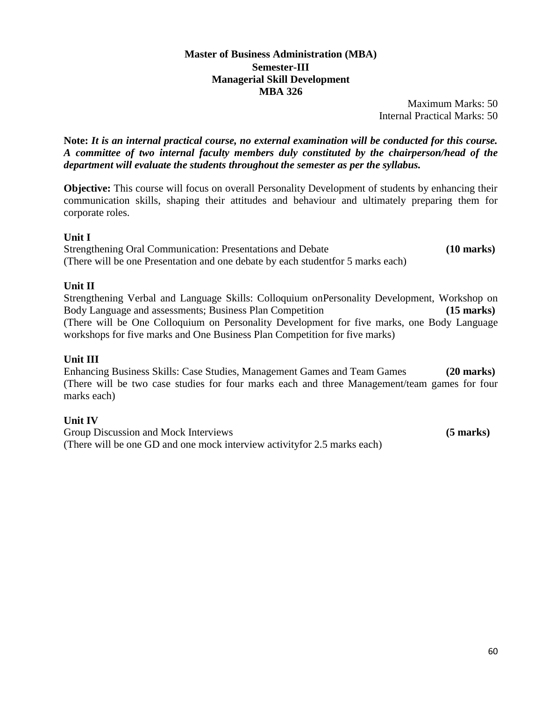#### **Master of Business Administration (MBA) Semester-III Managerial Skill Development MBA 326**

Maximum Marks: 50 Internal Practical Marks: 50

**Note:** *It is an internal practical course, no external examination will be conducted for this course. A committee of two internal faculty members duly constituted by the chairperson/head of the department will evaluate the students throughout the semester as per the syllabus.*

**Objective:** This course will focus on overall Personality Development of students by enhancing their communication skills, shaping their attitudes and behaviour and ultimately preparing them for corporate roles.

#### **Unit I**

Strengthening Oral Communication: Presentations and Debate **(10 marks)**  (There will be one Presentation and one debate by each studentfor 5 marks each)

## **Unit II**

Strengthening Verbal and Language Skills: Colloquium onPersonality Development, Workshop on Body Language and assessments; Business Plan Competition **(15 marks)**  (There will be One Colloquium on Personality Development for five marks, one Body Language workshops for five marks and One Business Plan Competition for five marks)

#### **Unit III**

Enhancing Business Skills: Case Studies, Management Games and Team Games **(20 marks)**  (There will be two case studies for four marks each and three Management/team games for four marks each)

#### **Unit IV**

Group Discussion and Mock Interviews **(5 marks) (5 marks)** (There will be one GD and one mock interview activityfor 2.5 marks each)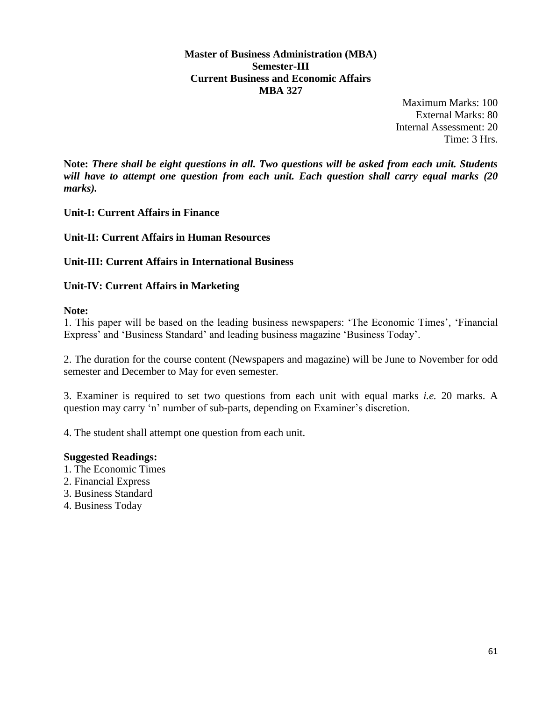**Master of Business Administration (MBA) Semester-III Current Business and Economic Affairs MBA 327**

> Maximum Marks: 100 External Marks: 80 Internal Assessment: 20 Time: 3 Hrs.

**Note:** *There shall be eight questions in all. Two questions will be asked from each unit. Students will have to attempt one question from each unit. Each question shall carry equal marks (20 marks).*

**Unit-I: Current Affairs in Finance**

**Unit-II: Current Affairs in Human Resources** 

**Unit-III: Current Affairs in International Business** 

**Unit-IV: Current Affairs in Marketing** 

**Note:** 

1. This paper will be based on the leading business newspapers: 'The Economic Times', 'Financial Express' and 'Business Standard' and leading business magazine 'Business Today'.

2. The duration for the course content (Newspapers and magazine) will be June to November for odd semester and December to May for even semester.

3. Examiner is required to set two questions from each unit with equal marks *i.e.* 20 marks. A question may carry 'n' number of sub-parts, depending on Examiner's discretion.

4. The student shall attempt one question from each unit.

#### **Suggested Readings:**

- 1. The Economic Times
- 2. Financial Express
- 3. Business Standard
- 4. Business Today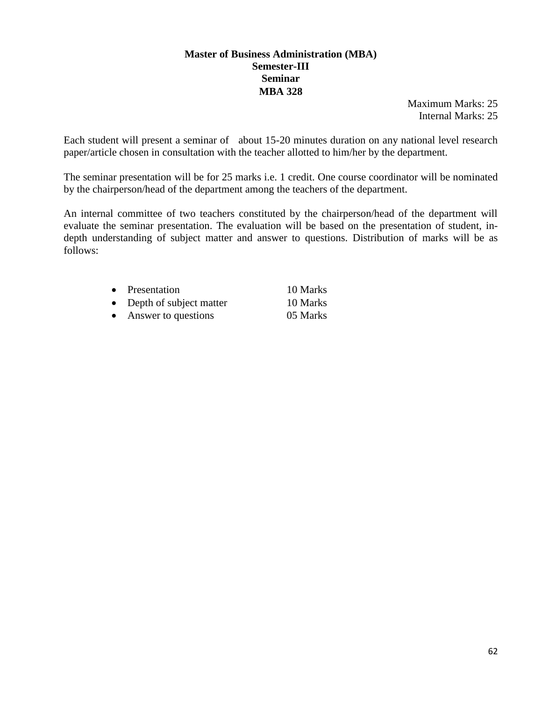#### **Master of Business Administration (MBA) Semester-III Seminar MBA 328**

Maximum Marks: 25 Internal Marks: 25

Each student will present a seminar of about 15-20 minutes duration on any national level research paper/article chosen in consultation with the teacher allotted to him/her by the department.

The seminar presentation will be for 25 marks i.e. 1 credit. One course coordinator will be nominated by the chairperson/head of the department among the teachers of the department.

An internal committee of two teachers constituted by the chairperson/head of the department will evaluate the seminar presentation. The evaluation will be based on the presentation of student, indepth understanding of subject matter and answer to questions. Distribution of marks will be as follows:

|           | • Presentation            | 10 Marks |
|-----------|---------------------------|----------|
|           | • Depth of subject matter | 10 Marks |
| $\bullet$ | Answer to questions       | 05 Marks |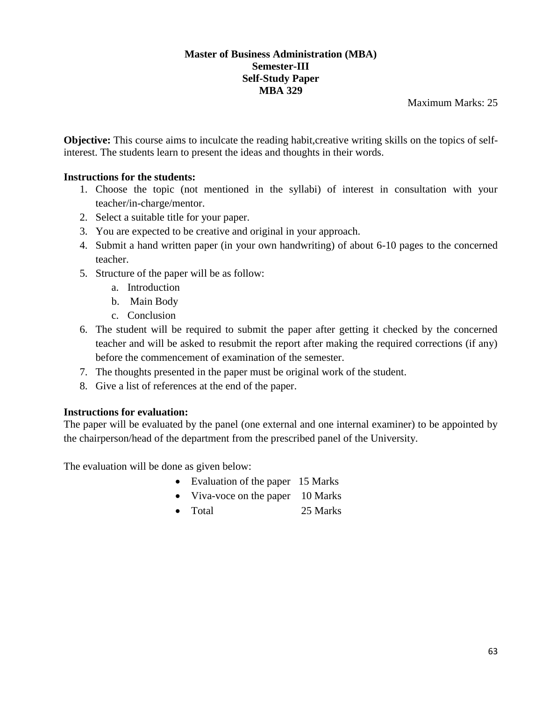#### **Master of Business Administration (MBA) Semester-III Self-Study Paper MBA 329**

Maximum Marks: 25

**Objective:** This course aims to inculcate the reading habit, creative writing skills on the topics of selfinterest. The students learn to present the ideas and thoughts in their words.

## **Instructions for the students:**

- 1. Choose the topic (not mentioned in the syllabi) of interest in consultation with your teacher/in-charge/mentor.
- 2. Select a suitable title for your paper.
- 3. You are expected to be creative and original in your approach.
- 4. Submit a hand written paper (in your own handwriting) of about 6-10 pages to the concerned teacher.
- 5. Structure of the paper will be as follow:
	- a. Introduction
	- b. Main Body
	- c. Conclusion
- 6. The student will be required to submit the paper after getting it checked by the concerned teacher and will be asked to resubmit the report after making the required corrections (if any) before the commencement of examination of the semester.
- 7. The thoughts presented in the paper must be original work of the student.
- 8. Give a list of references at the end of the paper.

## **Instructions for evaluation:**

The paper will be evaluated by the panel (one external and one internal examiner) to be appointed by the chairperson/head of the department from the prescribed panel of the University.

The evaluation will be done as given below:

- Evaluation of the paper 15 Marks
- Viva-voce on the paper 10 Marks
- Total 25 Marks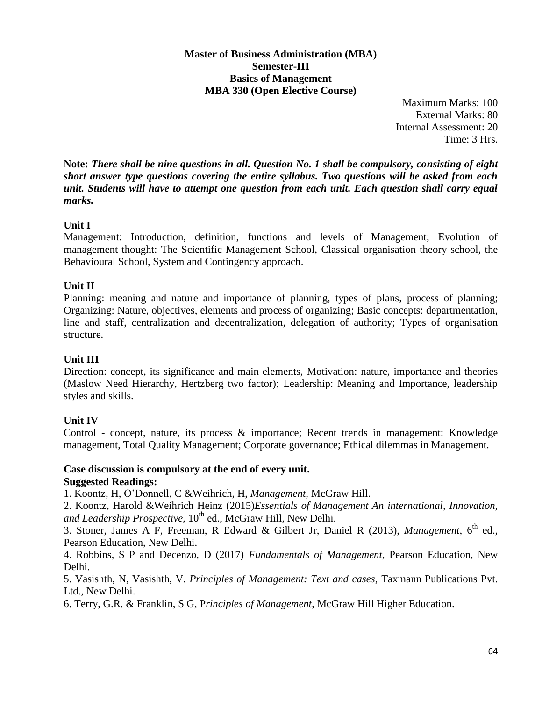#### **Master of Business Administration (MBA) Semester-III Basics of Management MBA 330 (Open Elective Course)**

Maximum Marks: 100 External Marks: 80 Internal Assessment: 20 Time: 3 Hrs.

**Note:** *There shall be nine questions in all. Question No. 1 shall be compulsory, consisting of eight short answer type questions covering the entire syllabus. Two questions will be asked from each unit. Students will have to attempt one question from each unit. Each question shall carry equal marks.*

## **Unit I**

Management: Introduction, definition, functions and levels of Management; Evolution of management thought: The Scientific Management School, Classical organisation theory school, the Behavioural School, System and Contingency approach.

## **Unit II**

Planning: meaning and nature and importance of planning, types of plans, process of planning; Organizing: Nature, objectives, elements and process of organizing; Basic concepts: departmentation, line and staff, centralization and decentralization, delegation of authority; Types of organisation structure.

## **Unit III**

Direction: concept, its significance and main elements, Motivation: nature, importance and theories (Maslow Need Hierarchy, Hertzberg two factor); Leadership: Meaning and Importance, leadership styles and skills.

## **Unit IV**

Control - concept, nature, its process & importance; Recent trends in management: Knowledge management, Total Quality Management; Corporate governance; Ethical dilemmas in Management.

# **Case discussion is compulsory at the end of every unit.**

#### **Suggested Readings:**

1. Koontz, H, O'Donnell, C &Weihrich, H, *Management*, McGraw Hill.

2. Koontz, Harold &Weihrich Heinz (2015)*Essentials of Management An international, Innovation,*  and Leadership Prospective, 10<sup>th</sup> ed., McGraw Hill, New Delhi.

3. Stoner, James A F, Freeman, R Edward & Gilbert Jr, Daniel R (2013), Management, 6<sup>th</sup> ed., Pearson Education, New Delhi.

4. Robbins, S P and Decenzo, D (2017) *Fundamentals of Management*, Pearson Education, New Delhi.

5. Vasishth, N, Vasishth, V. *Principles of Management: Text and cases*, Taxmann Publications Pvt. Ltd., New Delhi.

6. Terry, G.R. & Franklin, S G, P*rinciples of Management*, McGraw Hill Higher Education.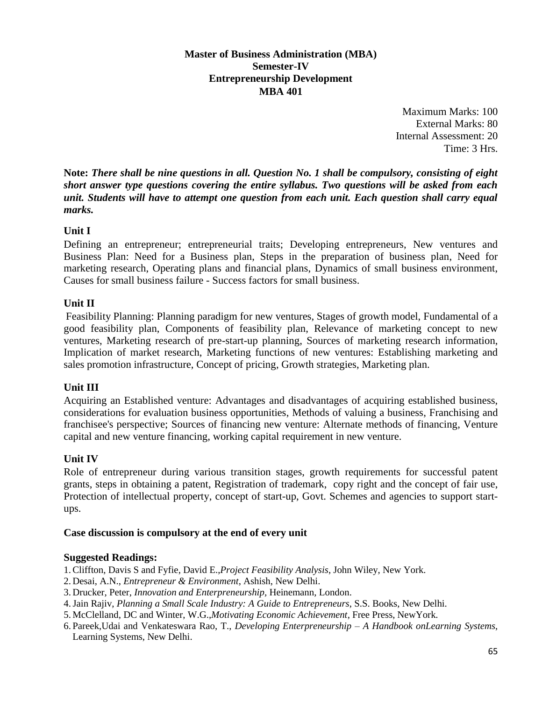#### **Master of Business Administration (MBA) Semester-IV Entrepreneurship Development MBA 401**

Maximum Marks: 100 External Marks: 80 Internal Assessment: 20 Time: 3 Hrs.

**Note:** *There shall be nine questions in all. Question No. 1 shall be compulsory, consisting of eight short answer type questions covering the entire syllabus. Two questions will be asked from each unit. Students will have to attempt one question from each unit. Each question shall carry equal marks.*

## **Unit I**

Defining an entrepreneur; entrepreneurial traits; Developing entrepreneurs, New ventures and Business Plan: Need for a Business plan, Steps in the preparation of business plan, Need for marketing research, Operating plans and financial plans, Dynamics of small business environment, Causes for small business failure - Success factors for small business.

#### **Unit II**

Feasibility Planning: Planning paradigm for new ventures, Stages of growth model, Fundamental of a good feasibility plan, Components of feasibility plan, Relevance of marketing concept to new ventures, Marketing research of pre-start-up planning, Sources of marketing research information, Implication of market research, Marketing functions of new ventures: Establishing marketing and sales promotion infrastructure, Concept of pricing, Growth strategies, Marketing plan.

#### **Unit III**

Acquiring an Established venture: Advantages and disadvantages of acquiring established business, considerations for evaluation business opportunities, Methods of valuing a business, Franchising and franchisee's perspective; Sources of financing new venture: Alternate methods of financing, Venture capital and new venture financing, working capital requirement in new venture.

#### **Unit IV**

Role of entrepreneur during various transition stages, growth requirements for successful patent grants, steps in obtaining a patent, Registration of trademark, copy right and the concept of fair use, Protection of intellectual property, concept of start-up, Govt. Schemes and agencies to support startups.

#### **Case discussion is compulsory at the end of every unit**

#### **Suggested Readings:**

1.Cliffton, Davis S and Fyfie, David E.,*Project Feasibility Analysis*, John Wiley, New York.

- 2. Desai, A.N., *Entrepreneur & Environment*, Ashish, New Delhi.
- 3. Drucker, Peter, *Innovation and Enterpreneurship,* Heinemann, London.
- 4.Jain Rajiv, *Planning a Small Scale Industry: A Guide to Entrepreneurs*, S.S. Books, New Delhi.
- 5. McClelland, DC and Winter, W.G.,*Motivating Economic Achievement*, Free Press, NewYork.
- 6. Pareek,Udai and Venkateswara Rao, T., *Developing Enterpreneurship – A Handbook onLearning Systems*, Learning Systems, New Delhi.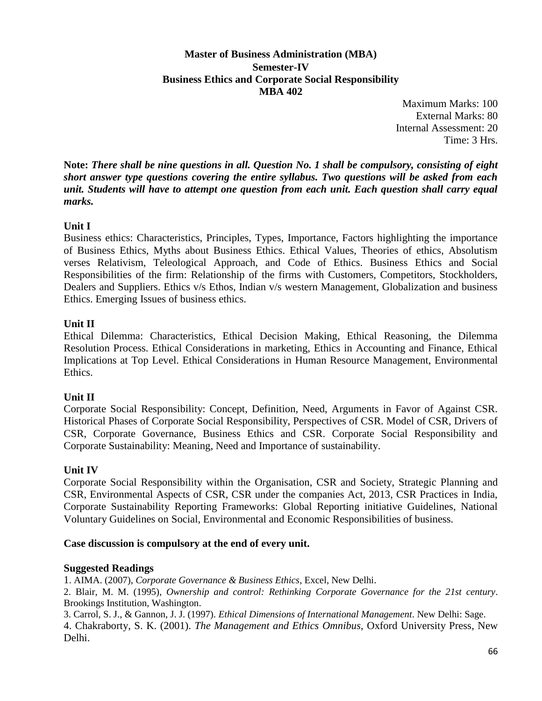#### **Master of Business Administration (MBA) Semester-IV Business Ethics and Corporate Social Responsibility MBA 402**

Maximum Marks: 100 External Marks: 80 Internal Assessment: 20 Time: 3 Hrs.

**Note:** *There shall be nine questions in all. Question No. 1 shall be compulsory, consisting of eight short answer type questions covering the entire syllabus. Two questions will be asked from each unit. Students will have to attempt one question from each unit. Each question shall carry equal marks.*

## **Unit I**

Business ethics: Characteristics, Principles, Types, Importance, Factors highlighting the importance of Business Ethics, Myths about Business Ethics. Ethical Values, Theories of ethics, Absolutism verses Relativism, Teleological Approach, and Code of Ethics. Business Ethics and Social Responsibilities of the firm: Relationship of the firms with Customers, Competitors, Stockholders, Dealers and Suppliers. Ethics v/s Ethos, Indian v/s western Management, Globalization and business Ethics. Emerging Issues of business ethics.

## **Unit II**

Ethical Dilemma: Characteristics, Ethical Decision Making, Ethical Reasoning, the Dilemma Resolution Process. Ethical Considerations in marketing, Ethics in Accounting and Finance, Ethical Implications at Top Level. Ethical Considerations in Human Resource Management, Environmental Ethics.

## **Unit II**

Corporate Social Responsibility: Concept, Definition, Need, Arguments in Favor of Against CSR. Historical Phases of Corporate Social Responsibility, Perspectives of CSR. Model of CSR, Drivers of CSR, Corporate Governance, Business Ethics and CSR. Corporate Social Responsibility and Corporate Sustainability: Meaning, Need and Importance of sustainability.

#### **Unit IV**

Corporate Social Responsibility within the Organisation, CSR and Society, Strategic Planning and CSR, Environmental Aspects of CSR, CSR under the companies Act, 2013, CSR Practices in India, Corporate Sustainability Reporting Frameworks: Global Reporting initiative Guidelines, National Voluntary Guidelines on Social, Environmental and Economic Responsibilities of business.

#### **Case discussion is compulsory at the end of every unit.**

#### **Suggested Readings**

1. AIMA. (2007), *Corporate Governance & Business Ethics*, Excel, New Delhi.

2. Blair, M. M. (1995), *Ownership and control: Rethinking Corporate Governance for the 21st century*. Brookings Institution, Washington.

3. Carrol, S. J., & Gannon, J. J. (1997). *Ethical Dimensions of International Management*. New Delhi: Sage. 4. Chakraborty, S. K. (2001). *The Management and Ethics Omnibus*, Oxford University Press, New Delhi.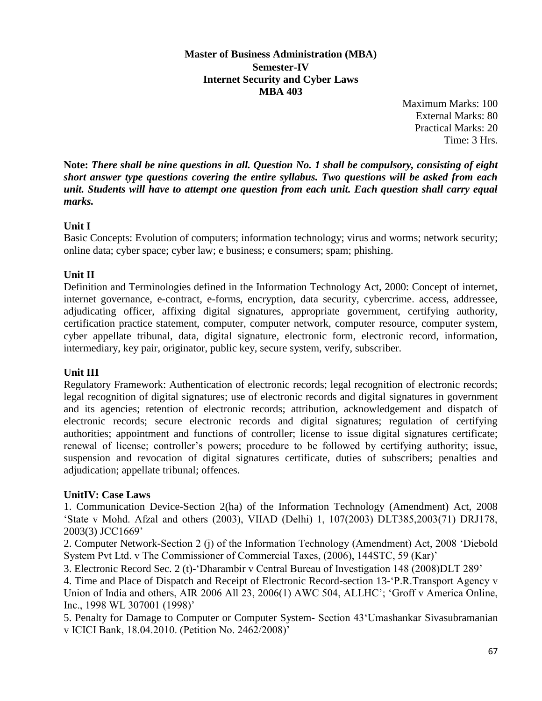**Master of Business Administration (MBA) Semester-IV Internet Security and Cyber Laws MBA 403**

> Maximum Marks: 100 External Marks: 80 Practical Marks: 20 Time: 3 Hrs.

**Note:** *There shall be nine questions in all. Question No. 1 shall be compulsory, consisting of eight short answer type questions covering the entire syllabus. Two questions will be asked from each unit. Students will have to attempt one question from each unit. Each question shall carry equal marks.*

## **Unit I**

Basic Concepts: Evolution of computers; information technology; virus and worms; network security; online data; cyber space; cyber law; e business; e consumers; spam; phishing.

## **Unit II**

Definition and Terminologies defined in the Information Technology Act, 2000: Concept of internet, internet governance, e-contract, e-forms, encryption, data security, cybercrime. access, addressee, adjudicating officer, affixing digital signatures, appropriate government, certifying authority, certification practice statement, computer, computer network, computer resource, computer system, cyber appellate tribunal, data, digital signature, electronic form, electronic record, information, intermediary, key pair, originator, public key, secure system, verify, subscriber.

## **Unit III**

Regulatory Framework: Authentication of electronic records; legal recognition of electronic records; legal recognition of digital signatures; use of electronic records and digital signatures in government and its agencies; retention of electronic records; attribution, acknowledgement and dispatch of electronic records; secure electronic records and digital signatures; regulation of certifying authorities; appointment and functions of controller; license to issue digital signatures certificate; renewal of license; controller's powers; procedure to be followed by certifying authority; issue, suspension and revocation of digital signatures certificate, duties of subscribers; penalties and adjudication; appellate tribunal; offences.

## **UnitIV: Case Laws**

1. Communication Device-Section 2(ha) of the Information Technology (Amendment) Act, 2008 'State v Mohd. Afzal and others (2003), VIIAD (Delhi) 1, 107(2003) DLT385,2003(71) DRJ178, 2003(3) JCC1669'

2. Computer Network-Section 2 (j) of the Information Technology (Amendment) Act, 2008 'Diebold System Pvt Ltd. v The Commissioner of Commercial Taxes, (2006), 144STC, 59 (Kar)'

3. Electronic Record Sec. 2 (t)-'Dharambir v Central Bureau of Investigation 148 (2008)DLT 289'

4. Time and Place of Dispatch and Receipt of Electronic Record-section 13-'P.R.Transport Agency v Union of India and others, AIR 2006 All 23, 2006(1) AWC 504, ALLHC'; 'Groff v America Online, Inc., 1998 WL 307001 (1998)'

5. Penalty for Damage to Computer or Computer System- Section 43'Umashankar Sivasubramanian v ICICI Bank, 18.04.2010. (Petition No. 2462/2008)'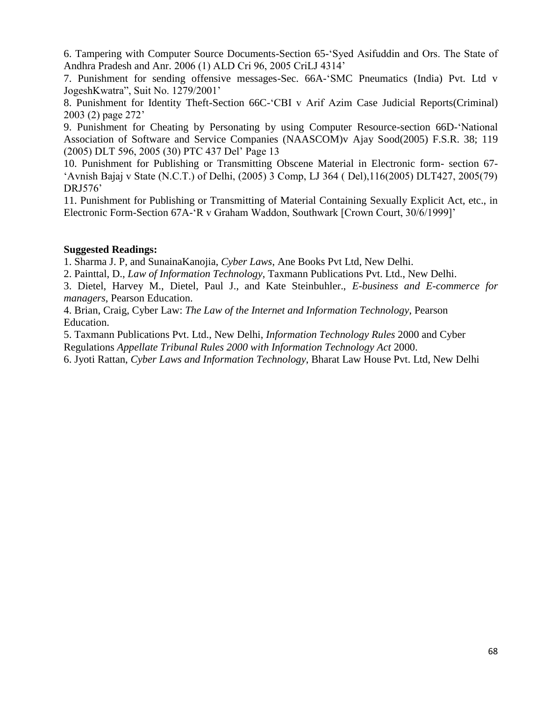6. Tampering with Computer Source Documents-Section 65-'Syed Asifuddin and Ors. The State of Andhra Pradesh and Anr. 2006 (1) ALD Cri 96, 2005 CriLJ 4314'

7. Punishment for sending offensive messages-Sec. 66A-'SMC Pneumatics (India) Pvt. Ltd v JogeshKwatra", Suit No. 1279/2001'

8. Punishment for Identity Theft-Section 66C-'CBI v Arif Azim Case Judicial Reports(Criminal) 2003 (2) page 272'

9. Punishment for Cheating by Personating by using Computer Resource-section 66D-'National Association of Software and Service Companies (NAASCOM)v Ajay Sood(2005) F.S.R. 38; 119 (2005) DLT 596, 2005 (30) PTC 437 Del' Page 13

10. Punishment for Publishing or Transmitting Obscene Material in Electronic form- section 67- 'Avnish Bajaj v State (N.C.T.) of Delhi, (2005) 3 Comp, LJ 364 ( Del),116(2005) DLT427, 2005(79) DRJ576'

11. Punishment for Publishing or Transmitting of Material Containing Sexually Explicit Act, etc., in Electronic Form-Section 67A-'R v Graham Waddon, Southwark [Crown Court, 30/6/1999]'

#### **Suggested Readings:**

1. Sharma J. P, and SunainaKanojia, *Cyber Laws*, Ane Books Pvt Ltd, New Delhi.

2. Painttal, D., *Law of Information Technology*, Taxmann Publications Pvt. Ltd., New Delhi.

3. Dietel, Harvey M., Dietel, Paul J., and Kate Steinbuhler., *E-business and E-commerce for managers*, Pearson Education.

4. Brian, Craig, Cyber Law: *The Law of the Internet and Information Technology*, Pearson Education.

5. Taxmann Publications Pvt. Ltd., New Delhi, *Information Technology Rules* 2000 and Cyber

Regulations *Appellate Tribunal Rules 2000 with Information Technology Act* 2000.

6. Jyoti Rattan, *Cyber Laws and Information Technology*, Bharat Law House Pvt. Ltd, New Delhi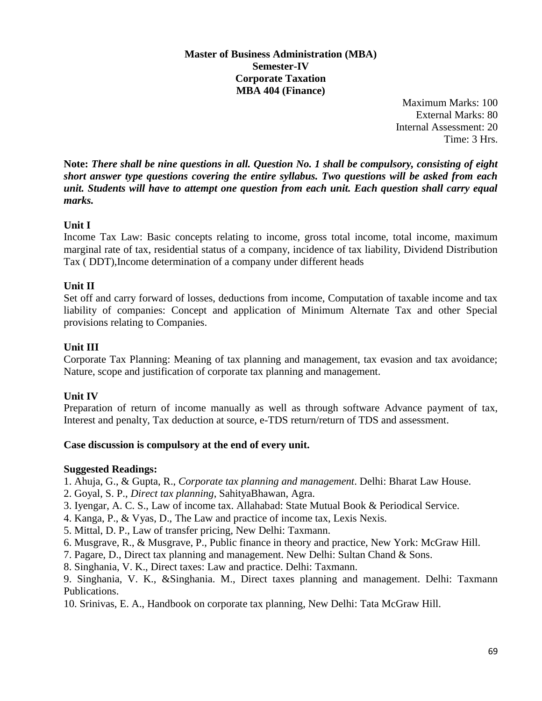#### **Master of Business Administration (MBA) Semester-IV Corporate Taxation MBA 404 (Finance)**

Maximum Marks: 100 External Marks: 80 Internal Assessment: 20 Time: 3 Hrs.

**Note:** *There shall be nine questions in all. Question No. 1 shall be compulsory, consisting of eight short answer type questions covering the entire syllabus. Two questions will be asked from each unit. Students will have to attempt one question from each unit. Each question shall carry equal marks.*

## **Unit I**

Income Tax Law: Basic concepts relating to income, gross total income, total income, maximum marginal rate of tax, residential status of a company, incidence of tax liability, Dividend Distribution Tax ( DDT),Income determination of a company under different heads

## **Unit II**

Set off and carry forward of losses, deductions from income, Computation of taxable income and tax liability of companies: Concept and application of Minimum Alternate Tax and other Special provisions relating to Companies.

## **Unit III**

Corporate Tax Planning: Meaning of tax planning and management, tax evasion and tax avoidance; Nature, scope and justification of corporate tax planning and management.

## **Unit IV**

Preparation of return of income manually as well as through software Advance payment of tax, Interest and penalty, Tax deduction at source, e-TDS return/return of TDS and assessment.

## **Case discussion is compulsory at the end of every unit.**

## **Suggested Readings:**

1. Ahuja, G., & Gupta, R., *Corporate tax planning and management*. Delhi: Bharat Law House.

- 2. Goyal, S. P., *Direct tax planning*, SahityaBhawan, Agra.
- 3. Iyengar, A. C. S., Law of income tax. Allahabad: State Mutual Book & Periodical Service.
- 4. Kanga, P., & Vyas, D., The Law and practice of income tax, Lexis Nexis.
- 5. Mittal, D. P., Law of transfer pricing, New Delhi: Taxmann.
- 6. Musgrave, R., & Musgrave, P., Public finance in theory and practice, New York: McGraw Hill.
- 7. Pagare, D., Direct tax planning and management. New Delhi: Sultan Chand & Sons.
- 8. Singhania, V. K., Direct taxes: Law and practice. Delhi: Taxmann.

9. Singhania, V. K., &Singhania. M., Direct taxes planning and management. Delhi: Taxmann Publications.

10. Srinivas, E. A., Handbook on corporate tax planning, New Delhi: Tata McGraw Hill.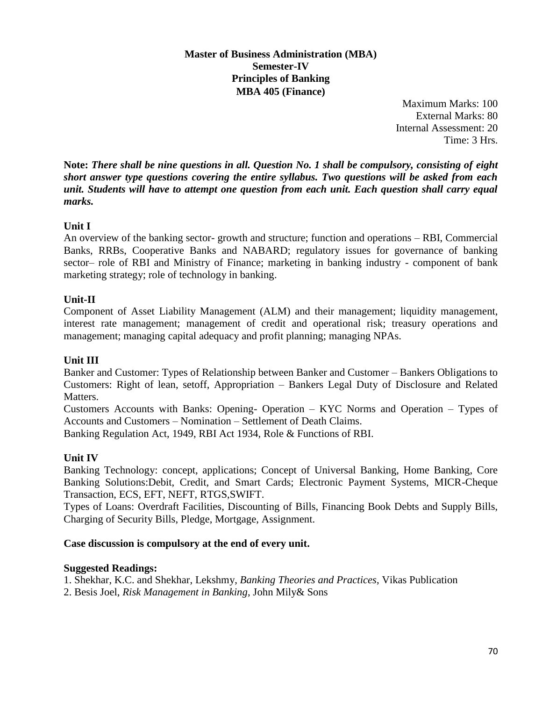#### **Master of Business Administration (MBA) Semester-IV Principles of Banking MBA 405 (Finance)**

Maximum Marks: 100 External Marks: 80 Internal Assessment: 20 Time: 3 Hrs.

**Note:** *There shall be nine questions in all. Question No. 1 shall be compulsory, consisting of eight short answer type questions covering the entire syllabus. Two questions will be asked from each unit. Students will have to attempt one question from each unit. Each question shall carry equal marks.*

## **Unit I**

An overview of the banking sector- growth and structure; function and operations – RBI, Commercial Banks, RRBs, Cooperative Banks and NABARD; regulatory issues for governance of banking sector– role of RBI and Ministry of Finance; marketing in banking industry - component of bank marketing strategy; role of technology in banking.

## **Unit-II**

Component of Asset Liability Management (ALM) and their management; liquidity management, interest rate management; management of credit and operational risk; treasury operations and management; managing capital adequacy and profit planning; managing NPAs.

## **Unit III**

Banker and Customer: Types of Relationship between Banker and Customer – Bankers Obligations to Customers: Right of lean, setoff, Appropriation – Bankers Legal Duty of Disclosure and Related Matters.

Customers Accounts with Banks: Opening- Operation – KYC Norms and Operation – Types of Accounts and Customers – Nomination – Settlement of Death Claims.

Banking Regulation Act, 1949, RBI Act 1934, Role & Functions of RBI.

## **Unit IV**

Banking Technology: concept, applications; Concept of Universal Banking, Home Banking, Core Banking Solutions:Debit, Credit, and Smart Cards; Electronic Payment Systems, MICR-Cheque Transaction, ECS, EFT, NEFT, RTGS,SWIFT.

Types of Loans: Overdraft Facilities, Discounting of Bills, Financing Book Debts and Supply Bills, Charging of Security Bills, Pledge, Mortgage, Assignment.

#### **Case discussion is compulsory at the end of every unit.**

#### **Suggested Readings:**

1. Shekhar, K.C. and Shekhar, Lekshmy, *Banking Theories and Practices*, Vikas Publication

2. Besis Joel, *Risk Management in Banking*, John Mily& Sons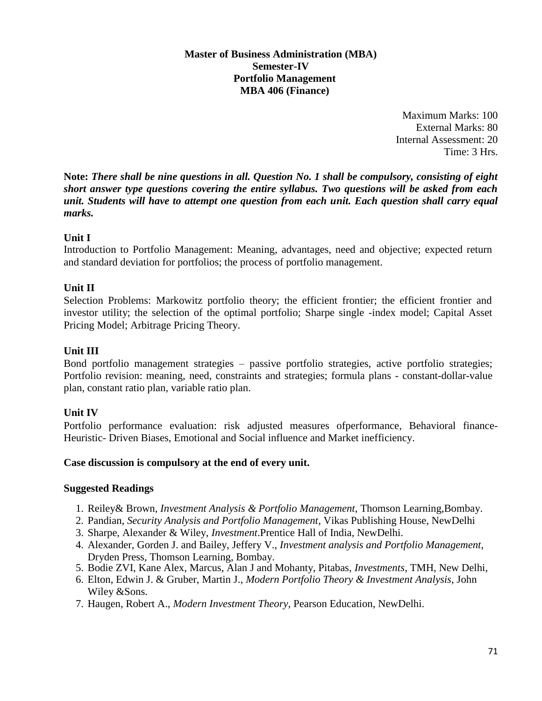#### **Master of Business Administration (MBA) Semester-IV Portfolio Management MBA 406 (Finance)**

Maximum Marks: 100 External Marks: 80 Internal Assessment: 20 Time: 3 Hrs.

**Note:** *There shall be nine questions in all. Question No. 1 shall be compulsory, consisting of eight short answer type questions covering the entire syllabus. Two questions will be asked from each unit. Students will have to attempt one question from each unit. Each question shall carry equal marks.*

## **Unit I**

Introduction to Portfolio Management: Meaning, advantages, need and objective; expected return and standard deviation for portfolios; the process of portfolio management.

## **Unit II**

Selection Problems: Markowitz portfolio theory; the efficient frontier; the efficient frontier and investor utility; the selection of the optimal portfolio; Sharpe single -index model; Capital Asset Pricing Model; Arbitrage Pricing Theory.

## **Unit III**

Bond portfolio management strategies – passive portfolio strategies, active portfolio strategies; Portfolio revision: meaning, need, constraints and strategies; formula plans - constant-dollar-value plan, constant ratio plan, variable ratio plan.

## **Unit IV**

Portfolio performance evaluation: risk adjusted measures ofperformance, Behavioral finance-Heuristic- Driven Biases, Emotional and Social influence and Market inefficiency.

## **Case discussion is compulsory at the end of every unit.**

## **Suggested Readings**

- 1. Reiley& Brown, *Investment Analysis & Portfolio Management*, Thomson Learning,Bombay.
- 2. Pandian, *Security Analysis and Portfolio Management*, Vikas Publishing House, NewDelhi
- 3. Sharpe, Alexander & Wiley, *Investment*.Prentice Hall of India, NewDelhi.
- 4. Alexander, Gorden J. and Bailey, Jeffery V., *Investment analysis and Portfolio Management*, Dryden Press, Thomson Learning, Bombay.
- 5. Bodie ZVI, Kane Alex, Marcus, Alan J and Mohanty, Pitabas, *Investments*, TMH, New Delhi,
- 6. Elton, Edwin J. & Gruber, Martin J., *Modern Portfolio Theory & Investment Analysis*, John Wiley &Sons.
- 7. Haugen, Robert A., *Modern Investment Theory*, Pearson Education, NewDelhi.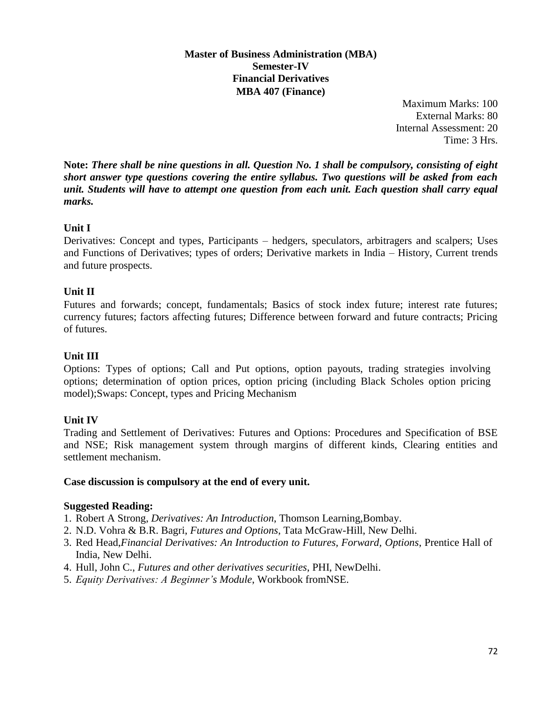#### **Master of Business Administration (MBA) Semester-IV Financial Derivatives MBA 407 (Finance)**

Maximum Marks: 100 External Marks: 80 Internal Assessment: 20 Time: 3 Hrs.

**Note:** *There shall be nine questions in all. Question No. 1 shall be compulsory, consisting of eight short answer type questions covering the entire syllabus. Two questions will be asked from each unit. Students will have to attempt one question from each unit. Each question shall carry equal marks.*

## **Unit I**

Derivatives: Concept and types, Participants – hedgers, speculators, arbitragers and scalpers; Uses and Functions of Derivatives; types of orders; Derivative markets in India – History, Current trends and future prospects.

## **Unit II**

Futures and forwards; concept, fundamentals; Basics of stock index future; interest rate futures; currency futures; factors affecting futures; Difference between forward and future contracts; Pricing of futures.

## **Unit III**

Options: Types of options; Call and Put options, option payouts, trading strategies involving options; determination of option prices, option pricing (including Black Scholes option pricing model);Swaps: Concept, types and Pricing Mechanism

## **Unit IV**

Trading and Settlement of Derivatives: Futures and Options: Procedures and Specification of BSE and NSE; Risk management system through margins of different kinds, Clearing entities and settlement mechanism.

## **Case discussion is compulsory at the end of every unit.**

## **Suggested Reading:**

- 1. Robert A Strong, *Derivatives: An Introduction*, Thomson Learning,Bombay.
- 2. N.D. Vohra & B.R. Bagri, *Futures and Options*, Tata McGraw-Hill, New Delhi.
- 3. Red Head,*Financial Derivatives: An Introduction to Futures, Forward, Options*, Prentice Hall of India, New Delhi.
- 4. Hull, John C., *Futures and other derivatives securities*, PHI, NewDelhi.
- 5. *Equity Derivatives: A Beginner's Module*, Workbook fromNSE.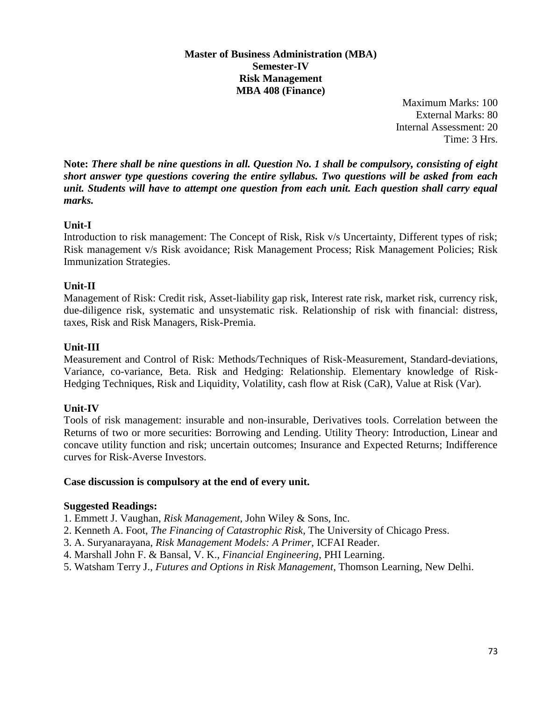#### **Master of Business Administration (MBA) Semester-IV Risk Management MBA 408 (Finance)**

Maximum Marks: 100 External Marks: 80 Internal Assessment: 20 Time: 3 Hrs.

**Note:** *There shall be nine questions in all. Question No. 1 shall be compulsory, consisting of eight short answer type questions covering the entire syllabus. Two questions will be asked from each unit. Students will have to attempt one question from each unit. Each question shall carry equal marks.*

# **Unit-I**

Introduction to risk management: The Concept of Risk, Risk v/s Uncertainty, Different types of risk; Risk management v/s Risk avoidance; Risk Management Process; Risk Management Policies; Risk Immunization Strategies.

# **Unit-II**

Management of Risk: Credit risk, Asset-liability gap risk, Interest rate risk, market risk, currency risk, due-diligence risk, systematic and unsystematic risk. Relationship of risk with financial: distress, taxes, Risk and Risk Managers, Risk-Premia.

# **Unit-III**

Measurement and Control of Risk: Methods/Techniques of Risk-Measurement, Standard-deviations, Variance, co-variance, Beta. Risk and Hedging: Relationship. Elementary knowledge of Risk-Hedging Techniques, Risk and Liquidity, Volatility, cash flow at Risk (CaR), Value at Risk (Var).

# **Unit-IV**

Tools of risk management: insurable and non-insurable, Derivatives tools. Correlation between the Returns of two or more securities: Borrowing and Lending. Utility Theory: Introduction, Linear and concave utility function and risk; uncertain outcomes; Insurance and Expected Returns; Indifference curves for Risk-Averse Investors.

# **Case discussion is compulsory at the end of every unit.**

- 1. Emmett J. Vaughan, *Risk Management*, John Wiley & Sons, Inc.
- 2. Kenneth A. Foot, *The Financing of Catastrophic Risk*, The University of Chicago Press.
- 3. A. Suryanarayana, *Risk Management Models: A Primer*, ICFAI Reader.
- 4. Marshall John F. & Bansal, V. K., *Financial Engineering*, PHI Learning.
- 5. Watsham Terry J., *Futures and Options in Risk Management*, Thomson Learning, New Delhi.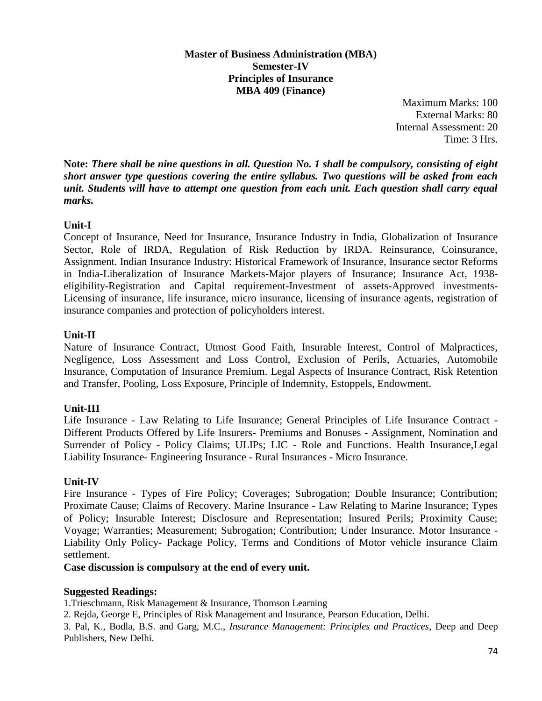#### **Master of Business Administration (MBA) Semester-IV Principles of Insurance MBA 409 (Finance)**

Maximum Marks: 100 External Marks: 80 Internal Assessment: 20 Time: 3 Hrs.

**Note:** *There shall be nine questions in all. Question No. 1 shall be compulsory, consisting of eight short answer type questions covering the entire syllabus. Two questions will be asked from each unit. Students will have to attempt one question from each unit. Each question shall carry equal marks.*

# **Unit-I**

Concept of Insurance, Need for Insurance, Insurance Industry in India, Globalization of Insurance Sector, Role of IRDA, Regulation of Risk Reduction by IRDA. Reinsurance, Coinsurance, Assignment. Indian Insurance Industry: Historical Framework of Insurance, Insurance sector Reforms in India-Liberalization of Insurance Markets-Major players of Insurance; Insurance Act, 1938 eligibility-Registration and Capital requirement-Investment of assets-Approved investments-Licensing of insurance, life insurance, micro insurance, licensing of insurance agents, registration of insurance companies and protection of policyholders interest.

# **Unit-II**

Nature of Insurance Contract, Utmost Good Faith, Insurable Interest, Control of Malpractices, Negligence, Loss Assessment and Loss Control, Exclusion of Perils, Actuaries, Automobile Insurance, Computation of Insurance Premium. Legal Aspects of Insurance Contract, Risk Retention and Transfer, Pooling, Loss Exposure, Principle of Indemnity, Estoppels, Endowment.

# **Unit-III**

Life Insurance - Law Relating to Life Insurance; General Principles of Life Insurance Contract - Different Products Offered by Life Insurers- Premiums and Bonuses - Assignment, Nomination and Surrender of Policy - Policy Claims; ULIPs; LIC - Role and Functions. Health Insurance,Legal Liability Insurance- Engineering Insurance - Rural Insurances - Micro Insurance.

# **Unit-IV**

Fire Insurance - Types of Fire Policy; Coverages; Subrogation; Double Insurance; Contribution; Proximate Cause; Claims of Recovery. Marine Insurance - Law Relating to Marine Insurance; Types of Policy; Insurable Interest; Disclosure and Representation; Insured Perils; Proximity Cause; Voyage; Warranties; Measurement; Subrogation; Contribution; Under Insurance. Motor Insurance - Liability Only Policy- Package Policy, Terms and Conditions of Motor vehicle insurance Claim settlement.

**Case discussion is compulsory at the end of every unit.** 

# **Suggested Readings:**

1.Trieschmann, Risk Management & Insurance, Thomson Learning

2. Rejda, George E, Principles of Risk Management and Insurance, Pearson Education, Delhi.

3. Pal, K., Bodla, B.S. and Garg, M.C., *Insurance Management: Principles and Practices*, Deep and Deep Publishers, New Delhi.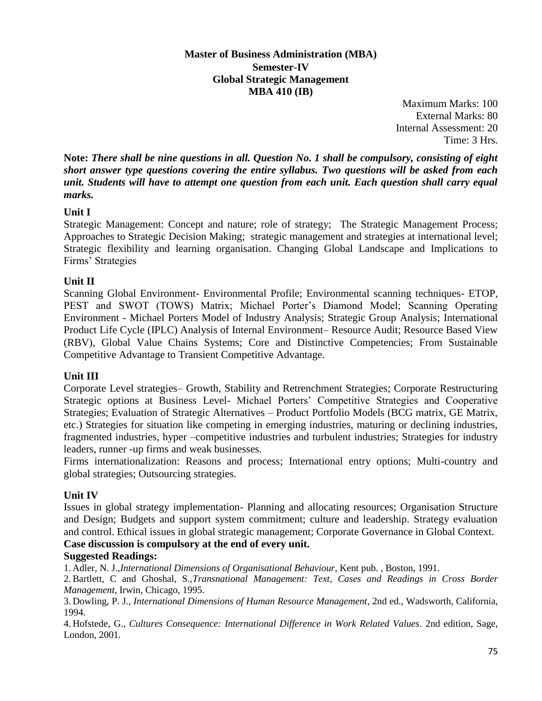#### **Master of Business Administration (MBA) Semester-IV Global Strategic Management MBA 410 (IB)**

Maximum Marks: 100 External Marks: 80 Internal Assessment: 20 Time: 3 Hrs.

**Note:** *There shall be nine questions in all. Question No. 1 shall be compulsory, consisting of eight short answer type questions covering the entire syllabus. Two questions will be asked from each unit. Students will have to attempt one question from each unit. Each question shall carry equal marks.*

# **Unit I**

Strategic Management: Concept and nature; role of strategy; The Strategic Management Process; Approaches to Strategic Decision Making; strategic management and strategies at international level; Strategic flexibility and learning organisation. Changing Global Landscape and Implications to Firms' Strategies

# **Unit II**

Scanning Global Environment- Environmental Profile; Environmental scanning techniques- ETOP, PEST and SWOT (TOWS) Matrix; Michael Porter's Diamond Model; Scanning Operating Environment - Michael Porters Model of Industry Analysis; Strategic Group Analysis; International Product Life Cycle (IPLC) Analysis of Internal Environment– Resource Audit; Resource Based View (RBV), Global Value Chains Systems; Core and Distinctive Competencies; From Sustainable Competitive Advantage to Transient Competitive Advantage.

# **Unit III**

Corporate Level strategies– Growth, Stability and Retrenchment Strategies; Corporate Restructuring Strategic options at Business Level- Michael Porters' Competitive Strategies and Cooperative Strategies; Evaluation of Strategic Alternatives – Product Portfolio Models (BCG matrix, GE Matrix, etc.) Strategies for situation like competing in emerging industries, maturing or declining industries, fragmented industries, hyper –competitive industries and turbulent industries; Strategies for industry leaders, runner -up firms and weak businesses.

Firms internationalization: Reasons and process; International entry options; Multi-country and global strategies; Outsourcing strategies.

# **Unit IV**

Issues in global strategy implementation- Planning and allocating resources; Organisation Structure and Design; Budgets and support system commitment; culture and leadership. Strategy evaluation and control. Ethical issues in global strategic management; Corporate Governance in Global Context.

**Case discussion is compulsory at the end of every unit.**

#### **Suggested Readings:**

1. Adler, N. J.,*International Dimensions of Organisational Behaviour*, Kent pub. , Boston, 1991.

2.Bartlett, C and Ghoshal, S.,*Transnational Management: Text, Cases and Readings in Cross Border Management*, Irwin, Chicago, 1995.

3. Dowling, P. J., *International Dimensions of Human Resource Management*, 2nd ed., Wadsworth, California, 1994.

4. Hofstede, G., *Cultures Consequence: International Difference in Work Related Values*. 2nd edition, Sage, London, 2001.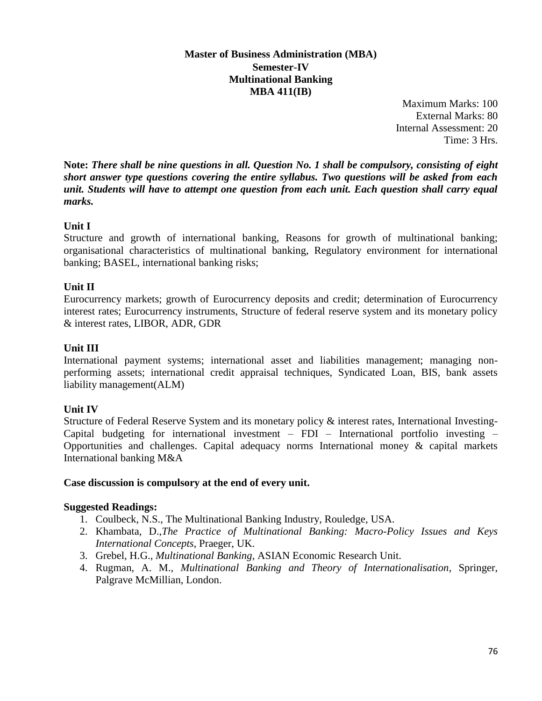#### **Master of Business Administration (MBA) Semester-IV Multinational Banking MBA 411(IB)**

Maximum Marks: 100 External Marks: 80 Internal Assessment: 20 Time: 3 Hrs.

**Note:** *There shall be nine questions in all. Question No. 1 shall be compulsory, consisting of eight short answer type questions covering the entire syllabus. Two questions will be asked from each unit. Students will have to attempt one question from each unit. Each question shall carry equal marks.*

# **Unit I**

Structure and growth of international banking, Reasons for growth of multinational banking; organisational characteristics of multinational banking, Regulatory environment for international banking; BASEL, international banking risks;

# **Unit II**

Eurocurrency markets; growth of Eurocurrency deposits and credit; determination of Eurocurrency interest rates; Eurocurrency instruments, Structure of federal reserve system and its monetary policy & interest rates, LIBOR, ADR, GDR

# **Unit III**

International payment systems; international asset and liabilities management; managing nonperforming assets; international credit appraisal techniques, Syndicated Loan, BIS, bank assets liability management(ALM)

# **Unit IV**

Structure of Federal Reserve System and its monetary policy & interest rates, International Investing-Capital budgeting for international investment – FDI – International portfolio investing – Opportunities and challenges. Capital adequacy norms International money & capital markets International banking M&A

#### **Case discussion is compulsory at the end of every unit.**

- 1. Coulbeck, N.S., The Multinational Banking Industry, Rouledge, USA.
- 2. Khambata, D.,*The Practice of Multinational Banking: Macro-Policy Issues and Keys International Concepts*, Praeger, UK.
- 3. Grebel, H.G., *Multinational Banking*, ASIAN Economic Research Unit.
- 4. Rugman, A. M.*, Multinational Banking and Theory of Internationalisation*, Springer, Palgrave McMillian, London.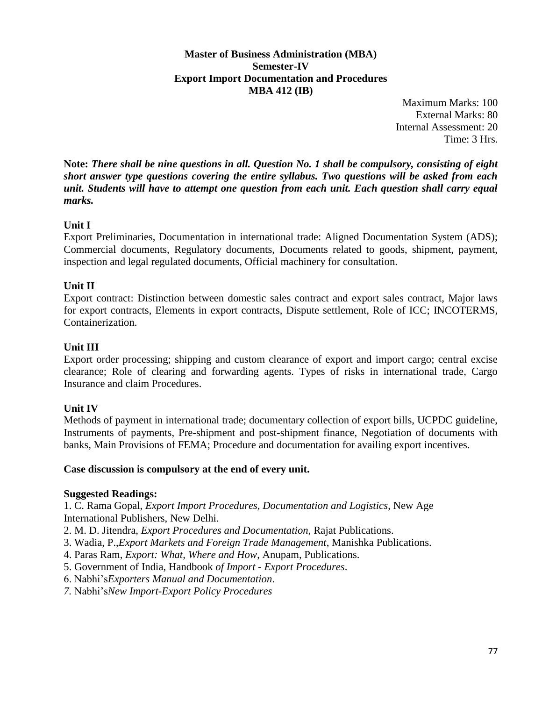#### **Master of Business Administration (MBA) Semester-IV Export Import Documentation and Procedures MBA 412 (IB)**

Maximum Marks: 100 External Marks: 80 Internal Assessment: 20 Time: 3 Hrs.

**Note:** *There shall be nine questions in all. Question No. 1 shall be compulsory, consisting of eight short answer type questions covering the entire syllabus. Two questions will be asked from each unit. Students will have to attempt one question from each unit. Each question shall carry equal marks.*

# **Unit I**

Export Preliminaries, Documentation in international trade: Aligned Documentation System (ADS); Commercial documents, Regulatory documents, Documents related to goods, shipment, payment, inspection and legal regulated documents, Official machinery for consultation.

# **Unit II**

Export contract: Distinction between domestic sales contract and export sales contract, Major laws for export contracts, Elements in export contracts, Dispute settlement, Role of ICC; INCOTERMS, Containerization.

# **Unit III**

Export order processing; shipping and custom clearance of export and import cargo; central excise clearance; Role of clearing and forwarding agents. Types of risks in international trade, Cargo Insurance and claim Procedures.

# **Unit IV**

Methods of payment in international trade; documentary collection of export bills, UCPDC guideline, Instruments of payments, Pre-shipment and post-shipment finance, Negotiation of documents with banks, Main Provisions of FEMA; Procedure and documentation for availing export incentives.

# **Case discussion is compulsory at the end of every unit.**

# **Suggested Readings:**

1. C. Rama Gopal, *Export Import Procedures, Documentation and Logistics*, New Age International Publishers, New Delhi.

- 2. M. D. Jitendra, *Export Procedures and Documentation*, Rajat Publications.
- 3. Wadia, P.,*Export Markets and Foreign Trade Management*, Manishka Publications.
- 4. Paras Ram, *Export: What, Where and How*, Anupam, Publications.
- 5. Government of India, Handbook *of Import - Export Procedures*.
- 6. Nabhi's*Exporters Manual and Documentation*.
- *7.* Nabhi's*New Import-Export Policy Procedures*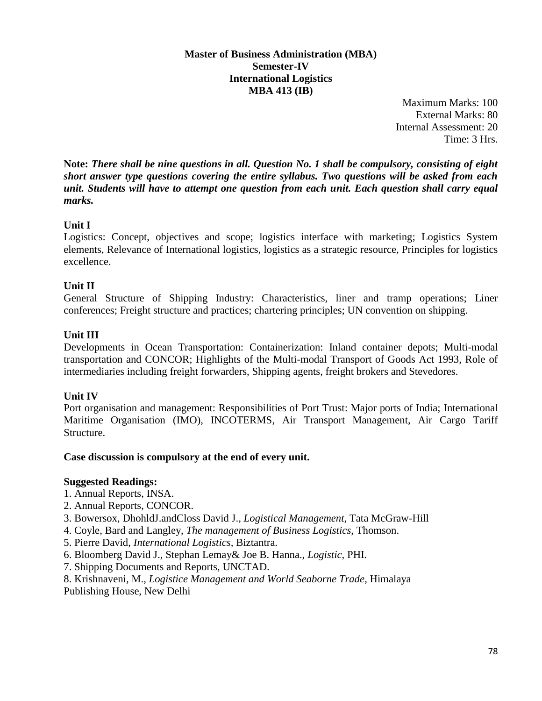#### **Master of Business Administration (MBA) Semester-IV International Logistics MBA 413 (IB)**

Maximum Marks: 100 External Marks: 80 Internal Assessment: 20 Time: 3 Hrs.

**Note:** *There shall be nine questions in all. Question No. 1 shall be compulsory, consisting of eight short answer type questions covering the entire syllabus. Two questions will be asked from each unit. Students will have to attempt one question from each unit. Each question shall carry equal marks.*

# **Unit I**

Logistics: Concept, objectives and scope; logistics interface with marketing; Logistics System elements, Relevance of International logistics, logistics as a strategic resource, Principles for logistics excellence.

# **Unit II**

General Structure of Shipping Industry: Characteristics, liner and tramp operations; Liner conferences; Freight structure and practices; chartering principles; UN convention on shipping.

# **Unit III**

Developments in Ocean Transportation: Containerization: Inland container depots; Multi-modal transportation and CONCOR; Highlights of the Multi-modal Transport of Goods Act 1993, Role of intermediaries including freight forwarders, Shipping agents, freight brokers and Stevedores.

# **Unit IV**

Port organisation and management: Responsibilities of Port Trust: Major ports of India; International Maritime Organisation (IMO), INCOTERMS, Air Transport Management, Air Cargo Tariff Structure.

# **Case discussion is compulsory at the end of every unit.**

- 1. Annual Reports, INSA.
- 2. Annual Reports, CONCOR.
- 3. Bowersox, DhohldJ.andCloss David J., *Logistical Management*, Tata McGraw-Hill
- 4. Coyle, Bard and Langley, *The management of Business Logistics*, Thomson.
- 5. Pierre David, *International Logistics,* Biztantra.
- 6. Bloomberg David J., Stephan Lemay& Joe B. Hanna., *Logistic*, PHI.
- 7. Shipping Documents and Reports, UNCTAD.
- 8. Krishnaveni, M., *Logistice Management and World Seaborne Trade*, Himalaya
- Publishing House, New Delhi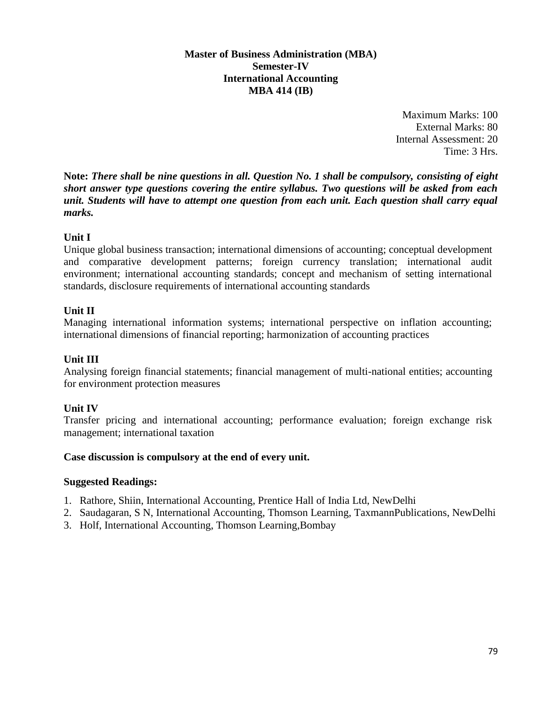#### **Master of Business Administration (MBA) Semester-IV International Accounting MBA 414 (IB)**

Maximum Marks: 100 External Marks: 80 Internal Assessment: 20 Time: 3 Hrs.

**Note:** *There shall be nine questions in all. Question No. 1 shall be compulsory, consisting of eight short answer type questions covering the entire syllabus. Two questions will be asked from each unit. Students will have to attempt one question from each unit. Each question shall carry equal marks.*

# **Unit I**

Unique global business transaction; international dimensions of accounting; conceptual development and comparative development patterns; foreign currency translation; international audit environment; international accounting standards; concept and mechanism of setting international standards, disclosure requirements of international accounting standards

#### **Unit II**

Managing international information systems; international perspective on inflation accounting; international dimensions of financial reporting; harmonization of accounting practices

#### **Unit III**

Analysing foreign financial statements; financial management of multi-national entities; accounting for environment protection measures

# **Unit IV**

Transfer pricing and international accounting; performance evaluation; foreign exchange risk management; international taxation

#### **Case discussion is compulsory at the end of every unit.**

- 1. Rathore, Shiin, International Accounting, Prentice Hall of India Ltd, NewDelhi
- 2. Saudagaran, S N, International Accounting, Thomson Learning, TaxmannPublications, NewDelhi
- 3. Holf, International Accounting, Thomson Learning,Bombay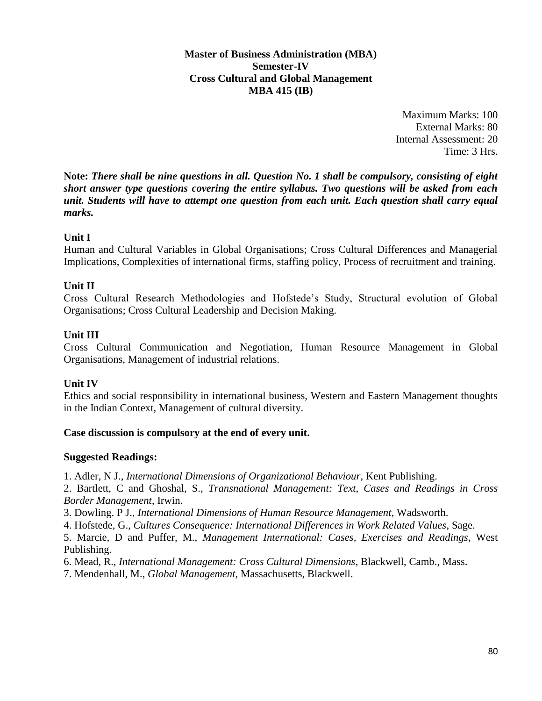**Master of Business Administration (MBA) Semester-IV Cross Cultural and Global Management MBA 415 (IB)**

> Maximum Marks: 100 External Marks: 80 Internal Assessment: 20 Time: 3 Hrs.

**Note:** *There shall be nine questions in all. Question No. 1 shall be compulsory, consisting of eight short answer type questions covering the entire syllabus. Two questions will be asked from each unit. Students will have to attempt one question from each unit. Each question shall carry equal marks.*

#### **Unit I**

Human and Cultural Variables in Global Organisations; Cross Cultural Differences and Managerial Implications, Complexities of international firms, staffing policy, Process of recruitment and training.

#### **Unit II**

Cross Cultural Research Methodologies and Hofstede's Study, Structural evolution of Global Organisations; Cross Cultural Leadership and Decision Making.

#### **Unit III**

Cross Cultural Communication and Negotiation, Human Resource Management in Global Organisations, Management of industrial relations.

#### **Unit IV**

Ethics and social responsibility in international business, Western and Eastern Management thoughts in the Indian Context, Management of cultural diversity.

#### **Case discussion is compulsory at the end of every unit.**

#### **Suggested Readings:**

1. Adler, N J., *International Dimensions of Organizational Behaviour*, Kent Publishing.

2. Bartlett, C and Ghoshal, S., *Transnational Management: Text, Cases and Readings in Cross Border Management*, Irwin.

3. Dowling. P J., *International Dimensions of Human Resource Management*, Wadsworth.

4. Hofstede, G., *Cultures Consequence: International Differences in Work Related Values*, Sage.

5. Marcie, D and Puffer, M., *Management International: Cases, Exercises and Readings*, West Publishing.

6. Mead, R., *International Management: Cross Cultural Dimensions*, Blackwell, Camb., Mass.

7. Mendenhall, M., *Global Management*, Massachusetts, Blackwell.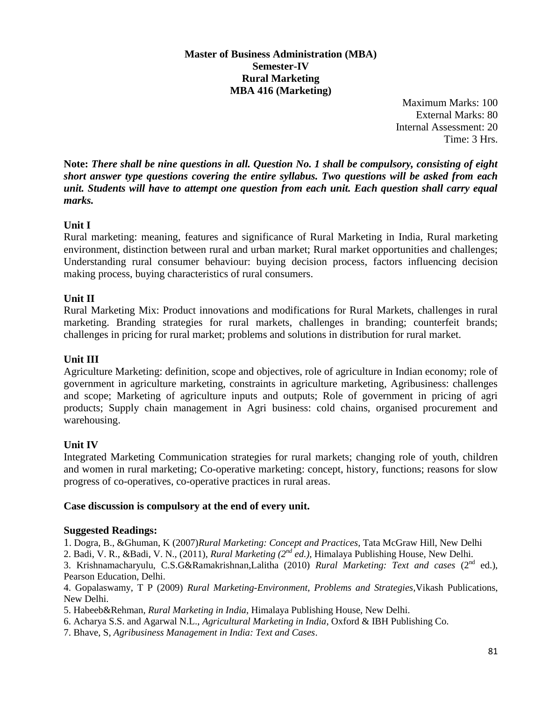# **Master of Business Administration (MBA) Semester-IV Rural Marketing MBA 416 (Marketing)**

Maximum Marks: 100 External Marks: 80 Internal Assessment: 20 Time: 3 Hrs.

**Note:** *There shall be nine questions in all. Question No. 1 shall be compulsory, consisting of eight short answer type questions covering the entire syllabus. Two questions will be asked from each unit. Students will have to attempt one question from each unit. Each question shall carry equal marks.*

# **Unit I**

Rural marketing: meaning, features and significance of Rural Marketing in India, Rural marketing environment, distinction between rural and urban market; Rural market opportunities and challenges; Understanding rural consumer behaviour: buying decision process, factors influencing decision making process, buying characteristics of rural consumers.

# **Unit II**

Rural Marketing Mix: Product innovations and modifications for Rural Markets, challenges in rural marketing. Branding strategies for rural markets, challenges in branding; counterfeit brands; challenges in pricing for rural market; problems and solutions in distribution for rural market.

#### **Unit III**

Agriculture Marketing: definition, scope and objectives, role of agriculture in Indian economy; role of government in agriculture marketing, constraints in agriculture marketing, Agribusiness: challenges and scope; Marketing of agriculture inputs and outputs; Role of government in pricing of agri products; Supply chain management in Agri business: cold chains, organised procurement and warehousing.

#### **Unit IV**

Integrated Marketing Communication strategies for rural markets; changing role of youth, children and women in rural marketing; Co-operative marketing: concept, history, functions; reasons for slow progress of co-operatives, co-operative practices in rural areas.

#### **Case discussion is compulsory at the end of every unit.**

#### **Suggested Readings:**

1. Dogra, B., &Ghuman, K (2007)*Rural Marketing: Concept and Practices*, Tata McGraw Hill, New Delhi

2. Badi, V. R., &Badi, V. N., (2011), *Rural Marketing (2nd ed.),* Himalaya Publishing House, New Delhi.

3. Krishnamacharyulu, C.S.G&Ramakrishnan,Lalitha (2010) *Rural Marketing: Text and cases* (2nd ed.), Pearson Education, Delhi.

4. Gopalaswamy, T P (2009) *Rural Marketing-Environment, Problems and Strategies,*Vikash Publications, New Delhi.

- 5. Habeeb&Rehman, *Rural Marketing in India*, Himalaya Publishing House, New Delhi.
- 6. Acharya S.S. and Agarwal N.L., *Agricultural Marketing in India*, Oxford & IBH Publishing Co.

7. Bhave, S, *Agribusiness Management in India: Text and Cases*.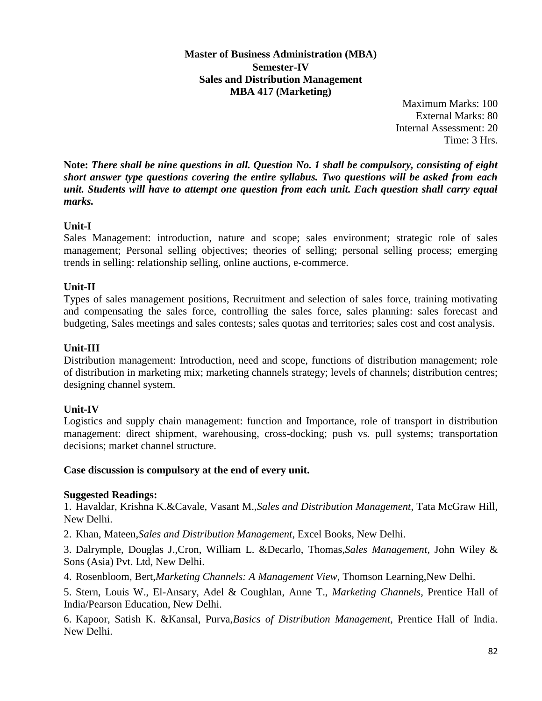**Master of Business Administration (MBA) Semester-IV Sales and Distribution Management MBA 417 (Marketing)**

> Maximum Marks: 100 External Marks: 80 Internal Assessment: 20 Time: 3 Hrs.

**Note:** *There shall be nine questions in all. Question No. 1 shall be compulsory, consisting of eight short answer type questions covering the entire syllabus. Two questions will be asked from each unit. Students will have to attempt one question from each unit. Each question shall carry equal marks.*

# **Unit-I**

Sales Management: introduction, nature and scope; sales environment; strategic role of sales management; Personal selling objectives; theories of selling; personal selling process; emerging trends in selling: relationship selling, online auctions, e-commerce.

# **Unit-II**

Types of sales management positions, Recruitment and selection of sales force, training motivating and compensating the sales force, controlling the sales force, sales planning: sales forecast and budgeting, Sales meetings and sales contests; sales quotas and territories; sales cost and cost analysis.

# **Unit-III**

Distribution management: Introduction, need and scope, functions of distribution management; role of distribution in marketing mix; marketing channels strategy; levels of channels; distribution centres; designing channel system.

# **Unit-IV**

Logistics and supply chain management: function and Importance, role of transport in distribution management: direct shipment, warehousing, cross-docking; push vs. pull systems; transportation decisions; market channel structure.

#### **Case discussion is compulsory at the end of every unit.**

#### **Suggested Readings:**

1. Havaldar, Krishna K.&Cavale, Vasant M.,*Sales and Distribution Management*, Tata McGraw Hill, New Delhi.

2. Khan, Mateen,*Sales and Distribution Management*, Excel Books, New Delhi.

3. Dalrymple, Douglas J.,Cron, William L. &Decarlo, Thomas,*Sales Management*, John Wiley & Sons (Asia) Pvt. Ltd, New Delhi.

4. Rosenbloom, Bert,*Marketing Channels: A Management View*, Thomson Learning,New Delhi.

5. Stern, Louis W., El-Ansary, Adel & Coughlan, Anne T., *Marketing Channels*, Prentice Hall of India/Pearson Education, New Delhi.

6. Kapoor, Satish K. &Kansal, Purva,*Basics of Distribution Management*, Prentice Hall of India. New Delhi.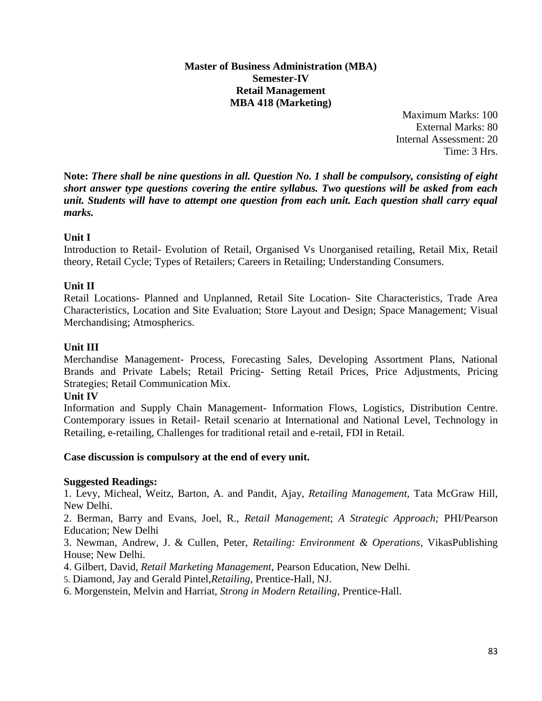#### **Master of Business Administration (MBA) Semester-IV Retail Management MBA 418 (Marketing)**

Maximum Marks: 100 External Marks: 80 Internal Assessment: 20 Time: 3 Hrs.

**Note:** *There shall be nine questions in all. Question No. 1 shall be compulsory, consisting of eight short answer type questions covering the entire syllabus. Two questions will be asked from each unit. Students will have to attempt one question from each unit. Each question shall carry equal marks.*

#### **Unit I**

Introduction to Retail- Evolution of Retail, Organised Vs Unorganised retailing, Retail Mix, Retail theory, Retail Cycle; Types of Retailers; Careers in Retailing; Understanding Consumers.

#### **Unit II**

Retail Locations- Planned and Unplanned, Retail Site Location- Site Characteristics, Trade Area Characteristics, Location and Site Evaluation; Store Layout and Design; Space Management; Visual Merchandising; Atmospherics.

#### **Unit III**

Merchandise Management- Process, Forecasting Sales, Developing Assortment Plans, National Brands and Private Labels; Retail Pricing- Setting Retail Prices, Price Adjustments, Pricing Strategies; Retail Communication Mix.

#### **Unit IV**

Information and Supply Chain Management- Information Flows, Logistics, Distribution Centre. Contemporary issues in Retail- Retail scenario at International and National Level, Technology in Retailing, e-retailing, Challenges for traditional retail and e-retail, FDI in Retail.

#### **Case discussion is compulsory at the end of every unit.**

#### **Suggested Readings:**

1. Levy, Micheal, Weitz, Barton, A. and Pandit, Ajay, *Retailing Management,* Tata McGraw Hill, New Delhi.

2. Berman, Barry and Evans, Joel, R., *Retail Management*; *A Strategic Approach;* PHI/Pearson Education; New Delhi

3. Newman, Andrew, J. & Cullen, Peter, *Retailing: Environment & Operations*, VikasPublishing House; New Delhi.

4. Gilbert, David, *Retail Marketing Management*, Pearson Education, New Delhi.

5. Diamond, Jay and Gerald Pintel,*Retailing*, Prentice-Hall, NJ.

6. Morgenstein, Melvin and Harriat, *Strong in Modern Retailing*, Prentice-Hall.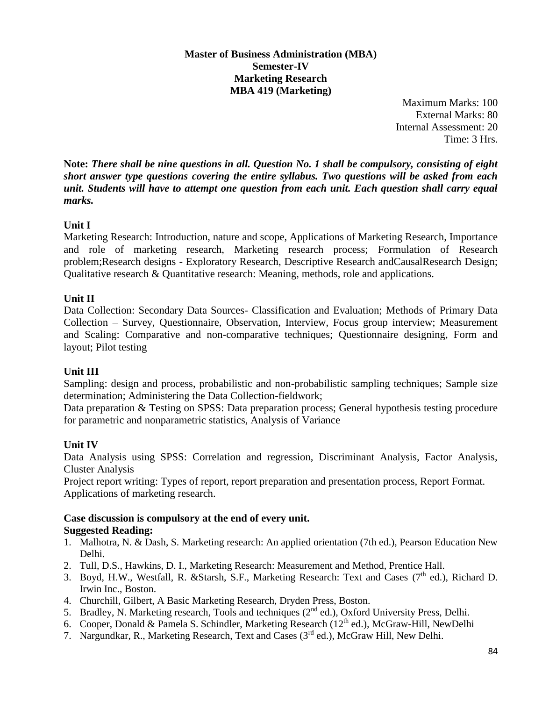# **Master of Business Administration (MBA) Semester-IV Marketing Research MBA 419 (Marketing)**

Maximum Marks: 100 External Marks: 80 Internal Assessment: 20 Time: 3 Hrs.

**Note:** *There shall be nine questions in all. Question No. 1 shall be compulsory, consisting of eight short answer type questions covering the entire syllabus. Two questions will be asked from each unit. Students will have to attempt one question from each unit. Each question shall carry equal marks.*

# **Unit I**

Marketing Research: Introduction, nature and scope, Applications of Marketing Research, Importance and role of marketing research, Marketing research process; Formulation of Research problem;Research designs - Exploratory Research, Descriptive Research andCausalResearch Design; Qualitative research & Quantitative research: Meaning, methods, role and applications.

# **Unit II**

Data Collection: Secondary Data Sources- Classification and Evaluation; Methods of Primary Data Collection – Survey, Questionnaire, Observation, Interview, Focus group interview; Measurement and Scaling: Comparative and non-comparative techniques; Questionnaire designing, Form and layout; Pilot testing

# **Unit III**

Sampling: design and process, probabilistic and non-probabilistic sampling techniques; Sample size determination; Administering the Data Collection-fieldwork;

Data preparation & Testing on SPSS: Data preparation process; General hypothesis testing procedure for parametric and nonparametric statistics, Analysis of Variance

# **Unit IV**

Data Analysis using SPSS: Correlation and regression, Discriminant Analysis, Factor Analysis, Cluster Analysis

Project report writing: Types of report, report preparation and presentation process, Report Format. Applications of marketing research.

#### **Case discussion is compulsory at the end of every unit. Suggested Reading:**

- 1. Malhotra, N. & Dash, S. Marketing research: An applied orientation (7th ed.), Pearson Education New Delhi.
- 2. Tull, D.S., Hawkins, D. I., Marketing Research: Measurement and Method, Prentice Hall.
- 3. Boyd, H.W., Westfall, R. &Starsh, S.F., Marketing Research: Text and Cases (7<sup>th</sup> ed.), Richard D. Irwin Inc., Boston.
- 4. Churchill, Gilbert, A Basic Marketing Research, Dryden Press, Boston.
- 5. Bradley, N. Marketing research*,* Tools and techniques (2nd ed.), Oxford University Press, Delhi.
- 6. Cooper, Donald & Pamela S. Schindler, Marketing Research (12th ed.)*,* McGraw-Hill, NewDelhi
- 7. Nargundkar, R., Marketing Research, Text and Cases (3<sup>rd</sup> ed.), McGraw Hill, New Delhi.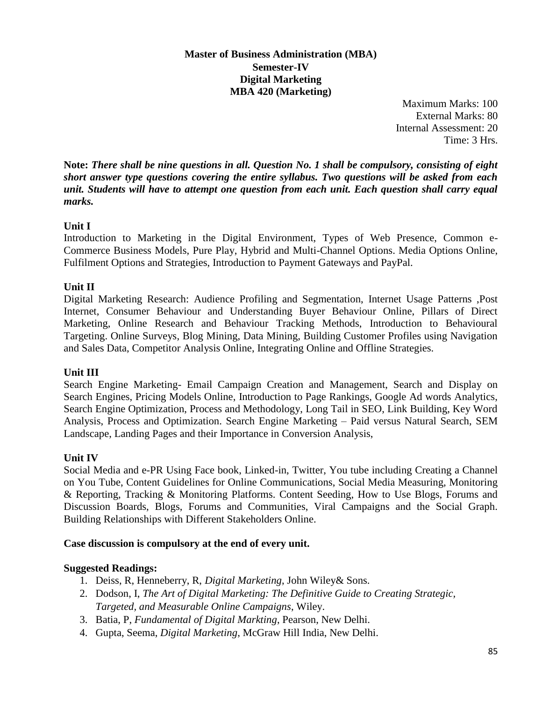# **Master of Business Administration (MBA) Semester-IV Digital Marketing MBA 420 (Marketing)**

Maximum Marks: 100 External Marks: 80 Internal Assessment: 20 Time: 3 Hrs.

**Note:** *There shall be nine questions in all. Question No. 1 shall be compulsory, consisting of eight short answer type questions covering the entire syllabus. Two questions will be asked from each unit. Students will have to attempt one question from each unit. Each question shall carry equal marks.*

# **Unit I**

Introduction to Marketing in the Digital Environment, Types of Web Presence, Common e-Commerce Business Models, Pure Play, Hybrid and Multi-Channel Options. Media Options Online, Fulfilment Options and Strategies, Introduction to Payment Gateways and PayPal.

# **Unit II**

Digital Marketing Research: Audience Profiling and Segmentation, Internet Usage Patterns ,Post Internet, Consumer Behaviour and Understanding Buyer Behaviour Online, Pillars of Direct Marketing, Online Research and Behaviour Tracking Methods, Introduction to Behavioural Targeting. Online Surveys, Blog Mining, Data Mining, Building Customer Profiles using Navigation and Sales Data, Competitor Analysis Online, Integrating Online and Offline Strategies.

# **Unit III**

Search Engine Marketing- Email Campaign Creation and Management, Search and Display on Search Engines, Pricing Models Online, Introduction to Page Rankings, Google Ad words Analytics, Search Engine Optimization, Process and Methodology, Long Tail in SEO, Link Building, Key Word Analysis, Process and Optimization. Search Engine Marketing – Paid versus Natural Search, SEM Landscape, Landing Pages and their Importance in Conversion Analysis,

# **Unit IV**

Social Media and e-PR Using Face book, Linked-in, Twitter, You tube including Creating a Channel on You Tube, Content Guidelines for Online Communications, Social Media Measuring, Monitoring & Reporting, Tracking & Monitoring Platforms. Content Seeding, How to Use Blogs, Forums and Discussion Boards, Blogs, Forums and Communities, Viral Campaigns and the Social Graph. Building Relationships with Different Stakeholders Online.

# **Case discussion is compulsory at the end of every unit.**

- 1. Deiss, R, Henneberry, R, *Digital Marketing*, John Wiley& Sons.
- 2. Dodson, I, *The Art of Digital Marketing: The Definitive Guide to Creating Strategic, Targeted, and Measurable Online Campaigns*, Wiley.
- 3. Batia, P, *Fundamental of Digital Markting*, Pearson, New Delhi.
- 4. Gupta, Seema, *Digital Marketing*, McGraw Hill India, New Delhi.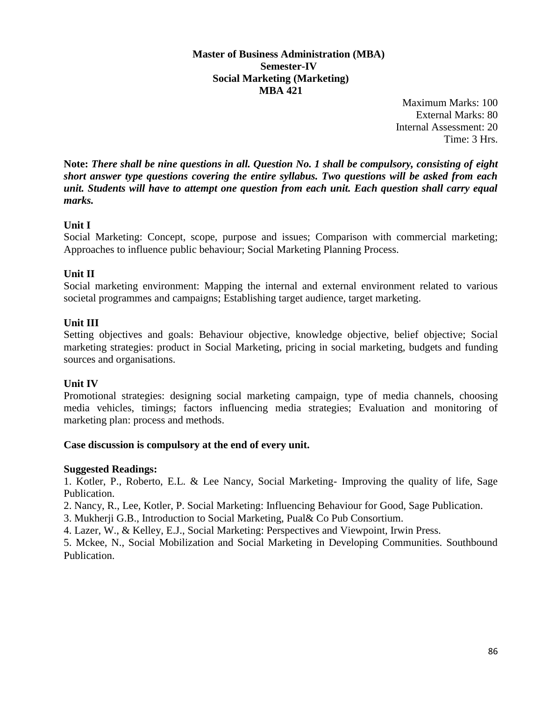#### **Master of Business Administration (MBA) Semester-IV Social Marketing (Marketing) MBA 421**

Maximum Marks: 100 External Marks: 80 Internal Assessment: 20 Time: 3 Hrs.

**Note:** *There shall be nine questions in all. Question No. 1 shall be compulsory, consisting of eight short answer type questions covering the entire syllabus. Two questions will be asked from each unit. Students will have to attempt one question from each unit. Each question shall carry equal marks.*

# **Unit I**

Social Marketing: Concept, scope, purpose and issues; Comparison with commercial marketing; Approaches to influence public behaviour; Social Marketing Planning Process.

#### **Unit II**

Social marketing environment: Mapping the internal and external environment related to various societal programmes and campaigns; Establishing target audience, target marketing.

#### **Unit III**

Setting objectives and goals: Behaviour objective, knowledge objective, belief objective; Social marketing strategies: product in Social Marketing, pricing in social marketing, budgets and funding sources and organisations.

# **Unit IV**

Promotional strategies: designing social marketing campaign, type of media channels, choosing media vehicles, timings; factors influencing media strategies; Evaluation and monitoring of marketing plan: process and methods.

#### **Case discussion is compulsory at the end of every unit.**

#### **Suggested Readings:**

1. Kotler, P., Roberto, E.L. & Lee Nancy, Social Marketing- Improving the quality of life, Sage Publication.

2. Nancy, R., Lee, Kotler, P. Social Marketing: Influencing Behaviour for Good, Sage Publication.

3. Mukherji G.B., Introduction to Social Marketing, Pual& Co Pub Consortium.

4. Lazer, W., & Kelley, E.J., Social Marketing: Perspectives and Viewpoint, Irwin Press.

5. Mckee, N., Social Mobilization and Social Marketing in Developing Communities. Southbound Publication.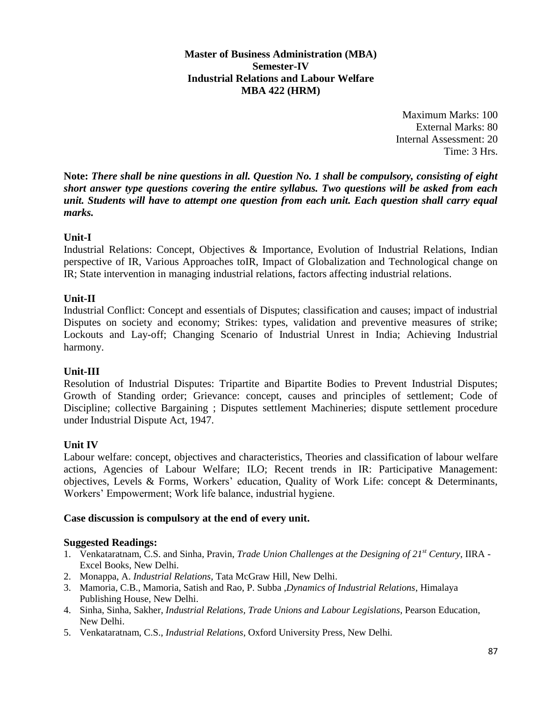**Master of Business Administration (MBA) Semester-IV Industrial Relations and Labour Welfare MBA 422 (HRM)**

> Maximum Marks: 100 External Marks: 80 Internal Assessment: 20 Time: 3 Hrs.

**Note:** *There shall be nine questions in all. Question No. 1 shall be compulsory, consisting of eight short answer type questions covering the entire syllabus. Two questions will be asked from each unit. Students will have to attempt one question from each unit. Each question shall carry equal marks.*

#### **Unit-I**

Industrial Relations: Concept, Objectives & Importance, Evolution of Industrial Relations, Indian perspective of IR, Various Approaches toIR, Impact of Globalization and Technological change on IR; State intervention in managing industrial relations, factors affecting industrial relations.

#### **Unit-II**

Industrial Conflict: Concept and essentials of Disputes; classification and causes; impact of industrial Disputes on society and economy; Strikes: types, validation and preventive measures of strike; Lockouts and Lay-off; Changing Scenario of Industrial Unrest in India; Achieving Industrial harmony.

#### **Unit-III**

Resolution of Industrial Disputes: Tripartite and Bipartite Bodies to Prevent Industrial Disputes; Growth of Standing order; Grievance: concept, causes and principles of settlement; Code of Discipline; collective Bargaining ; Disputes settlement Machineries; dispute settlement procedure under Industrial Dispute Act, 1947.

#### **Unit IV**

Labour welfare: concept, objectives and characteristics, Theories and classification of labour welfare actions, Agencies of Labour Welfare; ILO; Recent trends in IR: Participative Management: objectives, Levels & Forms, Workers' education, Quality of Work Life: concept & Determinants, Workers' Empowerment; Work life balance, industrial hygiene.

#### **Case discussion is compulsory at the end of every unit.**

- 1. Venkataratnam, C.S. and Sinha, Pravin, *Trade Union Challenges at the Designing of 21st Century*, IIRA Excel Books, New Delhi.
- 2. Monappa, A. *Industrial Relations*, Tata McGraw Hill, New Delhi.
- 3. Mamoria, C.B., Mamoria, Satish and Rao, P. Subba ,*Dynamics of Industrial Relations*, Himalaya Publishing House, New Delhi.
- 4. Sinha, Sinha, Sakher, *Industrial Relations, Trade Unions and Labour Legislations*, Pearson Education, New Delhi.
- 5. Venkataratnam, C.S., *Industrial Relations*, Oxford University Press, New Delhi.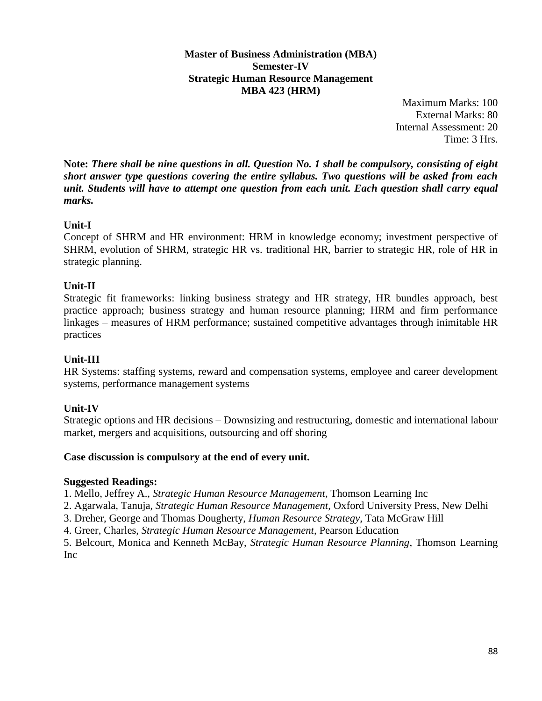**Master of Business Administration (MBA) Semester-IV Strategic Human Resource Management MBA 423 (HRM)**

> Maximum Marks: 100 External Marks: 80 Internal Assessment: 20 Time: 3 Hrs.

**Note:** *There shall be nine questions in all. Question No. 1 shall be compulsory, consisting of eight short answer type questions covering the entire syllabus. Two questions will be asked from each unit. Students will have to attempt one question from each unit. Each question shall carry equal marks.*

# **Unit-I**

Concept of SHRM and HR environment: HRM in knowledge economy; investment perspective of SHRM, evolution of SHRM, strategic HR vs. traditional HR, barrier to strategic HR, role of HR in strategic planning.

#### **Unit-II**

Strategic fit frameworks: linking business strategy and HR strategy, HR bundles approach, best practice approach; business strategy and human resource planning; HRM and firm performance linkages – measures of HRM performance; sustained competitive advantages through inimitable HR practices

#### **Unit-III**

HR Systems: staffing systems, reward and compensation systems, employee and career development systems, performance management systems

# **Unit-IV**

Strategic options and HR decisions – Downsizing and restructuring, domestic and international labour market, mergers and acquisitions, outsourcing and off shoring

#### **Case discussion is compulsory at the end of every unit.**

#### **Suggested Readings:**

1. Mello, Jeffrey A., *Strategic Human Resource Management*, Thomson Learning Inc

2. Agarwala, Tanuja, *Strategic Human Resource Management*, Oxford University Press, New Delhi

3. Dreher, George and Thomas Dougherty, *Human Resource Strategy*, Tata McGraw Hill

4. Greer, Charles, *Strategic Human Resource Management*, Pearson Education

5. Belcourt, Monica and Kenneth McBay, *Strategic Human Resource Planning*, Thomson Learning Inc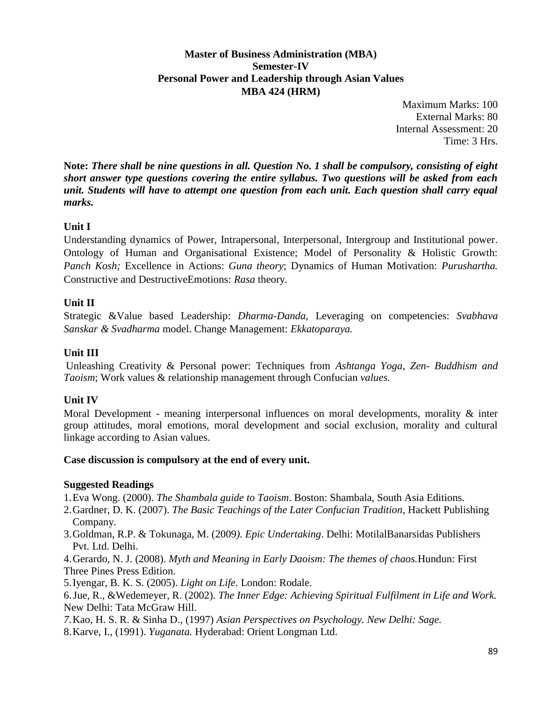# **Master of Business Administration (MBA) Semester-IV Personal Power and Leadership through Asian Values MBA 424 (HRM)**

Maximum Marks: 100 External Marks: 80 Internal Assessment: 20 Time: 3 Hrs.

**Note:** *There shall be nine questions in all. Question No. 1 shall be compulsory, consisting of eight short answer type questions covering the entire syllabus. Two questions will be asked from each unit. Students will have to attempt one question from each unit. Each question shall carry equal marks.*

# **Unit I**

Understanding dynamics of Power, Intrapersonal, Interpersonal, Intergroup and Institutional power. Ontology of Human and Organisational Existence; Model of Personality & Holistic Growth: *Panch Kosh;* Excellence in Actions: *Guna theory*; Dynamics of Human Motivation: *Purushartha.* Constructive and DestructiveEmotions: *Rasa* theory.

# **Unit II**

Strategic &Value based Leadership: *Dharma-Danda,* Leveraging on competencies: *Svabhava Sanskar & Svadharma* model. Change Management: *Ekkatoparaya.*

# **Unit III**

Unleashing Creativity & Personal power: Techniques from *Ashtanga Yoga*, *Zen- Buddhism and Taoism*; Work values & relationship management through Confucian *values.*

# **Unit IV**

Moral Development - meaning interpersonal influences on moral developments, morality & inter group attitudes, moral emotions, moral development and social exclusion, morality and cultural linkage according to Asian values.

# **Case discussion is compulsory at the end of every unit.**

- 1.Eva Wong. (2000). *The Shambala guide to Taoism*. Boston: Shambala, South Asia Editions.
- 2.Gardner, D. K. (2007). *The Basic Teachings of the Later Confucian Tradition*, Hackett Publishing Company.
- 3.Goldman, R.P. & Tokunaga, M. (2009*). Epic Undertaking*. Delhi: MotilalBanarsidas Publishers Pvt. Ltd. Delhi.
- 4.Gerardo, N. J. (2008). *Myth and Meaning in Early Daoism: The themes of chaos.*Hundun: First Three Pines Press Edition.
- 5.Iyengar, B. K. S. (2005). *Light on Life*. London: Rodale.
- 6.Jue, R., &Wedemeyer, R. (2002). *The Inner Edge: Achieving Spiritual Fulfilment in Life and Work.* New Delhi: Tata McGraw Hill.
- *7.*Kao, H. S. R. & Sinha D., (1997) *Asian Perspectives on Psychology. New Delhi: Sage.*
- 8.Karve, I., (1991). *Yuganata.* Hyderabad: Orient Longman Ltd.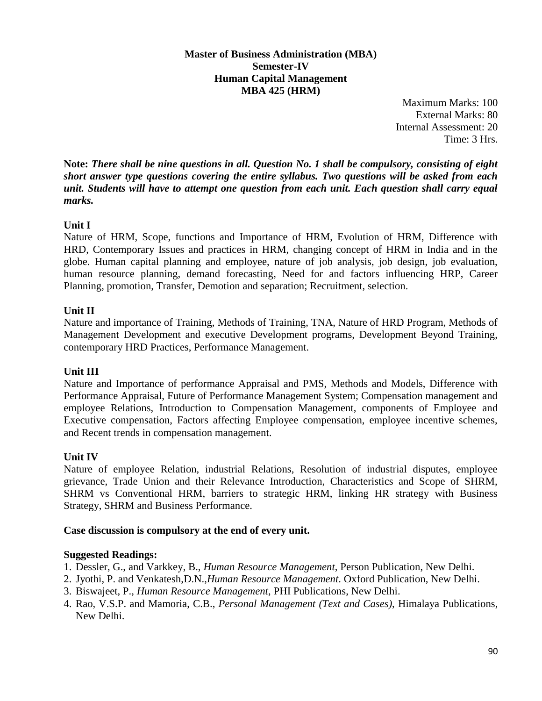#### **Master of Business Administration (MBA) Semester-IV Human Capital Management MBA 425 (HRM)**

Maximum Marks: 100 External Marks: 80 Internal Assessment: 20 Time: 3 Hrs.

**Note:** *There shall be nine questions in all. Question No. 1 shall be compulsory, consisting of eight short answer type questions covering the entire syllabus. Two questions will be asked from each unit. Students will have to attempt one question from each unit. Each question shall carry equal marks.*

# **Unit I**

Nature of HRM, Scope, functions and Importance of HRM, Evolution of HRM, Difference with HRD, Contemporary Issues and practices in HRM, changing concept of HRM in India and in the globe. Human capital planning and employee, nature of job analysis, job design, job evaluation, human resource planning, demand forecasting, Need for and factors influencing HRP, Career Planning, promotion, Transfer, Demotion and separation; Recruitment, selection.

#### **Unit II**

Nature and importance of Training, Methods of Training, TNA, Nature of HRD Program, Methods of Management Development and executive Development programs, Development Beyond Training, contemporary HRD Practices, Performance Management.

# **Unit III**

Nature and Importance of performance Appraisal and PMS, Methods and Models, Difference with Performance Appraisal, Future of Performance Management System; Compensation management and employee Relations, Introduction to Compensation Management, components of Employee and Executive compensation, Factors affecting Employee compensation, employee incentive schemes, and Recent trends in compensation management.

#### **Unit IV**

Nature of employee Relation, industrial Relations, Resolution of industrial disputes, employee grievance, Trade Union and their Relevance Introduction, Characteristics and Scope of SHRM, SHRM vs Conventional HRM, barriers to strategic HRM, linking HR strategy with Business Strategy, SHRM and Business Performance.

#### **Case discussion is compulsory at the end of every unit.**

- 1. Dessler, G., and Varkkey, B., *Human Resource Management*, Person Publication, New Delhi.
- 2. Jyothi, P. and Venkatesh,D.N.,*Human Resource Management*. Oxford Publication, New Delhi.
- 3. Biswajeet, P., *Human Resource Management*, PHI Publications, New Delhi.
- 4. Rao, V.S.P. and Mamoria, C.B., *Personal Management (Text and Cases)*, Himalaya Publications, New Delhi.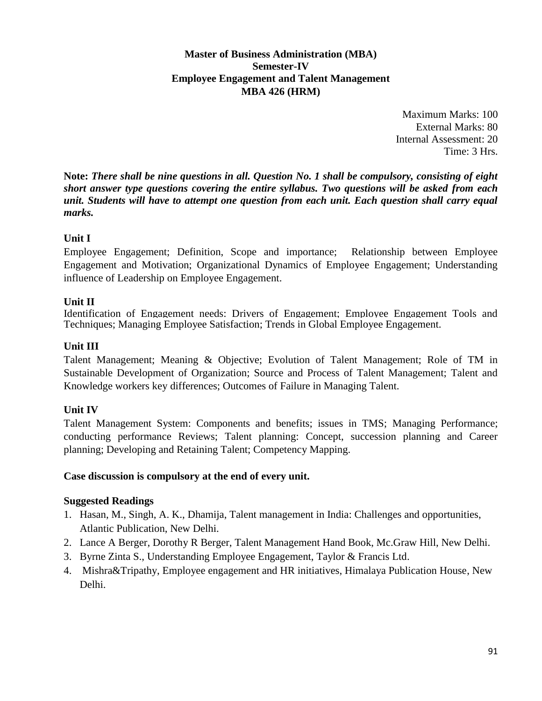# **Master of Business Administration (MBA) Semester-IV Employee Engagement and Talent Management MBA 426 (HRM)**

Maximum Marks: 100 External Marks: 80 Internal Assessment: 20 Time: 3 Hrs.

**Note:** *There shall be nine questions in all. Question No. 1 shall be compulsory, consisting of eight short answer type questions covering the entire syllabus. Two questions will be asked from each unit. Students will have to attempt one question from each unit. Each question shall carry equal marks.*

# **Unit I**

Employee Engagement; Definition, Scope and importance; Relationship between Employee Engagement and Motivation; Organizational Dynamics of Employee Engagement; Understanding influence of Leadership on Employee Engagement.

# **Unit II**

Identification of Engagement needs: Drivers of Engagement; Employee Engagement Tools and Techniques; Managing Employee Satisfaction; Trends in Global Employee Engagement.

# **Unit III**

Talent Management; Meaning & Objective; Evolution of Talent Management; Role of TM in Sustainable Development of Organization; Source and Process of Talent Management; Talent and Knowledge workers key differences; Outcomes of Failure in Managing Talent.

# **Unit IV**

Talent Management System: Components and benefits; issues in TMS; Managing Performance; conducting performance Reviews; Talent planning: Concept, succession planning and Career planning; Developing and Retaining Talent; Competency Mapping.

# **Case discussion is compulsory at the end of every unit.**

- 1. Hasan, M., Singh, A. K., Dhamija, Talent management in India: Challenges and opportunities, Atlantic Publication, New Delhi.
- 2. Lance A Berger, Dorothy R Berger, Talent Management Hand Book, Mc.Graw Hill, New Delhi.
- 3. Byrne Zinta S., Understanding Employee Engagement, Taylor & Francis Ltd.
- 4. Mishra&Tripathy, Employee engagement and HR initiatives, Himalaya Publication House, New Delhi.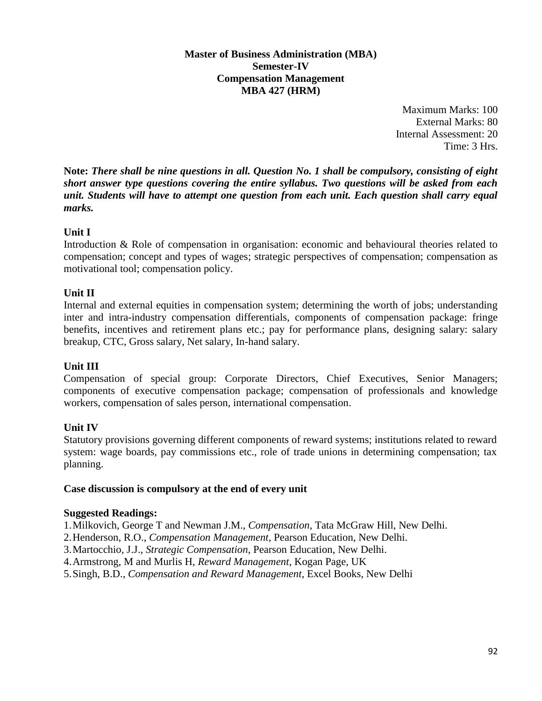#### **Master of Business Administration (MBA) Semester-IV Compensation Management MBA 427 (HRM)**

Maximum Marks: 100 External Marks: 80 Internal Assessment: 20 Time: 3 Hrs.

**Note:** *There shall be nine questions in all. Question No. 1 shall be compulsory, consisting of eight short answer type questions covering the entire syllabus. Two questions will be asked from each unit. Students will have to attempt one question from each unit. Each question shall carry equal marks.*

# **Unit I**

Introduction & Role of compensation in organisation: economic and behavioural theories related to compensation; concept and types of wages; strategic perspectives of compensation; compensation as motivational tool; compensation policy.

# **Unit II**

Internal and external equities in compensation system; determining the worth of jobs; understanding inter and intra-industry compensation differentials, components of compensation package: fringe benefits, incentives and retirement plans etc.; pay for performance plans, designing salary: salary breakup, CTC, Gross salary, Net salary, In-hand salary.

# **Unit III**

Compensation of special group: Corporate Directors, Chief Executives, Senior Managers; components of executive compensation package; compensation of professionals and knowledge workers, compensation of sales person, international compensation.

# **Unit IV**

Statutory provisions governing different components of reward systems; institutions related to reward system: wage boards, pay commissions etc., role of trade unions in determining compensation; tax planning.

# **Case discussion is compulsory at the end of every unit**

# **Suggested Readings:**

1.Milkovich, George T and Newman J.M., *Compensation*, Tata McGraw Hill, New Delhi.

- 2.Henderson, R.O., *Compensation Management*, Pearson Education, New Delhi.
- 3.Martocchio, J.J., *Strategic Compensation*, Pearson Education, New Delhi.
- 4.Armstrong, M and Murlis H, *Reward Management*, Kogan Page, UK

5.Singh, B.D., *Compensation and Reward Management*, Excel Books, New Delhi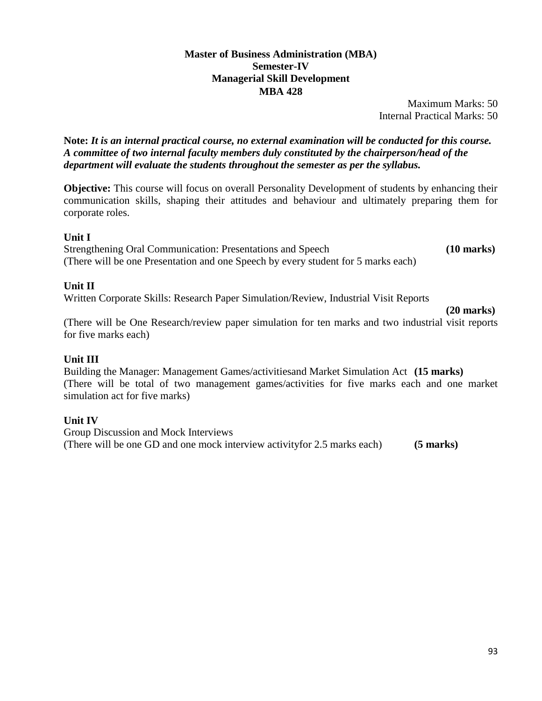#### **Master of Business Administration (MBA) Semester-IV Managerial Skill Development MBA 428**

Maximum Marks: 50 Internal Practical Marks: 50

**Note:** *It is an internal practical course, no external examination will be conducted for this course. A committee of two internal faculty members duly constituted by the chairperson/head of the department will evaluate the students throughout the semester as per the syllabus.*

**Objective:** This course will focus on overall Personality Development of students by enhancing their communication skills, shaping their attitudes and behaviour and ultimately preparing them for corporate roles.

#### **Unit I**

Strengthening Oral Communication: Presentations and Speech **(10 marks)**  (There will be one Presentation and one Speech by every student for 5 marks each)

#### **Unit II**

Written Corporate Skills: Research Paper Simulation/Review, Industrial Visit Reports

**(20 marks)** 

(There will be One Research/review paper simulation for ten marks and two industrial visit reports for five marks each)

#### **Unit III**

Building the Manager: Management Games/activitiesand Market Simulation Act **(15 marks)**  (There will be total of two management games/activities for five marks each and one market simulation act for five marks)

# **Unit IV**

Group Discussion and Mock Interviews (There will be one GD and one mock interview activityfor 2.5 marks each) **(5 marks)**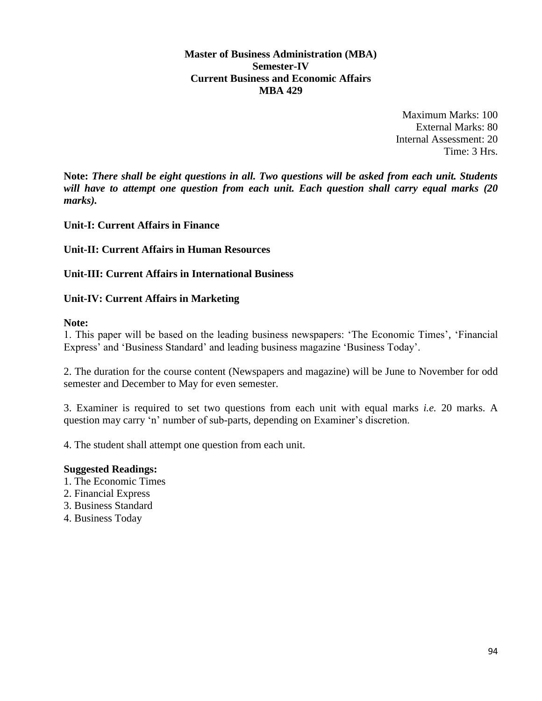**Master of Business Administration (MBA) Semester-IV Current Business and Economic Affairs MBA 429**

> Maximum Marks: 100 External Marks: 80 Internal Assessment: 20 Time: 3 Hrs.

**Note:** *There shall be eight questions in all. Two questions will be asked from each unit. Students will have to attempt one question from each unit. Each question shall carry equal marks (20 marks).*

#### **Unit-I: Current Affairs in Finance**

#### **Unit-II: Current Affairs in Human Resources**

#### **Unit-III: Current Affairs in International Business**

#### **Unit-IV: Current Affairs in Marketing**

#### **Note:**

1. This paper will be based on the leading business newspapers: 'The Economic Times', 'Financial Express' and 'Business Standard' and leading business magazine 'Business Today'.

2. The duration for the course content (Newspapers and magazine) will be June to November for odd semester and December to May for even semester.

3. Examiner is required to set two questions from each unit with equal marks *i.e.* 20 marks. A question may carry 'n' number of sub-parts, depending on Examiner's discretion.

4. The student shall attempt one question from each unit.

- 1. The Economic Times
- 2. Financial Express
- 3. Business Standard
- 4. Business Today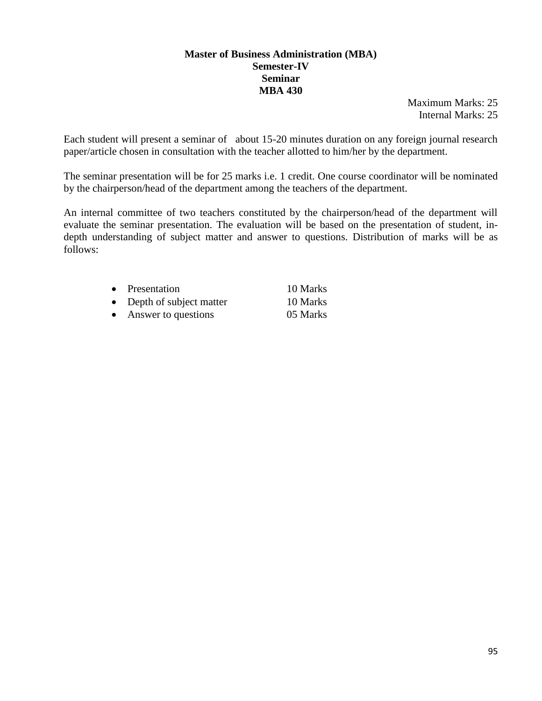#### **Master of Business Administration (MBA) Semester-IV Seminar MBA 430**

Maximum Marks: 25 Internal Marks: 25

Each student will present a seminar of about 15-20 minutes duration on any foreign journal research paper/article chosen in consultation with the teacher allotted to him/her by the department.

The seminar presentation will be for 25 marks i.e. 1 credit. One course coordinator will be nominated by the chairperson/head of the department among the teachers of the department.

An internal committee of two teachers constituted by the chairperson/head of the department will evaluate the seminar presentation. The evaluation will be based on the presentation of student, indepth understanding of subject matter and answer to questions. Distribution of marks will be as follows:

|           | • Presentation            | 10 Marks |
|-----------|---------------------------|----------|
|           | • Depth of subject matter | 10 Marks |
| $\bullet$ | Answer to questions       | 05 Marks |